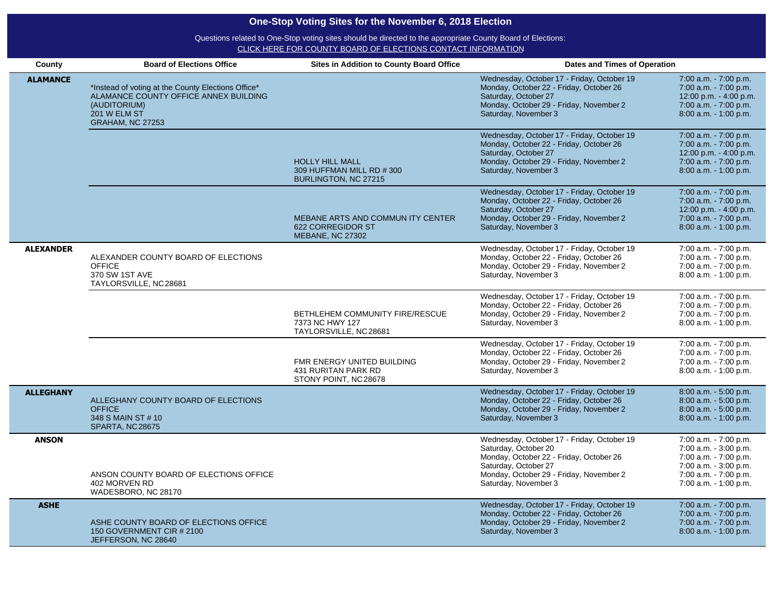| County           | <b>Board of Elections Office</b>                                                                                                                       | <b>Sites in Addition to County Board Office</b>                                   | Dates and Times of Operation                                                                                                                                                                             |                                                                                                                                                    |
|------------------|--------------------------------------------------------------------------------------------------------------------------------------------------------|-----------------------------------------------------------------------------------|----------------------------------------------------------------------------------------------------------------------------------------------------------------------------------------------------------|----------------------------------------------------------------------------------------------------------------------------------------------------|
| <b>ALAMANCE</b>  | *Instead of voting at the County Elections Office*<br>ALAMANCE COUNTY OFFICE ANNEX BUILDING<br>(AUDITORIUM)<br>201 W ELM ST<br><b>GRAHAM, NC 27253</b> |                                                                                   | Wednesday, October 17 - Friday, October 19<br>Monday, October 22 - Friday, October 26<br>Saturday, October 27<br>Monday, October 29 - Friday, November 2<br>Saturday, November 3                         | 7:00 a.m. - 7:00 p.m.<br>7:00 a.m. - 7:00 p.m.<br>12:00 p.m. - 4:00 p.m.<br>7:00 a.m. - 7:00 p.m.<br>8:00 a.m. - 1:00 p.m.                         |
|                  |                                                                                                                                                        | <b>HOLLY HILL MALL</b><br>309 HUFFMAN MILL RD #300<br>BURLINGTON, NC 27215        | Wednesday, October 17 - Friday, October 19<br>Monday, October 22 - Friday, October 26<br>Saturday, October 27<br>Monday, October 29 - Friday, November 2<br>Saturday, November 3                         | 7:00 a.m. - 7:00 p.m.<br>7:00 a.m. - 7:00 p.m.<br>12:00 p.m. - 4:00 p.m.<br>7:00 a.m. - 7:00 p.m.<br>8:00 a.m. - 1:00 p.m.                         |
|                  |                                                                                                                                                        | MEBANE ARTS AND COMMUN ITY CENTER<br>622 CORREGIDOR ST<br><b>MEBANE, NC 27302</b> | Wednesday, October 17 - Friday, October 19<br>Monday, October 22 - Friday, October 26<br>Saturday, October 27<br>Monday, October 29 - Friday, November 2<br>Saturday, November 3                         | 7:00 a.m. - 7:00 p.m.<br>7:00 a.m. - 7:00 p.m.<br>12:00 p.m. - 4:00 p.m.<br>7:00 a.m. - 7:00 p.m.<br>$8:00$ a.m. $-1:00$ p.m.                      |
| <b>ALEXANDER</b> | ALEXANDER COUNTY BOARD OF ELECTIONS<br><b>OFFICE</b><br>370 SW 1ST AVE<br>TAYLORSVILLE, NC 28681                                                       |                                                                                   | Wednesday, October 17 - Friday, October 19<br>Monday, October 22 - Friday, October 26<br>Monday, October 29 - Friday, November 2<br>Saturday, November 3                                                 | 7:00 a.m. - 7:00 p.m.<br>7:00 a.m. - 7:00 p.m.<br>7:00 a.m. - 7:00 p.m.<br>8:00 a.m. - 1:00 p.m.                                                   |
|                  |                                                                                                                                                        | BETHLEHEM COMMUNITY FIRE/RESCUE<br>7373 NC HWY 127<br>TAYLORSVILLE, NC 28681      | Wednesday, October 17 - Friday, October 19<br>Monday, October 22 - Friday, October 26<br>Monday, October 29 - Friday, November 2<br>Saturday, November 3                                                 | 7:00 a.m. - 7:00 p.m.<br>7:00 a.m. - 7:00 p.m.<br>7:00 a.m. - 7:00 p.m.<br>8:00 a.m. - 1:00 p.m.                                                   |
|                  |                                                                                                                                                        | FMR ENERGY UNITED BUILDING<br>431 RURITAN PARK RD<br>STONY POINT, NC 28678        | Wednesday, October 17 - Friday, October 19<br>Monday, October 22 - Friday, October 26<br>Monday, October 29 - Friday, November 2<br>Saturday, November 3                                                 | 7:00 a.m. - 7:00 p.m.<br>7:00 a.m. - 7:00 p.m.<br>7:00 a.m. - 7:00 p.m.<br>$8:00$ a.m. $-1:00$ p.m.                                                |
| <b>ALLEGHANY</b> | ALLEGHANY COUNTY BOARD OF ELECTIONS<br><b>OFFICE</b><br>348 S MAIN ST # 10<br><b>SPARTA, NC 28675</b>                                                  |                                                                                   | Wednesday, October 17 - Friday, October 19<br>Monday, October 22 - Friday, October 26<br>Monday, October 29 - Friday, November 2<br>Saturday, November 3                                                 | 8:00 a.m. - 5:00 p.m.<br>$8:00$ a.m. $-5:00$ p.m.<br>8:00 a.m. - 5:00 p.m.<br>8:00 a.m. - 1:00 p.m.                                                |
| <b>ANSON</b>     | ANSON COUNTY BOARD OF ELECTIONS OFFICE<br>402 MORVEN RD<br>WADESBORO, NC 28170                                                                         |                                                                                   | Wednesday, October 17 - Friday, October 19<br>Saturday, October 20<br>Monday, October 22 - Friday, October 26<br>Saturday, October 27<br>Monday, October 29 - Friday, November 2<br>Saturday, November 3 | 7:00 a.m. - 7:00 p.m.<br>7:00 a.m. - 3:00 p.m.<br>7:00 a.m. - 7:00 p.m.<br>7:00 a.m. - 3:00 p.m.<br>7:00 a.m. - 7:00 p.m.<br>7:00 a.m. - 1:00 p.m. |
| <b>ASHE</b>      | ASHE COUNTY BOARD OF ELECTIONS OFFICE<br>150 GOVERNMENT CIR # 2100<br>JEFFERSON, NC 28640                                                              |                                                                                   | Wednesday, October 17 - Friday, October 19<br>Monday, October 22 - Friday, October 26<br>Monday, October 29 - Friday, November 2<br>Saturday, November 3                                                 | 7:00 a.m. - 7:00 p.m.<br>7:00 a.m. - 7:00 p.m.<br>7:00 a.m. - 7:00 p.m.<br>8:00 a.m. - 1:00 p.m.                                                   |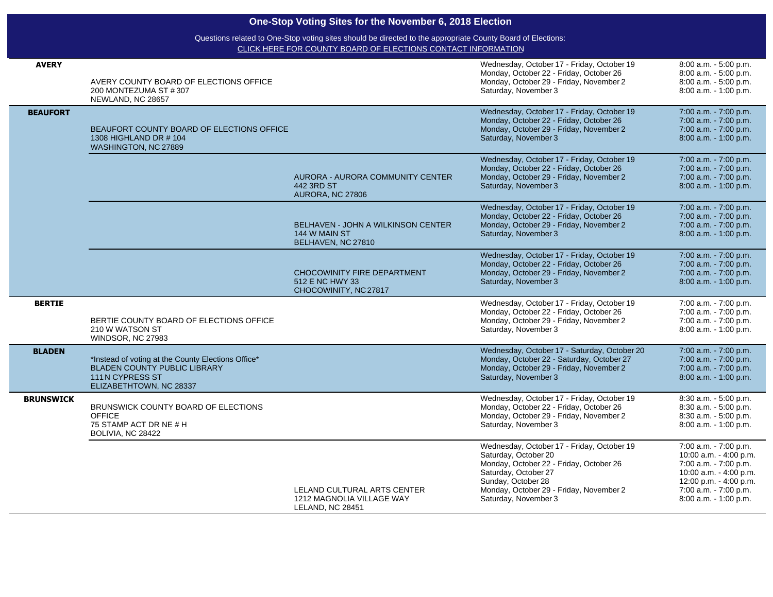| <b>AVERY</b>     | AVERY COUNTY BOARD OF ELECTIONS OFFICE<br>200 MONTEZUMA ST #307<br>NEWLAND, NC 28657                                                    |                                                                                | Wednesday, October 17 - Friday, October 19<br>Monday, October 22 - Friday, October 26<br>Monday, October 29 - Friday, November 2<br>Saturday, November 3                                                                       | 8:00 a.m. - 5:00 p.m.<br>8:00 a.m. - 5:00 p.m.<br>8:00 a.m. - 5:00 p.m.<br>8:00 a.m. - 1:00 p.m.                                                                               |
|------------------|-----------------------------------------------------------------------------------------------------------------------------------------|--------------------------------------------------------------------------------|--------------------------------------------------------------------------------------------------------------------------------------------------------------------------------------------------------------------------------|--------------------------------------------------------------------------------------------------------------------------------------------------------------------------------|
| <b>BEAUFORT</b>  | BEAUFORT COUNTY BOARD OF ELECTIONS OFFICE<br>1308 HIGHLAND DR # 104<br>WASHINGTON, NC 27889                                             |                                                                                | Wednesday, October 17 - Friday, October 19<br>Monday, October 22 - Friday, October 26<br>Monday, October 29 - Friday, November 2<br>Saturday, November 3                                                                       | 7:00 a.m. - 7:00 p.m.<br>7:00 a.m. - 7:00 p.m.<br>7:00 a.m. - 7:00 p.m.<br>8:00 a.m. - 1:00 p.m.                                                                               |
|                  |                                                                                                                                         | AURORA - AURORA COMMUNITY CENTER<br>442 3RD ST<br>AURORA, NC 27806             | Wednesday, October 17 - Friday, October 19<br>Monday, October 22 - Friday, October 26<br>Monday, October 29 - Friday, November 2<br>Saturday, November 3                                                                       | 7:00 a.m. - 7:00 p.m.<br>7:00 a.m. - 7:00 p.m.<br>7:00 a.m. - 7:00 p.m.<br>8:00 a.m. - 1:00 p.m.                                                                               |
|                  |                                                                                                                                         | BELHAVEN - JOHN A WILKINSON CENTER<br>144 W MAIN ST<br>BELHAVEN, NC 27810      | Wednesday, October 17 - Friday, October 19<br>Monday, October 22 - Friday, October 26<br>Monday, October 29 - Friday, November 2<br>Saturday, November 3                                                                       | 7:00 a.m. - 7:00 p.m.<br>7:00 a.m. - 7:00 p.m.<br>7:00 a.m. - 7:00 p.m.<br>8:00 a.m. - 1:00 p.m.                                                                               |
|                  |                                                                                                                                         | <b>CHOCOWINITY FIRE DEPARTMENT</b><br>512 E NC HWY 33<br>CHOCOWINITY, NC 27817 | Wednesday, October 17 - Friday, October 19<br>Monday, October 22 - Friday, October 26<br>Monday, October 29 - Friday, November 2<br>Saturday, November 3                                                                       | 7:00 a.m. - 7:00 p.m.<br>7:00 a.m. - 7:00 p.m.<br>7:00 a.m. - 7:00 p.m.<br>8:00 a.m. - 1:00 p.m.                                                                               |
| <b>BERTIE</b>    | BERTIE COUNTY BOARD OF ELECTIONS OFFICE<br>210 W WATSON ST<br>WINDSOR, NC 27983                                                         |                                                                                | Wednesday, October 17 - Friday, October 19<br>Monday, October 22 - Friday, October 26<br>Monday, October 29 - Friday, November 2<br>Saturday, November 3                                                                       | 7:00 a.m. - 7:00 p.m.<br>7:00 a.m. - 7:00 p.m.<br>7:00 a.m. - 7:00 p.m.<br>8:00 a.m. - 1:00 p.m.                                                                               |
| <b>BLADEN</b>    | *Instead of voting at the County Elections Office*<br><b>BLADEN COUNTY PUBLIC LIBRARY</b><br>111N CYPRESS ST<br>ELIZABETHTOWN, NC 28337 |                                                                                | Wednesday, October 17 - Saturday, October 20<br>Monday, October 22 - Saturday, October 27<br>Monday, October 29 - Friday, November 2<br>Saturday, November 3                                                                   | 7:00 a.m. - 7:00 p.m.<br>$7:00$ a.m. $-7:00$ p.m.<br>7:00 a.m. - 7:00 p.m.<br>8:00 a.m. - 1:00 p.m.                                                                            |
| <b>BRUNSWICK</b> | BRUNSWICK COUNTY BOARD OF ELECTIONS<br><b>OFFICE</b><br>75 STAMP ACT DR NE # H<br>BOLIVIA, NC 28422                                     |                                                                                | Wednesday, October 17 - Friday, October 19<br>Monday, October 22 - Friday, October 26<br>Monday, October 29 - Friday, November 2<br>Saturday, November 3                                                                       | 8:30 a.m. - 5:00 p.m.<br>8:30 a.m. - 5:00 p.m.<br>8:30 a.m. - 5:00 p.m.<br>8:00 a.m. - 1:00 p.m.                                                                               |
|                  |                                                                                                                                         | LELAND CULTURAL ARTS CENTER<br>1212 MAGNOLIA VILLAGE WAY<br>LELAND, NC 28451   | Wednesday, October 17 - Friday, October 19<br>Saturday, October 20<br>Monday, October 22 - Friday, October 26<br>Saturday, October 27<br>Sunday, October 28<br>Monday, October 29 - Friday, November 2<br>Saturday, November 3 | 7:00 a.m. - 7:00 p.m.<br>10:00 a.m. - 4:00 p.m.<br>7:00 a.m. - 7:00 p.m.<br>10:00 a.m. - 4:00 p.m.<br>12:00 p.m. - 4:00 p.m.<br>7:00 a.m. - 7:00 p.m.<br>8:00 a.m. - 1:00 p.m. |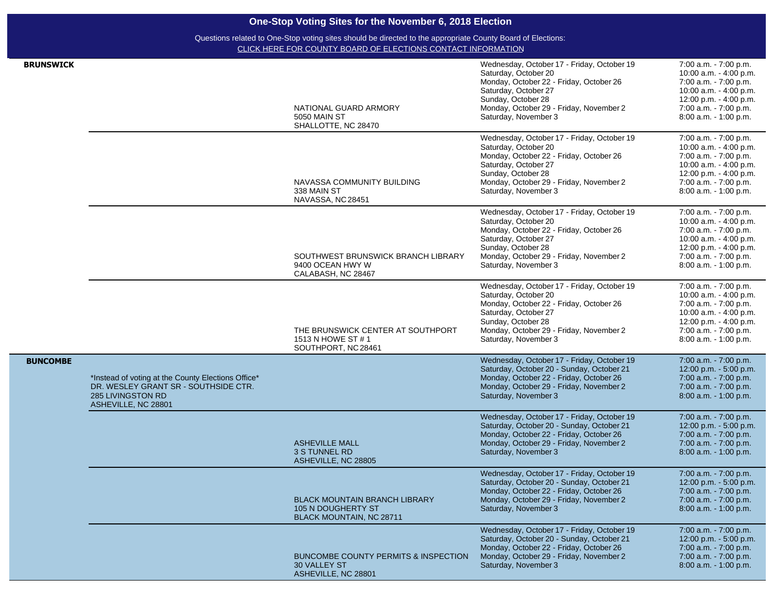|                  |                                                                                                                                        | One-Stop Voting Sites for the November 6, 2018 Election                                                                                                                     |                                                                                                                                                                                                                                |                                                                                                                                                                                   |
|------------------|----------------------------------------------------------------------------------------------------------------------------------------|-----------------------------------------------------------------------------------------------------------------------------------------------------------------------------|--------------------------------------------------------------------------------------------------------------------------------------------------------------------------------------------------------------------------------|-----------------------------------------------------------------------------------------------------------------------------------------------------------------------------------|
|                  |                                                                                                                                        | Questions related to One-Stop voting sites should be directed to the appropriate County Board of Elections:<br>CLICK HERE FOR COUNTY BOARD OF ELECTIONS CONTACT INFORMATION |                                                                                                                                                                                                                                |                                                                                                                                                                                   |
| <b>BRUNSWICK</b> |                                                                                                                                        | NATIONAL GUARD ARMORY<br>5050 MAIN ST<br>SHALLOTTE, NC 28470                                                                                                                | Wednesday, October 17 - Friday, October 19<br>Saturday, October 20<br>Monday, October 22 - Friday, October 26<br>Saturday, October 27<br>Sunday, October 28<br>Monday, October 29 - Friday, November 2<br>Saturday, November 3 | 7:00 a.m. - 7:00 p.m.<br>10:00 a.m. - 4:00 p.m.<br>7:00 a.m. - 7:00 p.m.<br>10:00 a.m. - 4:00 p.m.<br>12:00 p.m. - 4:00 p.m.<br>7:00 a.m. - 7:00 p.m.<br>8:00 a.m. - 1:00 p.m.    |
|                  |                                                                                                                                        | NAVASSA COMMUNITY BUILDING<br>338 MAIN ST<br>NAVASSA, NC 28451                                                                                                              | Wednesday, October 17 - Friday, October 19<br>Saturday, October 20<br>Monday, October 22 - Friday, October 26<br>Saturday, October 27<br>Sunday, October 28<br>Monday, October 29 - Friday, November 2<br>Saturday, November 3 | 7:00 a.m. - 7:00 p.m.<br>10:00 a.m. - 4:00 p.m.<br>7:00 a.m. - 7:00 p.m.<br>10:00 a.m. - 4:00 p.m.<br>12:00 p.m. - 4:00 p.m.<br>7:00 a.m. - 7:00 p.m.<br>8:00 a.m. - 1:00 p.m.    |
|                  |                                                                                                                                        | SOUTHWEST BRUNSWICK BRANCH LIBRARY<br>9400 OCEAN HWY W<br>CALABASH, NC 28467                                                                                                | Wednesday, October 17 - Friday, October 19<br>Saturday, October 20<br>Monday, October 22 - Friday, October 26<br>Saturday, October 27<br>Sunday, October 28<br>Monday, October 29 - Friday, November 2<br>Saturday, November 3 | 7:00 a.m. - 7:00 p.m.<br>10:00 a.m. - 4:00 p.m.<br>7:00 a.m. - 7:00 p.m.<br>10:00 a.m. - 4:00 p.m.<br>12:00 p.m. - 4:00 p.m.<br>7:00 a.m. - 7:00 p.m.<br>8:00 a.m. - 1:00 p.m.    |
|                  |                                                                                                                                        | THE BRUNSWICK CENTER AT SOUTHPORT<br>1513 N HOWE ST # 1<br>SOUTHPORT, NC 28461                                                                                              | Wednesday, October 17 - Friday, October 19<br>Saturday, October 20<br>Monday, October 22 - Friday, October 26<br>Saturday, October 27<br>Sunday, October 28<br>Monday, October 29 - Friday, November 2<br>Saturday, November 3 | 7:00 a.m. - 7:00 p.m.<br>10:00 a.m. - 4:00 p.m.<br>7:00 a.m. - 7:00 p.m.<br>10:00 a.m. - 4:00 p.m.<br>12:00 p.m. - 4:00 p.m.<br>7:00 a.m. - 7:00 p.m.<br>$8:00$ a.m. $-1:00$ p.m. |
| <b>BUNCOMBE</b>  | *Instead of voting at the County Elections Office*<br>DR. WESLEY GRANT SR - SOUTHSIDE CTR.<br>285 LIVINGSTON RD<br>ASHEVILLE, NC 28801 |                                                                                                                                                                             | Wednesday, October 17 - Friday, October 19<br>Saturday, October 20 - Sunday, October 21<br>Monday, October 22 - Friday, October 26<br>Monday, October 29 - Friday, November 2<br>Saturday, November 3                          | 7:00 a.m. - 7:00 p.m.<br>12:00 p.m. - 5:00 p.m.<br>7:00 a.m. - 7:00 p.m.<br>7:00 a.m. - 7:00 p.m.<br>8:00 a.m. - 1:00 p.m.                                                        |
|                  |                                                                                                                                        | <b>ASHEVILLE MALL</b><br>3 S TUNNEL RD<br>ASHEVILLE, NC 28805                                                                                                               | Wednesday, October 17 - Friday, October 19<br>Saturday, October 20 - Sunday, October 21<br>Monday, October 22 - Friday, October 26<br>Monday, October 29 - Friday, November 2<br>Saturday, November 3                          | 7:00 a.m. - 7:00 p.m.<br>12:00 p.m. - 5:00 p.m.<br>7:00 a.m. - 7:00 p.m.<br>7:00 a.m. - 7:00 p.m.<br>8:00 a.m. - 1:00 p.m.                                                        |
|                  |                                                                                                                                        | <b>BLACK MOUNTAIN BRANCH LIBRARY</b><br>105 N DOUGHERTY ST<br>BLACK MOUNTAIN, NC 28711                                                                                      | Wednesday, October 17 - Friday, October 19<br>Saturday, October 20 - Sunday, October 21<br>Monday, October 22 - Friday, October 26<br>Monday, October 29 - Friday, November 2<br>Saturday, November 3                          | 7:00 a.m. - 7:00 p.m.<br>12:00 p.m. - 5:00 p.m.<br>7:00 a.m. - 7:00 p.m.<br>7:00 a.m. - 7:00 p.m.<br>8:00 a.m. - 1:00 p.m.                                                        |
|                  |                                                                                                                                        | BUNCOMBE COUNTY PERMITS & INSPECTION<br><b>30 VALLEY ST</b><br>ASHEVILLE, NC 28801                                                                                          | Wednesday, October 17 - Friday, October 19<br>Saturday, October 20 - Sunday, October 21<br>Monday, October 22 - Friday, October 26<br>Monday, October 29 - Friday, November 2<br>Saturday, November 3                          | 7:00 a.m. - 7:00 p.m.<br>12:00 p.m. - 5:00 p.m.<br>7:00 a.m. - 7:00 p.m.<br>7:00 a.m. - 7:00 p.m.<br>8:00 a.m. - 1:00 p.m.                                                        |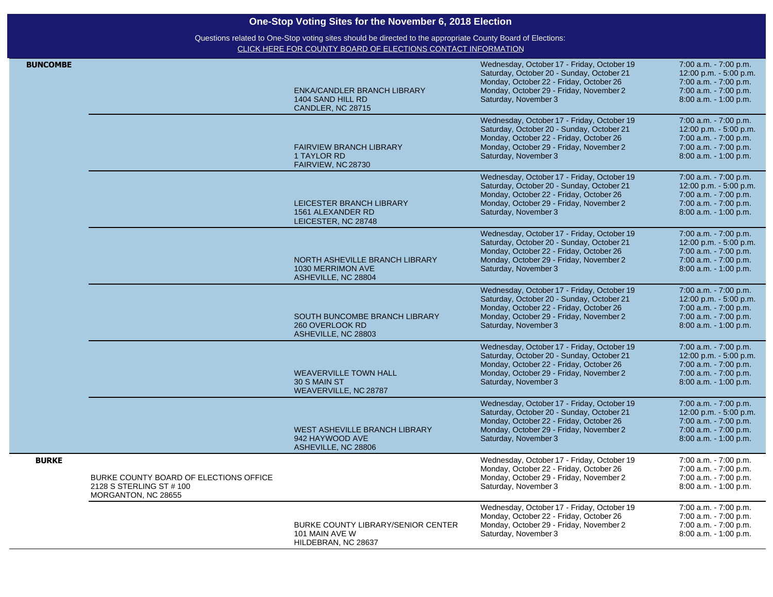| <b>BUNCOMBE</b> |                                                                                           | ENKA/CANDLER BRANCH LIBRARY<br>1404 SAND HILL RD<br>CANDLER, NC 28715       | Wednesday, October 17 - Friday, October 19<br>Saturday, October 20 - Sunday, October 21<br>Monday, October 22 - Friday, October 26<br>Monday, October 29 - Friday, November 2<br>Saturday, November 3 | 7:00 a.m. - 7:00 p.m.<br>12:00 p.m. - 5:00 p.m.<br>7:00 a.m. - 7:00 p.m.<br>7:00 a.m. - 7:00 p.m.<br>8:00 a.m. - 1:00 p.m. |
|-----------------|-------------------------------------------------------------------------------------------|-----------------------------------------------------------------------------|-------------------------------------------------------------------------------------------------------------------------------------------------------------------------------------------------------|----------------------------------------------------------------------------------------------------------------------------|
|                 |                                                                                           | <b>FAIRVIEW BRANCH LIBRARY</b><br>1 TAYLOR RD<br>FAIRVIEW, NC 28730         | Wednesday, October 17 - Friday, October 19<br>Saturday, October 20 - Sunday, October 21<br>Monday, October 22 - Friday, October 26<br>Monday, October 29 - Friday, November 2<br>Saturday, November 3 | 7:00 a.m. - 7:00 p.m.<br>12:00 p.m. - 5:00 p.m.<br>7:00 a.m. - 7:00 p.m.<br>7:00 a.m. - 7:00 p.m.<br>8:00 a.m. - 1:00 p.m. |
|                 |                                                                                           | LEICESTER BRANCH LIBRARY<br>1561 ALEXANDER RD<br>LEICESTER, NC 28748        | Wednesday, October 17 - Friday, October 19<br>Saturday, October 20 - Sunday, October 21<br>Monday, October 22 - Friday, October 26<br>Monday, October 29 - Friday, November 2<br>Saturday, November 3 | 7:00 a.m. - 7:00 p.m.<br>12:00 p.m. - 5:00 p.m.<br>7:00 a.m. - 7:00 p.m.<br>7:00 a.m. - 7:00 p.m.<br>8:00 a.m. - 1:00 p.m. |
|                 |                                                                                           | NORTH ASHEVILLE BRANCH LIBRARY<br>1030 MERRIMON AVE<br>ASHEVILLE, NC 28804  | Wednesday, October 17 - Friday, October 19<br>Saturday, October 20 - Sunday, October 21<br>Monday, October 22 - Friday, October 26<br>Monday, October 29 - Friday, November 2<br>Saturday, November 3 | 7:00 a.m. - 7:00 p.m.<br>12:00 p.m. - 5:00 p.m.<br>7:00 a.m. - 7:00 p.m.<br>7:00 a.m. - 7:00 p.m.<br>8:00 a.m. - 1:00 p.m. |
|                 |                                                                                           | SOUTH BUNCOMBE BRANCH LIBRARY<br>260 OVERLOOK RD<br>ASHEVILLE, NC 28803     | Wednesday, October 17 - Friday, October 19<br>Saturday, October 20 - Sunday, October 21<br>Monday, October 22 - Friday, October 26<br>Monday, October 29 - Friday, November 2<br>Saturday, November 3 | 7:00 a.m. - 7:00 p.m.<br>12:00 p.m. - 5:00 p.m.<br>7:00 a.m. - 7:00 p.m.<br>7:00 a.m. - 7:00 p.m.<br>8:00 a.m. - 1:00 p.m. |
|                 |                                                                                           | <b>WEAVERVILLE TOWN HALL</b><br>30 S MAIN ST<br>WEAVERVILLE, NC 28787       | Wednesday, October 17 - Friday, October 19<br>Saturday, October 20 - Sunday, October 21<br>Monday, October 22 - Friday, October 26<br>Monday, October 29 - Friday, November 2<br>Saturday, November 3 | 7:00 a.m. - 7:00 p.m.<br>12:00 p.m. - 5:00 p.m.<br>7:00 a.m. - 7:00 p.m.<br>7:00 a.m. - 7:00 p.m.<br>8:00 a.m. - 1:00 p.m. |
|                 |                                                                                           | WEST ASHEVILLE BRANCH LIBRARY<br>942 HAYWOOD AVE<br>ASHEVILLE, NC 28806     | Wednesday, October 17 - Friday, October 19<br>Saturday, October 20 - Sunday, October 21<br>Monday, October 22 - Friday, October 26<br>Monday, October 29 - Friday, November 2<br>Saturday, November 3 | 7:00 a.m. - 7:00 p.m.<br>12:00 p.m. - 5:00 p.m.<br>7:00 a.m. - 7:00 p.m.<br>7:00 a.m. - 7:00 p.m.<br>8:00 a.m. - 1:00 p.m. |
| <b>BURKE</b>    | BURKE COUNTY BOARD OF ELECTIONS OFFICE<br>2128 S STERLING ST # 100<br>MORGANTON, NC 28655 |                                                                             | Wednesday, October 17 - Friday, October 19<br>Monday, October 22 - Friday, October 26<br>Monday, October 29 - Friday, November 2<br>Saturday, November 3                                              | 7:00 a.m. - 7:00 p.m.<br>7:00 a.m. - 7:00 p.m.<br>7:00 a.m. - 7:00 p.m.<br>8:00 a.m. - 1:00 p.m.                           |
|                 |                                                                                           | BURKE COUNTY LIBRARY/SENIOR CENTER<br>101 MAIN AVE W<br>HILDEBRAN, NC 28637 | Wednesday, October 17 - Friday, October 19<br>Monday, October 22 - Friday, October 26<br>Monday, October 29 - Friday, November 2<br>Saturday, November 3                                              | 7:00 a.m. - 7:00 p.m.<br>7:00 a.m. - 7:00 p.m.<br>7:00 a.m. - 7:00 p.m.<br>8:00 a.m. - 1:00 p.m.                           |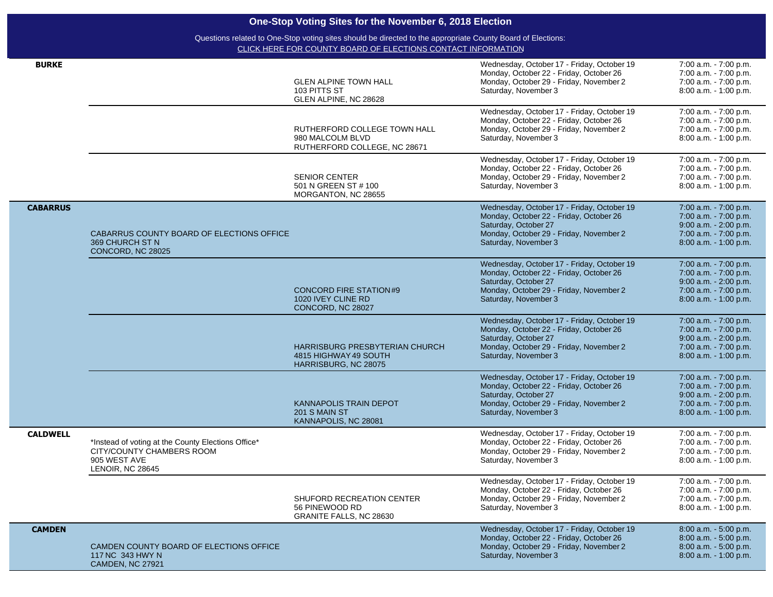| <b>BURKE</b>    |                                                                                                                     | <b>GLEN ALPINE TOWN HALL</b><br>103 PITTS ST<br>GLEN ALPINE, NC 28628                  | Wednesday, October 17 - Friday, October 19<br>Monday, October 22 - Friday, October 26<br>Monday, October 29 - Friday, November 2<br>Saturday, November 3                         | 7:00 a.m. - 7:00 p.m.<br>7:00 a.m. - 7:00 p.m.<br>7:00 a.m. - 7:00 p.m.<br>8:00 a.m. - 1:00 p.m.                          |
|-----------------|---------------------------------------------------------------------------------------------------------------------|----------------------------------------------------------------------------------------|----------------------------------------------------------------------------------------------------------------------------------------------------------------------------------|---------------------------------------------------------------------------------------------------------------------------|
|                 |                                                                                                                     | RUTHERFORD COLLEGE TOWN HALL<br>980 MALCOLM BLVD<br>RUTHERFORD COLLEGE, NC 28671       | Wednesday, October 17 - Friday, October 19<br>Monday, October 22 - Friday, October 26<br>Monday, October 29 - Friday, November 2<br>Saturday, November 3                         | 7:00 a.m. - 7:00 p.m.<br>7:00 a.m. - 7:00 p.m.<br>7:00 a.m. - 7:00 p.m.<br>8:00 a.m. - 1:00 p.m.                          |
|                 |                                                                                                                     | <b>SENIOR CENTER</b><br>501 N GREEN ST # 100<br>MORGANTON, NC 28655                    | Wednesday, October 17 - Friday, October 19<br>Monday, October 22 - Friday, October 26<br>Monday, October 29 - Friday, November 2<br>Saturday, November 3                         | 7:00 a.m. - 7:00 p.m.<br>7:00 a.m. - 7:00 p.m.<br>7:00 a.m. - 7:00 p.m.<br>8:00 a.m. - 1:00 p.m.                          |
| <b>CABARRUS</b> | CABARRUS COUNTY BOARD OF ELECTIONS OFFICE<br>369 CHURCH ST N<br>CONCORD, NC 28025                                   |                                                                                        | Wednesday, October 17 - Friday, October 19<br>Monday, October 22 - Friday, October 26<br>Saturday, October 27<br>Monday, October 29 - Friday, November 2<br>Saturday, November 3 | 7:00 a.m. - 7:00 p.m.<br>7:00 a.m. - 7:00 p.m.<br>9:00 a.m. - 2:00 p.m.<br>7:00 a.m. - 7:00 p.m.<br>8:00 a.m. - 1:00 p.m. |
|                 |                                                                                                                     | <b>CONCORD FIRE STATION#9</b><br>1020 IVEY CLINE RD<br>CONCORD, NC 28027               | Wednesday, October 17 - Friday, October 19<br>Monday, October 22 - Friday, October 26<br>Saturday, October 27<br>Monday, October 29 - Friday, November 2<br>Saturday, November 3 | 7:00 a.m. - 7:00 p.m.<br>7:00 a.m. - 7:00 p.m.<br>9:00 a.m. - 2:00 p.m.<br>7:00 a.m. - 7:00 p.m.<br>8:00 a.m. - 1:00 p.m. |
|                 |                                                                                                                     | <b>HARRISBURG PRESBYTERIAN CHURCH</b><br>4815 HIGHWAY 49 SOUTH<br>HARRISBURG, NC 28075 | Wednesday, October 17 - Friday, October 19<br>Monday, October 22 - Friday, October 26<br>Saturday, October 27<br>Monday, October 29 - Friday, November 2<br>Saturday, November 3 | 7:00 a.m. - 7:00 p.m.<br>7:00 a.m. - 7:00 p.m.<br>9:00 a.m. - 2:00 p.m.<br>7:00 a.m. - 7:00 p.m.<br>8:00 a.m. - 1:00 p.m. |
|                 |                                                                                                                     | <b>KANNAPOLIS TRAIN DEPOT</b><br>201 S MAIN ST<br>KANNAPOLIS, NC 28081                 | Wednesday, October 17 - Friday, October 19<br>Monday, October 22 - Friday, October 26<br>Saturday, October 27<br>Monday, October 29 - Friday, November 2<br>Saturday, November 3 | 7:00 a.m. - 7:00 p.m.<br>7:00 a.m. - 7:00 p.m.<br>9:00 a.m. - 2:00 p.m.<br>7:00 a.m. - 7:00 p.m.<br>8:00 a.m. - 1:00 p.m. |
| <b>CALDWELL</b> | *Instead of voting at the County Elections Office*<br>CITY/COUNTY CHAMBERS ROOM<br>905 WEST AVE<br>LENOIR, NC 28645 |                                                                                        | Wednesday, October 17 - Friday, October 19<br>Monday, October 22 - Friday, October 26<br>Monday, October 29 - Friday, November 2<br>Saturday, November 3                         | 7:00 a.m. - 7:00 p.m.<br>7:00 a.m. - 7:00 p.m.<br>7:00 a.m. - 7:00 p.m.<br>8:00 a.m. - 1:00 p.m.                          |
|                 |                                                                                                                     | SHUFORD RECREATION CENTER<br>56 PINEWOOD RD<br>GRANITE FALLS, NC 28630                 | Wednesday, October 17 - Friday, October 19<br>Monday, October 22 - Friday, October 26<br>Monday, October 29 - Friday, November 2<br>Saturday, November 3                         | 7:00 a.m. - 7:00 p.m.<br>7:00 a.m. - 7:00 p.m.<br>7:00 a.m. - 7:00 p.m.<br>8:00 a.m. - 1:00 p.m.                          |
| <b>CAMDEN</b>   | CAMDEN COUNTY BOARD OF ELECTIONS OFFICE<br>117 NC 343 HWY N<br><b>CAMDEN, NC 27921</b>                              |                                                                                        | Wednesday, October 17 - Friday, October 19<br>Monday, October 22 - Friday, October 26<br>Monday, October 29 - Friday, November 2<br>Saturday, November 3                         | 8:00 a.m. - 5:00 p.m.<br>8:00 a.m. - 5:00 p.m.<br>8:00 a.m. - 5:00 p.m.<br>8:00 a.m. - 1:00 p.m.                          |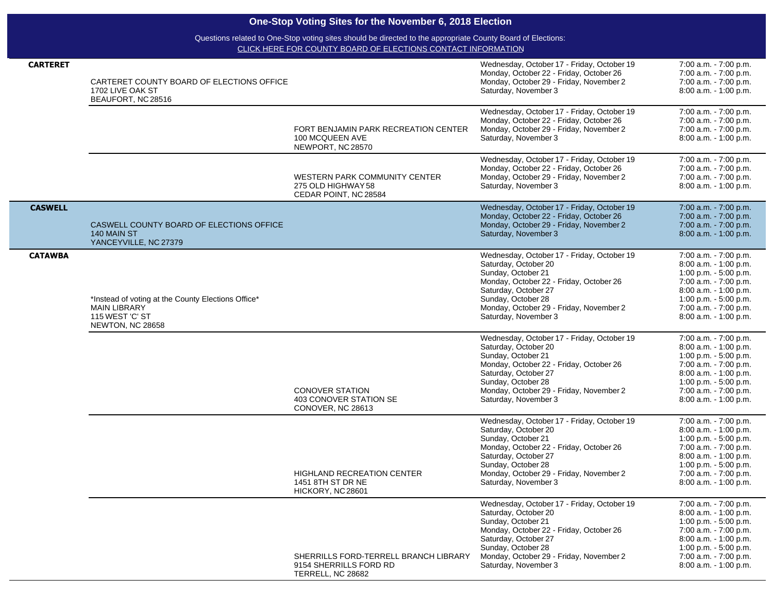|                 | One-Stop Voting Sites for the November 6, 2018 Election                                                          |                                                                                                                                                                             |                                                                                                                                                                                                                                                                                                    |                                                                                                                                                                                                                                   |  |
|-----------------|------------------------------------------------------------------------------------------------------------------|-----------------------------------------------------------------------------------------------------------------------------------------------------------------------------|----------------------------------------------------------------------------------------------------------------------------------------------------------------------------------------------------------------------------------------------------------------------------------------------------|-----------------------------------------------------------------------------------------------------------------------------------------------------------------------------------------------------------------------------------|--|
|                 |                                                                                                                  | Questions related to One-Stop voting sites should be directed to the appropriate County Board of Elections:<br>CLICK HERE FOR COUNTY BOARD OF ELECTIONS CONTACT INFORMATION |                                                                                                                                                                                                                                                                                                    |                                                                                                                                                                                                                                   |  |
| <b>CARTERET</b> | CARTERET COUNTY BOARD OF ELECTIONS OFFICE<br>1702 LIVE OAK ST<br>BEAUFORT, NC 28516                              |                                                                                                                                                                             | Wednesday, October 17 - Friday, October 19<br>Monday, October 22 - Friday, October 26<br>Monday, October 29 - Friday, November 2<br>Saturday, November 3                                                                                                                                           | 7:00 a.m. - 7:00 p.m.<br>7:00 a.m. - 7:00 p.m.<br>7:00 a.m. - 7:00 p.m.<br>8:00 a.m. - 1:00 p.m.                                                                                                                                  |  |
|                 |                                                                                                                  | FORT BENJAMIN PARK RECREATION CENTER<br>100 MCQUEEN AVE<br>NEWPORT, NC 28570                                                                                                | Wednesday, October 17 - Friday, October 19<br>Monday, October 22 - Friday, October 26<br>Monday, October 29 - Friday, November 2<br>Saturday, November 3                                                                                                                                           | 7:00 a.m. - 7:00 p.m.<br>7:00 a.m. - 7:00 p.m.<br>7:00 a.m. - 7:00 p.m.<br>8:00 a.m. - 1:00 p.m.                                                                                                                                  |  |
|                 |                                                                                                                  | WESTERN PARK COMMUNITY CENTER<br>275 OLD HIGHWAY 58<br>CEDAR POINT, NC 28584                                                                                                | Wednesday, October 17 - Friday, October 19<br>Monday, October 22 - Friday, October 26<br>Monday, October 29 - Friday, November 2<br>Saturday, November 3                                                                                                                                           | 7:00 a.m. - 7:00 p.m.<br>7:00 a.m. - 7:00 p.m.<br>7:00 a.m. - 7:00 p.m.<br>8:00 a.m. - 1:00 p.m.                                                                                                                                  |  |
| <b>CASWELL</b>  | CASWELL COUNTY BOARD OF ELECTIONS OFFICE<br>140 MAIN ST<br>YANCEYVILLE, NC 27379                                 |                                                                                                                                                                             | Wednesday, October 17 - Friday, October 19<br>Monday, October 22 - Friday, October 26<br>Monday, October 29 - Friday, November 2<br>Saturday, November 3                                                                                                                                           | 7:00 a.m. - 7:00 p.m.<br>7:00 a.m. - 7:00 p.m.<br>7:00 a.m. - 7:00 p.m.<br>8:00 a.m. - 1:00 p.m.                                                                                                                                  |  |
| <b>CATAWBA</b>  | *Instead of voting at the County Elections Office*<br><b>MAIN LIBRARY</b><br>115 WEST 'C' ST<br>NEWTON, NC 28658 |                                                                                                                                                                             | Wednesday, October 17 - Friday, October 19<br>Saturday, October 20<br>Sunday, October 21<br>Monday, October 22 - Friday, October 26<br>Saturday, October 27<br>Sunday, October 28<br>Monday, October 29 - Friday, November 2<br>Saturday, November 3                                               | 7:00 a.m. - 7:00 p.m.<br>8:00 a.m. - 1:00 p.m.<br>1:00 p.m. - 5:00 p.m.<br>7:00 a.m. - 7:00 p.m.<br>8:00 a.m. - 1:00 p.m.<br>1:00 p.m. $-5:00$ p.m.<br>7:00 a.m. - 7:00 p.m.<br>8:00 a.m. - 1:00 p.m.                             |  |
|                 |                                                                                                                  | <b>CONOVER STATION</b><br>403 CONOVER STATION SE<br>CONOVER, NC 28613                                                                                                       | Wednesday, October 17 - Friday, October 19<br>Saturday, October 20<br>Sunday, October 21<br>Monday, October 22 - Friday, October 26<br>Saturday, October 27<br>Sunday, October 28<br>Monday, October 29 - Friday, November 2<br>Saturday, November 3                                               | 7:00 a.m. - 7:00 p.m.<br>8:00 a.m. - 1:00 p.m.<br>1:00 p.m. - 5:00 p.m.<br>7:00 a.m. - 7:00 p.m.<br>8:00 a.m. - 1:00 p.m.<br>1:00 p.m. $-5:00$ p.m.<br>7:00 a.m. - 7:00 p.m.<br>8:00 a.m. - 1:00 p.m.                             |  |
|                 |                                                                                                                  | <b>HIGHLAND RECREATION CENTER</b><br>1451 8TH ST DR NE<br>HICKORY, NC 28601                                                                                                 | Wednesday, October 17 - Friday, October 19<br>Saturday, October 20<br>Sunday, October 21<br>Monday, October 22 - Friday, October 26<br>Saturday, October 27<br>Sunday, October 28<br>Monday, October 29 - Friday, November 2<br>Saturday, November 3<br>Wednesday, October 17 - Friday, October 19 | 7:00 a.m. - 7:00 p.m.<br>$8:00$ a.m. $-1:00$ p.m.<br>1:00 p.m. - 5:00 p.m.<br>7:00 a.m. - 7:00 p.m.<br>8:00 a.m. - 1:00 p.m.<br>1:00 p.m. $-5:00$ p.m.<br>7:00 a.m. - 7:00 p.m.<br>8:00 a.m. - 1:00 p.m.<br>7:00 a.m. - 7:00 p.m. |  |

SHERRILLS FORD-TERRELL BRANCH LIBRARY

Saturday, October 20 Sunday, October 21

Saturday, October 27 Sunday, October 28

Saturday, November 3

Monday, October 22 - Friday, October 26

8:00 a.m. - 1:00 p.m. 1:00 p.m. - 5:00 p.m. 7:00 a.m. - 7:00 p.m. 8:00 a.m. - 1:00 p.m. 1:00 p.m. - 5:00 p.m. 7:00 a.m. - 7:00 p.m. 8:00 a.m. - 1:00 p.m.

Monday, October 29 - Friday, November 2

9154 SHERRILLS FORD RD TERRELL, NC 28682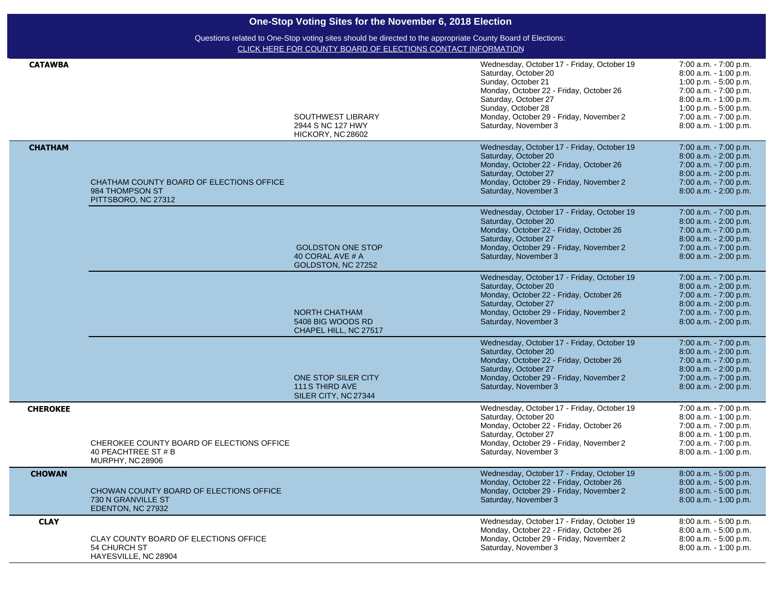| <b>CATAWBA</b>  |                                                                                             | SOUTHWEST LIBRARY<br>2944 S NC 127 HWY<br>HICKORY, NC 28602        | Wednesday, October 17 - Friday, October 19<br>Saturday, October 20<br>Sunday, October 21<br>Monday, October 22 - Friday, October 26<br>Saturday, October 27<br>Sunday, October 28<br>Monday, October 29 - Friday, November 2<br>Saturday, November 3 | 7:00 a.m. - 7:00 p.m.<br>8:00 a.m. - 1:00 p.m.<br>1:00 p.m. $-5:00$ p.m.<br>7:00 a.m. - 7:00 p.m.<br>8:00 a.m. - 1:00 p.m.<br>1:00 p.m. $-5:00$ p.m.<br>7:00 a.m. - 7:00 p.m.<br>8:00 a.m. - 1:00 p.m. |
|-----------------|---------------------------------------------------------------------------------------------|--------------------------------------------------------------------|------------------------------------------------------------------------------------------------------------------------------------------------------------------------------------------------------------------------------------------------------|--------------------------------------------------------------------------------------------------------------------------------------------------------------------------------------------------------|
| <b>CHATHAM</b>  | CHATHAM COUNTY BOARD OF ELECTIONS OFFICE<br>984 THOMPSON ST<br>PITTSBORO, NC 27312          |                                                                    | Wednesday, October 17 - Friday, October 19<br>Saturday, October 20<br>Monday, October 22 - Friday, October 26<br>Saturday, October 27<br>Monday, October 29 - Friday, November 2<br>Saturday, November 3                                             | 7:00 a.m. - 7:00 p.m.<br>$8:00$ a.m. $-2:00$ p.m.<br>7:00 a.m. - 7:00 p.m.<br>8:00 a.m. - 2:00 p.m.<br>7:00 a.m. - 7:00 p.m.<br>8:00 a.m. - 2:00 p.m.                                                  |
|                 |                                                                                             | <b>GOLDSTON ONE STOP</b><br>40 CORAL AVE # A<br>GOLDSTON, NC 27252 | Wednesday, October 17 - Friday, October 19<br>Saturday, October 20<br>Monday, October 22 - Friday, October 26<br>Saturday, October 27<br>Monday, October 29 - Friday, November 2<br>Saturday, November 3                                             | 7:00 a.m. - 7:00 p.m.<br>8:00 a.m. - 2:00 p.m.<br>7:00 a.m. - 7:00 p.m.<br>$8:00$ a.m. $-2:00$ p.m.<br>7:00 a.m. - 7:00 p.m.<br>8:00 a.m. - 2:00 p.m.                                                  |
|                 |                                                                                             | NORTH CHATHAM<br>5408 BIG WOODS RD<br>CHAPEL HILL, NC 27517        | Wednesday, October 17 - Friday, October 19<br>Saturday, October 20<br>Monday, October 22 - Friday, October 26<br>Saturday, October 27<br>Monday, October 29 - Friday, November 2<br>Saturday, November 3                                             | 7:00 a.m. - 7:00 p.m.<br>8:00 a.m. - 2:00 p.m.<br>7:00 a.m. - 7:00 p.m.<br>8:00 a.m. - 2:00 p.m.<br>7:00 a.m. - 7:00 p.m.<br>8:00 a.m. - 2:00 p.m.                                                     |
|                 |                                                                                             | ONE STOP SILER CITY<br>111 S THIRD AVE<br>SILER CITY, NC 27344     | Wednesday, October 17 - Friday, October 19<br>Saturday, October 20<br>Monday, October 22 - Friday, October 26<br>Saturday, October 27<br>Monday, October 29 - Friday, November 2<br>Saturday, November 3                                             | 7:00 a.m. - 7:00 p.m.<br>8:00 a.m. - 2:00 p.m.<br>7:00 a.m. - 7:00 p.m.<br>8:00 a.m. - 2:00 p.m.<br>7:00 a.m. - 7:00 p.m.<br>8:00 a.m. - 2:00 p.m.                                                     |
| <b>CHEROKEE</b> | CHEROKEE COUNTY BOARD OF ELECTIONS OFFICE<br>40 PEACHTREE ST # B<br><b>MURPHY, NC 28906</b> |                                                                    | Wednesday, October 17 - Friday, October 19<br>Saturday, October 20<br>Monday, October 22 - Friday, October 26<br>Saturday, October 27<br>Monday, October 29 - Friday, November 2<br>Saturday, November 3                                             | 7:00 a.m. - 7:00 p.m.<br>8:00 a.m. - 1:00 p.m.<br>7:00 a.m. - 7:00 p.m.<br>8:00 a.m. - 1:00 p.m.<br>7:00 a.m. - 7:00 p.m.<br>8:00 a.m. - 1:00 p.m.                                                     |
| <b>CHOWAN</b>   | CHOWAN COUNTY BOARD OF ELECTIONS OFFICE<br>730 N GRANVILLE ST<br>EDENTON, NC 27932          |                                                                    | Wednesday, October 17 - Friday, October 19<br>Monday, October 22 - Friday, October 26<br>Monday, October 29 - Friday, November 2<br>Saturday, November 3                                                                                             | 8:00 a.m. - 5:00 p.m.<br>8:00 a.m. - 5:00 p.m.<br>8:00 a.m. - 5:00 p.m.<br>8:00 a.m. - 1:00 p.m.                                                                                                       |
| <b>CLAY</b>     | CLAY COUNTY BOARD OF ELECTIONS OFFICE<br>54 CHURCH ST<br>HAYESVILLE, NC 28904               |                                                                    | Wednesday, October 17 - Friday, October 19<br>Monday, October 22 - Friday, October 26<br>Monday, October 29 - Friday, November 2<br>Saturday, November 3                                                                                             | 8:00 a.m. - 5:00 p.m.<br>8:00 a.m. - 5:00 p.m.<br>8:00 a.m. - 5:00 p.m.<br>8:00 a.m. - 1:00 p.m.                                                                                                       |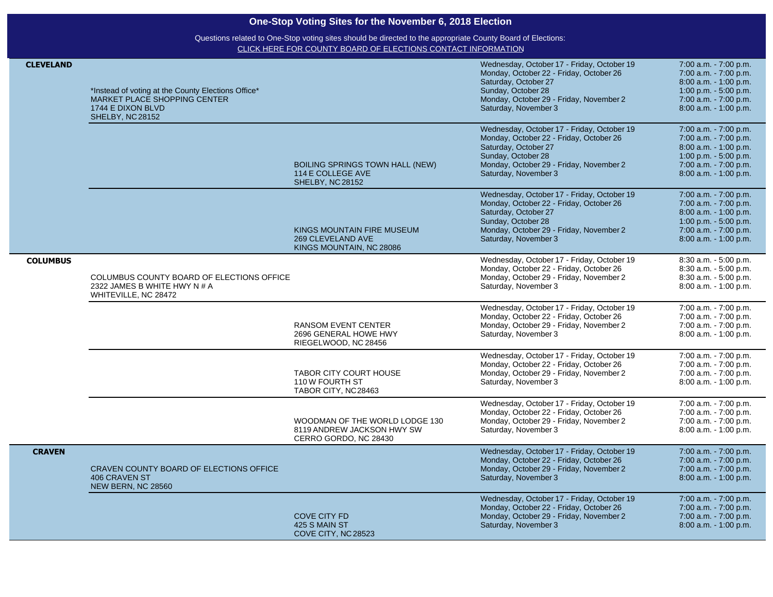| <b>CLEVELAND</b> | *Instead of voting at the County Elections Office*<br><b>MARKET PLACE SHOPPING CENTER</b><br>1744 E DIXON BLVD<br>SHELBY, NC 28152 |                                                                                       | Wednesday, October 17 - Friday, October 19<br>Monday, October 22 - Friday, October 26<br>Saturday, October 27<br>Sunday, October 28<br>Monday, October 29 - Friday, November 2<br>Saturday, November 3 | 7:00 a.m. - 7:00 p.m.<br>7:00 a.m. - 7:00 p.m.<br>8:00 a.m. - 1:00 p.m.<br>1:00 p.m. - 5:00 p.m.<br>7:00 a.m. - 7:00 p.m.<br>8:00 a.m. - 1:00 p.m. |
|------------------|------------------------------------------------------------------------------------------------------------------------------------|---------------------------------------------------------------------------------------|--------------------------------------------------------------------------------------------------------------------------------------------------------------------------------------------------------|----------------------------------------------------------------------------------------------------------------------------------------------------|
|                  |                                                                                                                                    | <b>BOILING SPRINGS TOWN HALL (NEW)</b><br>114 E COLLEGE AVE<br>SHELBY, NC 28152       | Wednesday, October 17 - Friday, October 19<br>Monday, October 22 - Friday, October 26<br>Saturday, October 27<br>Sunday, October 28<br>Monday, October 29 - Friday, November 2<br>Saturday, November 3 | 7:00 a.m. - 7:00 p.m.<br>7:00 a.m. - 7:00 p.m.<br>8:00 a.m. - 1:00 p.m.<br>1:00 p.m. - 5:00 p.m.<br>7:00 a.m. - 7:00 p.m.<br>8:00 a.m. - 1:00 p.m. |
|                  |                                                                                                                                    | KINGS MOUNTAIN FIRE MUSEUM<br>269 CLEVELAND AVE<br>KINGS MOUNTAIN, NC 28086           | Wednesday, October 17 - Friday, October 19<br>Monday, October 22 - Friday, October 26<br>Saturday, October 27<br>Sunday, October 28<br>Monday, October 29 - Friday, November 2<br>Saturday, November 3 | 7:00 a.m. - 7:00 p.m.<br>7:00 a.m. - 7:00 p.m.<br>8:00 a.m. - 1:00 p.m.<br>1:00 p.m. - 5:00 p.m.<br>7:00 a.m. - 7:00 p.m.<br>8:00 a.m. - 1:00 p.m. |
| <b>COLUMBUS</b>  | COLUMBUS COUNTY BOARD OF ELECTIONS OFFICE<br>2322 JAMES B WHITE HWY N # A<br>WHITEVILLE, NC 28472                                  |                                                                                       | Wednesday, October 17 - Friday, October 19<br>Monday, October 22 - Friday, October 26<br>Monday, October 29 - Friday, November 2<br>Saturday, November 3                                               | 8:30 a.m. - 5:00 p.m.<br>8:30 a.m. - 5:00 p.m.<br>8:30 a.m. - 5:00 p.m.<br>8:00 a.m. - 1:00 p.m.                                                   |
|                  |                                                                                                                                    | <b>RANSOM EVENT CENTER</b><br>2696 GENERAL HOWE HWY<br>RIEGELWOOD, NC 28456           | Wednesday, October 17 - Friday, October 19<br>Monday, October 22 - Friday, October 26<br>Monday, October 29 - Friday, November 2<br>Saturday, November 3                                               | 7:00 a.m. - 7:00 p.m.<br>7:00 a.m. - 7:00 p.m.<br>7:00 a.m. - 7:00 p.m.<br>8:00 a.m. - 1:00 p.m.                                                   |
|                  |                                                                                                                                    | <b>TABOR CITY COURT HOUSE</b><br>110 W FOURTH ST<br>TABOR CITY, NC28463               | Wednesday, October 17 - Friday, October 19<br>Monday, October 22 - Friday, October 26<br>Monday, October 29 - Friday, November 2<br>Saturday, November 3                                               | 7:00 a.m. - 7:00 p.m.<br>7:00 a.m. - 7:00 p.m.<br>7:00 a.m. - 7:00 p.m.<br>8:00 a.m. - 1:00 p.m.                                                   |
|                  |                                                                                                                                    | WOODMAN OF THE WORLD LODGE 130<br>8119 ANDREW JACKSON HWY SW<br>CERRO GORDO, NC 28430 | Wednesday, October 17 - Friday, October 19<br>Monday, October 22 - Friday, October 26<br>Monday, October 29 - Friday, November 2<br>Saturday, November 3                                               | 7:00 a.m. - 7:00 p.m.<br>7:00 a.m. - 7:00 p.m.<br>7:00 a.m. - 7:00 p.m.<br>8:00 a.m. - 1:00 p.m.                                                   |
| <b>CRAVEN</b>    | CRAVEN COUNTY BOARD OF ELECTIONS OFFICE<br><b>406 CRAVEN ST</b><br>NEW BERN, NC 28560                                              |                                                                                       | Wednesday, October 17 - Friday, October 19<br>Monday, October 22 - Friday, October 26<br>Monday, October 29 - Friday, November 2<br>Saturday, November 3                                               | 7:00 a.m. - 7:00 p.m.<br>7:00 a.m. - 7:00 p.m.<br>7:00 a.m. - 7:00 p.m.<br>8:00 a.m. - 1:00 p.m.                                                   |
|                  |                                                                                                                                    | <b>COVE CITY FD</b><br>425 S MAIN ST<br>COVE CITY, NC 28523                           | Wednesday, October 17 - Friday, October 19<br>Monday, October 22 - Friday, October 26<br>Monday, October 29 - Friday, November 2<br>Saturday, November 3                                               | 7:00 a.m. - 7:00 p.m.<br>7:00 a.m. - 7:00 p.m.<br>7:00 a.m. - 7:00 p.m.<br>8:00 a.m. - 1:00 p.m.                                                   |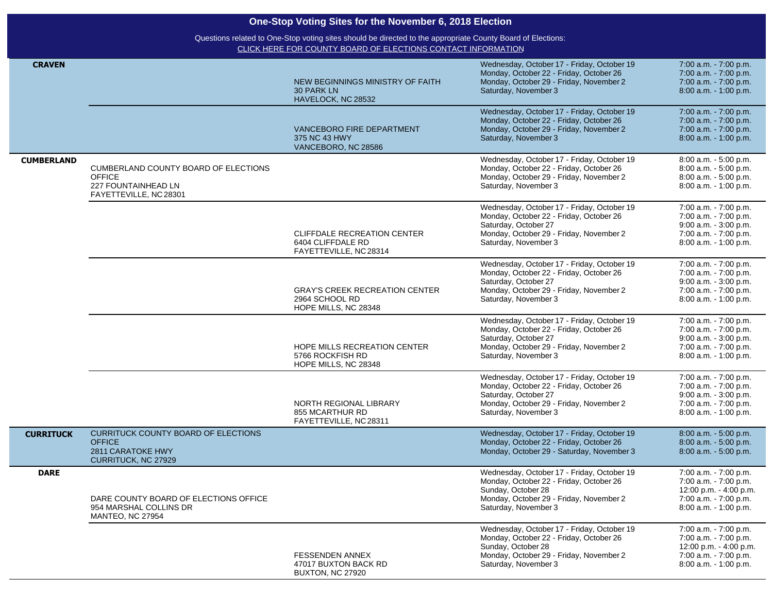|                   | One-Stop Voting Sites for the November 6, 2018 Election                                                       |                                                                                                                                                                             |                                                                                                                                                                                  |                                                                                                                              |
|-------------------|---------------------------------------------------------------------------------------------------------------|-----------------------------------------------------------------------------------------------------------------------------------------------------------------------------|----------------------------------------------------------------------------------------------------------------------------------------------------------------------------------|------------------------------------------------------------------------------------------------------------------------------|
|                   |                                                                                                               | Questions related to One-Stop voting sites should be directed to the appropriate County Board of Elections:<br>CLICK HERE FOR COUNTY BOARD OF ELECTIONS CONTACT INFORMATION |                                                                                                                                                                                  |                                                                                                                              |
| <b>CRAVEN</b>     |                                                                                                               | NEW BEGINNINGS MINISTRY OF FAITH<br><b>30 PARK LN</b><br>HAVELOCK, NC 28532                                                                                                 | Wednesday, October 17 - Friday, October 19<br>Monday, October 22 - Friday, October 26<br>Monday, October 29 - Friday, November 2<br>Saturday, November 3                         | 7:00 a.m. - 7:00 p.m.<br>7:00 a.m. - 7:00 p.m.<br>7:00 a.m. - 7:00 p.m.<br>8:00 a.m. - 1:00 p.m.                             |
|                   |                                                                                                               | VANCEBORO FIRE DEPARTMENT<br>375 NC 43 HWY<br>VANCEBORO, NC 28586                                                                                                           | Wednesday, October 17 - Friday, October 19<br>Monday, October 22 - Friday, October 26<br>Monday, October 29 - Friday, November 2<br>Saturday, November 3                         | 7:00 a.m. - 7:00 p.m.<br>7:00 a.m. - 7:00 p.m.<br>7:00 a.m. - 7:00 p.m.<br>8:00 a.m. - 1:00 p.m.                             |
| <b>CUMBERLAND</b> | <b>CUMBERLAND COUNTY BOARD OF ELECTIONS</b><br><b>OFFICE</b><br>227 FOUNTAINHEAD LN<br>FAYETTEVILLE, NC 28301 |                                                                                                                                                                             | Wednesday, October 17 - Friday, October 19<br>Monday, October 22 - Friday, October 26<br>Monday, October 29 - Friday, November 2<br>Saturday, November 3                         | 8:00 a.m. - 5:00 p.m.<br>8:00 a.m. - 5:00 p.m.<br>8:00 a.m. - 5:00 p.m.<br>8:00 a.m. - 1:00 p.m.                             |
|                   |                                                                                                               | CLIFFDALE RECREATION CENTER<br>6404 CLIFFDALE RD<br>FAYETTEVILLE, NC 28314                                                                                                  | Wednesday, October 17 - Friday, October 19<br>Monday, October 22 - Friday, October 26<br>Saturday, October 27<br>Monday, October 29 - Friday, November 2<br>Saturday, November 3 | 7:00 a.m. - 7:00 p.m.<br>7:00 a.m. - 7:00 p.m.<br>9:00 a.m. - 3:00 p.m.<br>7:00 a.m. - 7:00 p.m.<br>8:00 a.m. - 1:00 p.m.    |
|                   |                                                                                                               | <b>GRAY'S CREEK RECREATION CENTER</b><br>2964 SCHOOL RD<br>HOPE MILLS, NC 28348                                                                                             | Wednesday, October 17 - Friday, October 19<br>Monday, October 22 - Friday, October 26<br>Saturday, October 27<br>Monday, October 29 - Friday, November 2<br>Saturday, November 3 | 7:00 a.m. - 7:00 p.m.<br>7:00 a.m. - 7:00 p.m.<br>$9:00$ a.m. $-3:00$ p.m.<br>7:00 a.m. - 7:00 p.m.<br>8:00 a.m. - 1:00 p.m. |
|                   |                                                                                                               | HOPE MILLS RECREATION CENTER<br>5766 ROCKFISH RD<br>HOPE MILLS, NC 28348                                                                                                    | Wednesday, October 17 - Friday, October 19<br>Monday, October 22 - Friday, October 26<br>Saturday, October 27<br>Monday, October 29 - Friday, November 2<br>Saturday, November 3 | 7:00 a.m. - 7:00 p.m.<br>7:00 a.m. - 7:00 p.m.<br>9:00 a.m. - 3:00 p.m.<br>7:00 a.m. - 7:00 p.m.<br>8:00 a.m. - 1:00 p.m.    |
|                   |                                                                                                               | NORTH REGIONAL LIBRARY<br>855 MCARTHUR RD<br>FAYETTEVILLE, NC 28311                                                                                                         | Wednesday, October 17 - Friday, October 19<br>Monday, October 22 - Friday, October 26<br>Saturday, October 27<br>Monday, October 29 - Friday, November 2<br>Saturday, November 3 | 7:00 a.m. - 7:00 p.m.<br>7:00 a.m. - 7:00 p.m.<br>9:00 a.m. - 3:00 p.m.<br>7:00 a.m. - 7:00 p.m.<br>8:00 a.m. - 1:00 p.m.    |
| <b>CURRITUCK</b>  | <b>CURRITUCK COUNTY BOARD OF ELECTIONS</b><br><b>OFFICE</b><br>2811 CARATOKE HWY<br>CURRITUCK, NC 27929       |                                                                                                                                                                             | Wednesday, October 17 - Friday, October 19<br>Monday, October 22 - Friday, October 26<br>Monday, October 29 - Saturday, November 3                                               | 8:00 a.m. - 5:00 p.m.<br>$8:00$ a.m. $-5:00$ p.m.<br>8:00 a.m. - 5:00 p.m.                                                   |
| <b>DARE</b>       | DARE COUNTY BOARD OF ELECTIONS OFFICE<br>954 MARSHAL COLLINS DR<br><b>MANTEO, NC 27954</b>                    |                                                                                                                                                                             | Wednesday, October 17 - Friday, October 19<br>Monday, October 22 - Friday, October 26<br>Sunday, October 28<br>Monday, October 29 - Friday, November 2<br>Saturday, November 3   | 7:00 a.m. - 7:00 p.m.<br>7:00 a.m. - 7:00 p.m.<br>12:00 p.m. - 4:00 p.m.<br>7:00 a.m. - 7:00 p.m.<br>8:00 a.m. - 1:00 p.m.   |
|                   |                                                                                                               | <b>FESSENDEN ANNEX</b><br>47017 BUXTON BACK RD<br><b>BUXTON, NC 27920</b>                                                                                                   | Wednesday, October 17 - Friday, October 19<br>Monday, October 22 - Friday, October 26<br>Sunday, October 28<br>Monday, October 29 - Friday, November 2<br>Saturday, November 3   | 7:00 a.m. - 7:00 p.m.<br>7:00 a.m. - 7:00 p.m.<br>12:00 p.m. - 4:00 p.m.<br>7:00 a.m. - 7:00 p.m.<br>8:00 a.m. - 1:00 p.m.   |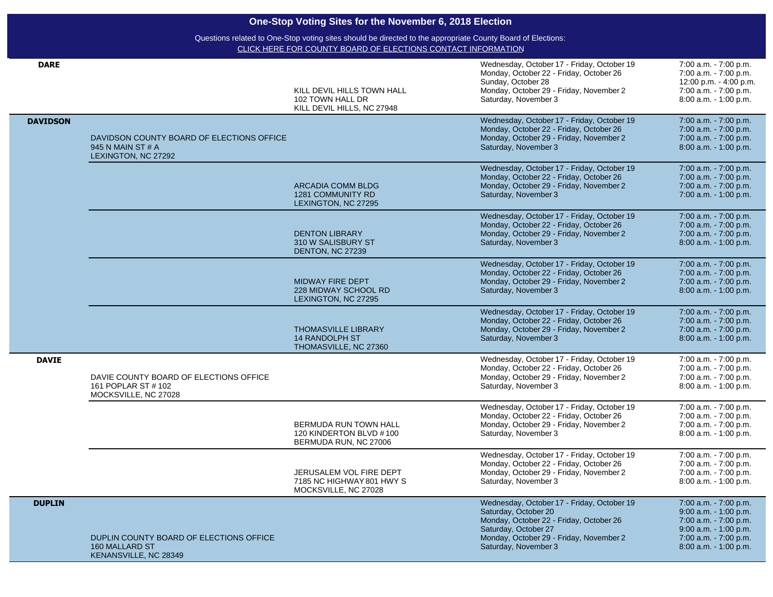| <b>DARE</b>     |                                                                                           | KILL DEVIL HILLS TOWN HALL<br>102 TOWN HALL DR<br>KILL DEVIL HILLS, NC 27948 | Wednesday, October 17 - Friday, October 19<br>Monday, October 22 - Friday, October 26<br>Sunday, October 28<br>Monday, October 29 - Friday, November 2<br>Saturday, November 3                           | 7:00 a.m. - 7:00 p.m.<br>7:00 a.m. - 7:00 p.m.<br>12:00 p.m. - 4:00 p.m.<br>7:00 a.m. - 7:00 p.m.<br>8:00 a.m. - 1:00 p.m.                               |
|-----------------|-------------------------------------------------------------------------------------------|------------------------------------------------------------------------------|----------------------------------------------------------------------------------------------------------------------------------------------------------------------------------------------------------|----------------------------------------------------------------------------------------------------------------------------------------------------------|
| <b>DAVIDSON</b> | DAVIDSON COUNTY BOARD OF ELECTIONS OFFICE<br>945 N MAIN ST # A<br>LEXINGTON, NC 27292     |                                                                              | Wednesday, October 17 - Friday, October 19<br>Monday, October 22 - Friday, October 26<br>Monday, October 29 - Friday, November 2<br>Saturday, November 3                                                 | 7:00 a.m. - 7:00 p.m.<br>7:00 a.m. - 7:00 p.m.<br>7:00 a.m. - 7:00 p.m.<br>8:00 a.m. - 1:00 p.m.                                                         |
|                 |                                                                                           | <b>ARCADIA COMM BLDG</b><br>1281 COMMUNITY RD<br>LEXINGTON, NC 27295         | Wednesday, October 17 - Friday, October 19<br>Monday, October 22 - Friday, October 26<br>Monday, October 29 - Friday, November 2<br>Saturday, November 3                                                 | 7:00 a.m. - 7:00 p.m.<br>7:00 a.m. - 7:00 p.m.<br>7:00 a.m. - 7:00 p.m.<br>7:00 a.m. - 1:00 p.m.                                                         |
|                 |                                                                                           | <b>DENTON LIBRARY</b><br>310 W SALISBURY ST<br>DENTON, NC 27239              | Wednesday, October 17 - Friday, October 19<br>Monday, October 22 - Friday, October 26<br>Monday, October 29 - Friday, November 2<br>Saturday, November 3                                                 | 7:00 a.m. - 7:00 p.m.<br>7:00 a.m. - 7:00 p.m.<br>7:00 a.m. - 7:00 p.m.<br>8:00 a.m. - 1:00 p.m.                                                         |
|                 |                                                                                           | <b>MIDWAY FIRE DEPT</b><br>228 MIDWAY SCHOOL RD<br>LEXINGTON, NC 27295       | Wednesday, October 17 - Friday, October 19<br>Monday, October 22 - Friday, October 26<br>Monday, October 29 - Friday, November 2<br>Saturday, November 3                                                 | 7:00 a.m. - 7:00 p.m.<br>7:00 a.m. - 7:00 p.m.<br>7:00 a.m. - 7:00 p.m.<br>8:00 a.m. - 1:00 p.m.                                                         |
|                 |                                                                                           | <b>THOMASVILLE LIBRARY</b><br><b>14 RANDOLPH ST</b><br>THOMASVILLE, NC 27360 | Wednesday, October 17 - Friday, October 19<br>Monday, October 22 - Friday, October 26<br>Monday, October 29 - Friday, November 2<br>Saturday, November 3                                                 | 7:00 a.m. - 7:00 p.m.<br>7:00 a.m. - 7:00 p.m.<br>7:00 a.m. - 7:00 p.m.<br>8:00 a.m. - 1:00 p.m.                                                         |
| <b>DAVIE</b>    | DAVIE COUNTY BOARD OF ELECTIONS OFFICE<br>161 POPLAR ST # 102<br>MOCKSVILLE, NC 27028     |                                                                              | Wednesday, October 17 - Friday, October 19<br>Monday, October 22 - Friday, October 26<br>Monday, October 29 - Friday, November 2<br>Saturday, November 3                                                 | 7:00 a.m. - 7:00 p.m.<br>7:00 a.m. - 7:00 p.m.<br>7:00 a.m. - 7:00 p.m.<br>8:00 a.m. - 1:00 p.m.                                                         |
|                 |                                                                                           | BERMUDA RUN TOWN HALL<br>120 KINDERTON BLVD #100<br>BERMUDA RUN, NC 27006    | Wednesday, October 17 - Friday, October 19<br>Monday, October 22 - Friday, October 26<br>Monday, October 29 - Friday, November 2<br>Saturday, November 3                                                 | 7:00 a.m. - 7:00 p.m.<br>7:00 a.m. - 7:00 p.m.<br>7:00 a.m. - 7:00 p.m.<br>8:00 a.m. - 1:00 p.m.                                                         |
|                 |                                                                                           | JERUSALEM VOL FIRE DEPT<br>7185 NC HIGHWAY 801 HWY S<br>MOCKSVILLE, NC 27028 | Wednesday, October 17 - Friday, October 19<br>Monday, October 22 - Friday, October 26<br>Monday, October 29 - Friday, November 2<br>Saturday, November 3                                                 | 7:00 a.m. - 7:00 p.m.<br>7:00 a.m. - 7:00 p.m.<br>7:00 a.m. - 7:00 p.m.<br>8:00 a.m. - 1:00 p.m.                                                         |
| <b>DUPLIN</b>   | DUPLIN COUNTY BOARD OF ELECTIONS OFFICE<br><b>160 MALLARD ST</b><br>KENANSVILLE, NC 28349 |                                                                              | Wednesday, October 17 - Friday, October 19<br>Saturday, October 20<br>Monday, October 22 - Friday, October 26<br>Saturday, October 27<br>Monday, October 29 - Friday, November 2<br>Saturday, November 3 | 7:00 a.m. - 7:00 p.m.<br>$9:00$ a.m. $-1:00$ p.m.<br>7:00 a.m. - 7:00 p.m.<br>9:00 a.m. - 1:00 p.m.<br>7:00 a.m. - 7:00 p.m.<br>$8:00$ a.m. $-1:00$ p.m. |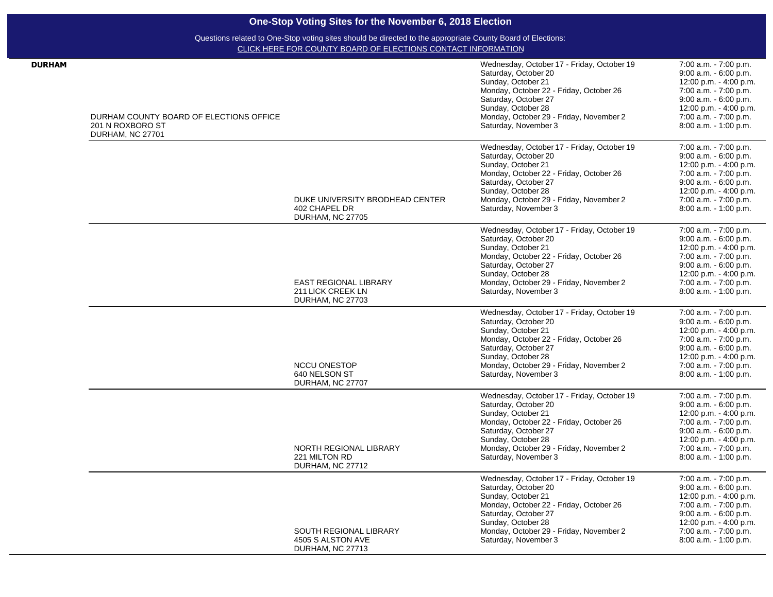| <b>DURHAM</b> |                                         |                                          | Wednesday, October 17 - Friday, October 19                      | 7:00 a.m. - 7:00 p.m.                              |
|---------------|-----------------------------------------|------------------------------------------|-----------------------------------------------------------------|----------------------------------------------------|
|               |                                         |                                          | Saturday, October 20                                            | $9:00$ a.m. $-6:00$ p.m.                           |
|               |                                         |                                          | Sunday, October 21                                              | 12:00 p.m. - 4:00 p.m.                             |
|               |                                         |                                          | Monday, October 22 - Friday, October 26                         | 7:00 a.m. - 7:00 p.m.                              |
|               |                                         |                                          | Saturday, October 27<br>Sunday, October 28                      | $9:00$ a.m. $-6:00$ p.m.<br>12:00 p.m. - 4:00 p.m. |
|               | DURHAM COUNTY BOARD OF ELECTIONS OFFICE |                                          | Monday, October 29 - Friday, November 2                         | 7:00 a.m. - 7:00 p.m.                              |
|               | 201 N ROXBORO ST                        |                                          | Saturday, November 3                                            | 8:00 a.m. - 1:00 p.m.                              |
|               | DURHAM, NC 27701                        |                                          |                                                                 |                                                    |
|               |                                         |                                          | Wednesday, October 17 - Friday, October 19                      | 7:00 a.m. - 7:00 p.m.                              |
|               |                                         |                                          | Saturday, October 20                                            | $9:00$ a.m. $-6:00$ p.m.                           |
|               |                                         |                                          | Sunday, October 21                                              | 12:00 p.m. - 4:00 p.m.                             |
|               |                                         |                                          | Monday, October 22 - Friday, October 26                         | 7:00 a.m. - 7:00 p.m.                              |
|               |                                         |                                          | Saturday, October 27                                            | $9:00$ a.m. $-6:00$ p.m.                           |
|               |                                         |                                          | Sunday, October 28                                              | 12:00 p.m. - 4:00 p.m.                             |
|               |                                         | DUKE UNIVERSITY BRODHEAD CENTER          | Monday, October 29 - Friday, November 2                         | 7:00 a.m. - 7:00 p.m.                              |
|               |                                         | 402 CHAPEL DR<br><b>DURHAM, NC 27705</b> | Saturday, November 3                                            | 8:00 a.m. - 1:00 p.m.                              |
|               |                                         |                                          | Wednesday, October 17 - Friday, October 19                      | 7:00 a.m. - 7:00 p.m.                              |
|               |                                         |                                          | Saturday, October 20                                            | $9:00$ a.m. $-6:00$ p.m.                           |
|               |                                         |                                          | Sunday, October 21                                              | 12:00 p.m. - 4:00 p.m.                             |
|               |                                         |                                          | Monday, October 22 - Friday, October 26                         | 7:00 a.m. - 7:00 p.m.                              |
|               |                                         |                                          | Saturday, October 27                                            | 9:00 a.m. - 6:00 p.m.                              |
|               |                                         | <b>EAST REGIONAL LIBRARY</b>             | Sunday, October 28<br>Monday, October 29 - Friday, November 2   | 12:00 p.m. - 4:00 p.m.<br>7:00 a.m. - 7:00 p.m.    |
|               |                                         | 211 LICK CREEK LN                        | Saturday, November 3                                            | 8:00 a.m. - 1:00 p.m.                              |
|               |                                         | DURHAM, NC 27703                         |                                                                 |                                                    |
|               |                                         |                                          | Wednesday, October 17 - Friday, October 19                      | 7:00 a.m. - 7:00 p.m.                              |
|               |                                         |                                          | Saturday, October 20                                            | 9:00 a.m. - 6:00 p.m.                              |
|               |                                         |                                          | Sunday, October 21                                              | 12:00 p.m. - 4:00 p.m.                             |
|               |                                         |                                          | Monday, October 22 - Friday, October 26                         | 7:00 a.m. - 7:00 p.m.                              |
|               |                                         |                                          | Saturday, October 27<br>Sunday, October 28                      | 9:00 a.m. - 6:00 p.m.<br>12:00 p.m. - 4:00 p.m.    |
|               |                                         | <b>NCCU ONESTOP</b>                      | Monday, October 29 - Friday, November 2                         | 7:00 a.m. - 7:00 p.m.                              |
|               |                                         | 640 NELSON ST                            | Saturday, November 3                                            | 8:00 a.m. - 1:00 p.m.                              |
|               |                                         | DURHAM, NC 27707                         |                                                                 |                                                    |
|               |                                         |                                          | Wednesday, October 17 - Friday, October 19                      | 7:00 a.m. - 7:00 p.m.                              |
|               |                                         |                                          | Saturday, October 20                                            | 9:00 a.m. - 6:00 p.m.                              |
|               |                                         |                                          | Sunday, October 21                                              | 12:00 p.m. - 4:00 p.m.                             |
|               |                                         |                                          | Monday, October 22 - Friday, October 26                         | 7:00 a.m. - 7:00 p.m.                              |
|               |                                         |                                          | Saturday, October 27                                            | 9:00 a.m. - 6:00 p.m.                              |
|               |                                         | NORTH REGIONAL LIBRARY                   | Sunday, October 28<br>Monday, October 29 - Friday, November 2   | 12:00 p.m. - 4:00 p.m.<br>7:00 a.m. - 7:00 p.m.    |
|               |                                         | 221 MILTON RD                            | Saturday, November 3                                            | 8:00 a.m. - 1:00 p.m.                              |
|               |                                         | DURHAM, NC 27712                         |                                                                 |                                                    |
|               |                                         |                                          | Wednesday, October 17 - Friday, October 19                      | 7:00 a.m. - 7:00 p.m.                              |
|               |                                         |                                          | Saturday, October 20                                            | 9:00 a.m. - 6:00 p.m.                              |
|               |                                         |                                          | Sunday, October 21                                              | 12:00 p.m. - 4:00 p.m.                             |
|               |                                         |                                          | Monday, October 22 - Friday, October 26<br>Saturday, October 27 | 7:00 a.m. - 7:00 p.m.<br>$9:00$ a.m. $-6:00$ p.m.  |
|               |                                         |                                          | Sunday, October 28                                              | 12:00 p.m. - 4:00 p.m.                             |
|               |                                         | <b>SOUTH REGIONAL LIBRARY</b>            | Monday, October 29 - Friday, November 2                         | 7:00 a.m. - 7:00 p.m.                              |
|               |                                         | 4505 S ALSTON AVE                        | Saturday, November 3                                            | 8:00 a.m. - 1:00 p.m.                              |
|               |                                         | DURHAM, NC 27713                         |                                                                 |                                                    |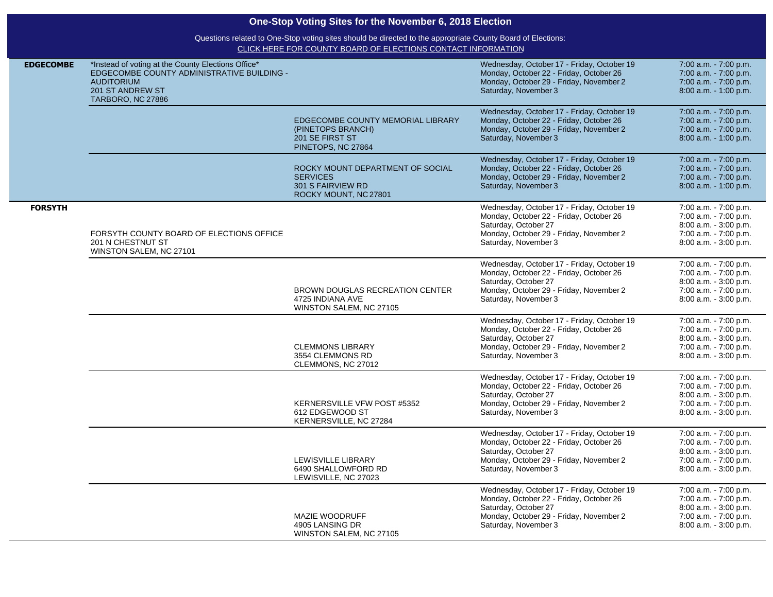| One-Stop Voting Sites for the November 6, 2018 Election |                                                                                                                                                                             |                                                                                                   |                                                                                                                                                                                  |                                                                                                                           |  |  |
|---------------------------------------------------------|-----------------------------------------------------------------------------------------------------------------------------------------------------------------------------|---------------------------------------------------------------------------------------------------|----------------------------------------------------------------------------------------------------------------------------------------------------------------------------------|---------------------------------------------------------------------------------------------------------------------------|--|--|
|                                                         | Questions related to One-Stop voting sites should be directed to the appropriate County Board of Elections:<br>CLICK HERE FOR COUNTY BOARD OF ELECTIONS CONTACT INFORMATION |                                                                                                   |                                                                                                                                                                                  |                                                                                                                           |  |  |
| <b>EDGECOMBE</b>                                        | *Instead of voting at the County Elections Office*<br>EDGECOMBE COUNTY ADMINISTRATIVE BUILDING -<br><b>AUDITORIUM</b><br>201 ST ANDREW ST<br><b>TARBORO, NC 27886</b>       |                                                                                                   | Wednesday, October 17 - Friday, October 19<br>Monday, October 22 - Friday, October 26<br>Monday, October 29 - Friday, November 2<br>Saturday, November 3                         | 7:00 a.m. - 7:00 p.m.<br>7:00 a.m. - 7:00 p.m.<br>7:00 a.m. - 7:00 p.m.<br>8:00 a.m. - 1:00 p.m.                          |  |  |
|                                                         |                                                                                                                                                                             | EDGECOMBE COUNTY MEMORIAL LIBRARY<br>(PINETOPS BRANCH)<br>201 SE FIRST ST<br>PINETOPS, NC 27864   | Wednesday, October 17 - Friday, October 19<br>Monday, October 22 - Friday, October 26<br>Monday, October 29 - Friday, November 2<br>Saturday, November 3                         | 7:00 a.m. - 7:00 p.m.<br>7:00 a.m. - 7:00 p.m.<br>7:00 a.m. - 7:00 p.m.<br>8:00 a.m. - 1:00 p.m.                          |  |  |
|                                                         |                                                                                                                                                                             | ROCKY MOUNT DEPARTMENT OF SOCIAL<br><b>SERVICES</b><br>301 S FAIRVIEW RD<br>ROCKY MOUNT, NC 27801 | Wednesday, October 17 - Friday, October 19<br>Monday, October 22 - Friday, October 26<br>Monday, October 29 - Friday, November 2<br>Saturday, November 3                         | 7:00 a.m. - 7:00 p.m.<br>7:00 a.m. - 7:00 p.m.<br>7:00 a.m. - 7:00 p.m.<br>8:00 a.m. - 1:00 p.m.                          |  |  |
| <b>FORSYTH</b>                                          | FORSYTH COUNTY BOARD OF ELECTIONS OFFICE<br>201 N CHESTNUT ST<br>WINSTON SALEM, NC 27101                                                                                    |                                                                                                   | Wednesday, October 17 - Friday, October 19<br>Monday, October 22 - Friday, October 26<br>Saturday, October 27<br>Monday, October 29 - Friday, November 2<br>Saturday, November 3 | 7:00 a.m. - 7:00 p.m.<br>7:00 a.m. - 7:00 p.m.<br>8:00 a.m. - 3:00 p.m.<br>7:00 a.m. - 7:00 p.m.<br>8:00 a.m. - 3:00 p.m. |  |  |
|                                                         |                                                                                                                                                                             | BROWN DOUGLAS RECREATION CENTER<br>4725 INDIANA AVE<br>WINSTON SALEM, NC 27105                    | Wednesday, October 17 - Friday, October 19<br>Monday, October 22 - Friday, October 26<br>Saturday, October 27<br>Monday, October 29 - Friday, November 2<br>Saturday, November 3 | 7:00 a.m. - 7:00 p.m.<br>7:00 a.m. - 7:00 p.m.<br>8:00 a.m. - 3:00 p.m.<br>7:00 a.m. - 7:00 p.m.<br>8:00 a.m. - 3:00 p.m. |  |  |
|                                                         |                                                                                                                                                                             | <b>CLEMMONS LIBRARY</b><br>3554 CLEMMONS RD<br>CLEMMONS, NC 27012                                 | Wednesday, October 17 - Friday, October 19<br>Monday, October 22 - Friday, October 26<br>Saturday, October 27<br>Monday, October 29 - Friday, November 2<br>Saturday, November 3 | 7:00 a.m. - 7:00 p.m.<br>7:00 a.m. - 7:00 p.m.<br>8:00 a.m. - 3:00 p.m.<br>7:00 a.m. - 7:00 p.m.<br>8:00 a.m. - 3:00 p.m. |  |  |
|                                                         |                                                                                                                                                                             | KERNERSVILLE VFW POST #5352<br>612 EDGEWOOD ST<br>KERNERSVILLE, NC 27284                          | Wednesday, October 17 - Friday, October 19<br>Monday, October 22 - Friday, October 26<br>Saturday, October 27<br>Monday, October 29 - Friday, November 2<br>Saturday, November 3 | 7:00 a.m. - 7:00 p.m.<br>7:00 a.m. - 7:00 p.m.<br>8:00 a.m. - 3:00 p.m.<br>7:00 a.m. - 7:00 p.m.<br>8:00 a.m. - 3:00 p.m. |  |  |
|                                                         |                                                                                                                                                                             | LEWISVILLE LIBRARY<br>6490 SHALLOWFORD RD<br>LEWISVILLE, NC 27023                                 | Wednesday, October 17 - Friday, October 19<br>Monday, October 22 - Friday, October 26<br>Saturday, October 27<br>Monday, October 29 - Friday, November 2<br>Saturday, November 3 | 7:00 a.m. - 7:00 p.m.<br>7:00 a.m. - 7:00 p.m.<br>8:00 a.m. - 3:00 p.m.<br>7:00 a.m. - 7:00 p.m.<br>8:00 a.m. - 3:00 p.m. |  |  |
|                                                         |                                                                                                                                                                             | MAZIE WOODRUFF<br>4905 LANSING DR<br>WINSTON SALEM, NC 27105                                      | Wednesday, October 17 - Friday, October 19<br>Monday, October 22 - Friday, October 26<br>Saturday, October 27<br>Monday, October 29 - Friday, November 2<br>Saturday, November 3 | 7:00 a.m. - 7:00 p.m.<br>7:00 a.m. - 7:00 p.m.<br>8:00 a.m. - 3:00 p.m.<br>7:00 a.m. - 7:00 p.m.<br>8:00 a.m. - 3:00 p.m. |  |  |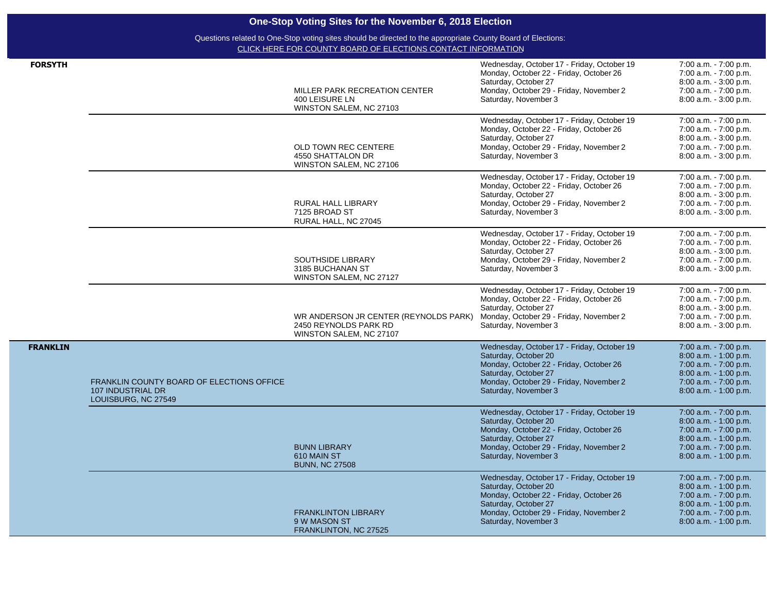|                 |                                                                                                                                                                             | One-Stop Voting Sites for the November 6, 2018 Election                                   |                                                                                                                                                                                                          |                                                                                                                                                          |  |
|-----------------|-----------------------------------------------------------------------------------------------------------------------------------------------------------------------------|-------------------------------------------------------------------------------------------|----------------------------------------------------------------------------------------------------------------------------------------------------------------------------------------------------------|----------------------------------------------------------------------------------------------------------------------------------------------------------|--|
|                 | Questions related to One-Stop voting sites should be directed to the appropriate County Board of Elections:<br>CLICK HERE FOR COUNTY BOARD OF ELECTIONS CONTACT INFORMATION |                                                                                           |                                                                                                                                                                                                          |                                                                                                                                                          |  |
| <b>FORSYTH</b>  |                                                                                                                                                                             | MILLER PARK RECREATION CENTER<br>400 LEISURE LN<br>WINSTON SALEM, NC 27103                | Wednesday, October 17 - Friday, October 19<br>Monday, October 22 - Friday, October 26<br>Saturday, October 27<br>Monday, October 29 - Friday, November 2<br>Saturday, November 3                         | 7:00 a.m. - 7:00 p.m.<br>7:00 a.m. - 7:00 p.m.<br>8:00 a.m. - 3:00 p.m.<br>7:00 a.m. - 7:00 p.m.<br>8:00 a.m. - 3:00 p.m.                                |  |
|                 |                                                                                                                                                                             | OLD TOWN REC CENTERE<br>4550 SHATTALON DR<br>WINSTON SALEM, NC 27106                      | Wednesday, October 17 - Friday, October 19<br>Monday, October 22 - Friday, October 26<br>Saturday, October 27<br>Monday, October 29 - Friday, November 2<br>Saturday, November 3                         | 7:00 a.m. - 7:00 p.m.<br>7:00 a.m. - 7:00 p.m.<br>8:00 a.m. - 3:00 p.m.<br>7:00 a.m. - 7:00 p.m.<br>8:00 a.m. - 3:00 p.m.                                |  |
|                 |                                                                                                                                                                             | RURAL HALL LIBRARY<br>7125 BROAD ST<br>RURAL HALL, NC 27045                               | Wednesday, October 17 - Friday, October 19<br>Monday, October 22 - Friday, October 26<br>Saturday, October 27<br>Monday, October 29 - Friday, November 2<br>Saturday, November 3                         | 7:00 a.m. - 7:00 p.m.<br>7:00 a.m. - 7:00 p.m.<br>8:00 a.m. - 3:00 p.m.<br>7:00 a.m. - 7:00 p.m.<br>8:00 a.m. - 3:00 p.m.                                |  |
|                 |                                                                                                                                                                             | <b>SOUTHSIDE LIBRARY</b><br>3185 BUCHANAN ST<br>WINSTON SALEM, NC 27127                   | Wednesday, October 17 - Friday, October 19<br>Monday, October 22 - Friday, October 26<br>Saturday, October 27<br>Monday, October 29 - Friday, November 2<br>Saturday, November 3                         | 7:00 a.m. - 7:00 p.m.<br>7:00 a.m. - 7:00 p.m.<br>8:00 a.m. - 3:00 p.m.<br>7:00 a.m. - 7:00 p.m.<br>8:00 a.m. - 3:00 p.m.                                |  |
|                 |                                                                                                                                                                             | WR ANDERSON JR CENTER (REYNOLDS PARK)<br>2450 REYNOLDS PARK RD<br>WINSTON SALEM, NC 27107 | Wednesday, October 17 - Friday, October 19<br>Monday, October 22 - Friday, October 26<br>Saturday, October 27<br>Monday, October 29 - Friday, November 2<br>Saturday, November 3                         | 7:00 a.m. - 7:00 p.m.<br>7:00 a.m. - 7:00 p.m.<br>8:00 a.m. - 3:00 p.m.<br>7:00 a.m. - 7:00 p.m.<br>8:00 a.m. - 3:00 p.m.                                |  |
| <b>FRANKLIN</b> | FRANKLIN COUNTY BOARD OF ELECTIONS OFFICE<br>107 INDUSTRIAL DR<br>LOUISBURG, NC 27549                                                                                       |                                                                                           | Wednesday, October 17 - Friday, October 19<br>Saturday, October 20<br>Monday, October 22 - Friday, October 26<br>Saturday, October 27<br>Monday, October 29 - Friday, November 2<br>Saturday, November 3 | 7:00 a.m. - 7:00 p.m.<br>8:00 a.m. - 1:00 p.m.<br>7:00 a.m. - 7:00 p.m.<br>8:00 a.m. - 1:00 p.m.<br>7:00 a.m. - 7:00 p.m.<br>8:00 a.m. - 1:00 p.m.       |  |
|                 |                                                                                                                                                                             | <b>BUNN LIBRARY</b><br>610 MAIN ST<br><b>BUNN, NC 27508</b>                               | Wednesday, October 17 - Friday, October 19<br>Saturday, October 20<br>Monday, October 22 - Friday, October 26<br>Saturday, October 27<br>Monday, October 29 - Friday, November 2<br>Saturday, November 3 | 7:00 a.m. - 7:00 p.m.<br>8:00 a.m. - 1:00 p.m.<br>7:00 a.m. - 7:00 p.m.<br>$8.00$ a.m. $-1.00$ p.m.<br>$7:00$ a.m. $-7:00$ p.m.<br>8:00 a.m. - 1:00 p.m. |  |
|                 |                                                                                                                                                                             | <b>FRANKLINTON LIBRARY</b><br>9 W MASON ST<br>FRANKLINTON, NC 27525                       | Wednesday, October 17 - Friday, October 19<br>Saturday, October 20<br>Monday, October 22 - Friday, October 26<br>Saturday, October 27<br>Monday, October 29 - Friday, November 2<br>Saturday, November 3 | 7:00 a.m. - 7:00 p.m.<br>8:00 a.m. - 1:00 p.m.<br>7:00 a.m. - 7:00 p.m.<br>8:00 a.m. - 1:00 p.m.<br>7:00 a.m. - 7:00 p.m.<br>8:00 a.m. - 1:00 p.m.       |  |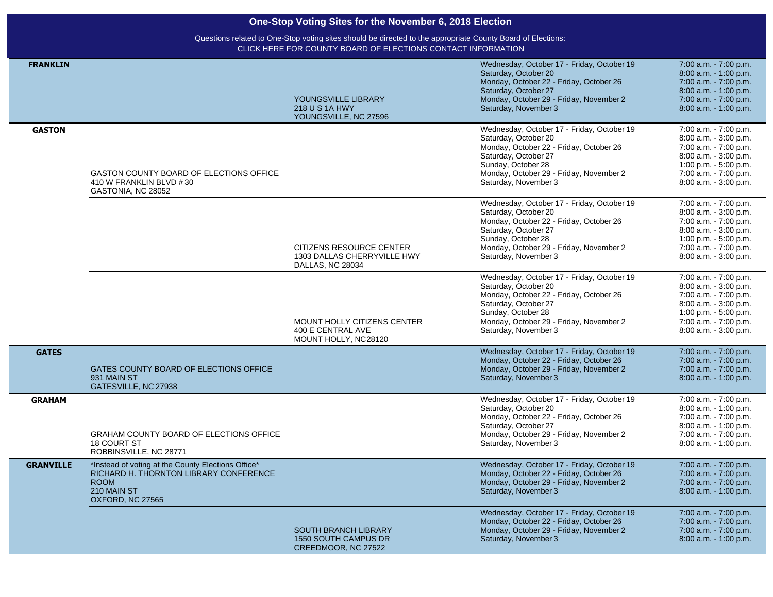| One-Stop Voting Sites for the November 6, 2018 Election |                                                                                                                                                |                                                                                 |                                                                                                                                                                                                                                |                                                                                                                                                                             |  |
|---------------------------------------------------------|------------------------------------------------------------------------------------------------------------------------------------------------|---------------------------------------------------------------------------------|--------------------------------------------------------------------------------------------------------------------------------------------------------------------------------------------------------------------------------|-----------------------------------------------------------------------------------------------------------------------------------------------------------------------------|--|
|                                                         | Questions related to One-Stop voting sites should be directed to the appropriate County Board of Elections:                                    |                                                                                 |                                                                                                                                                                                                                                |                                                                                                                                                                             |  |
|                                                         |                                                                                                                                                | CLICK HERE FOR COUNTY BOARD OF ELECTIONS CONTACT INFORMATION                    |                                                                                                                                                                                                                                |                                                                                                                                                                             |  |
| <b>FRANKLIN</b>                                         |                                                                                                                                                | YOUNGSVILLE LIBRARY<br>218 U S 1A HWY<br>YOUNGSVILLE, NC 27596                  | Wednesday, October 17 - Friday, October 19<br>Saturday, October 20<br>Monday, October 22 - Friday, October 26<br>Saturday, October 27<br>Monday, October 29 - Friday, November 2<br>Saturday, November 3                       | 7:00 a.m. - 7:00 p.m.<br>8:00 a.m. - 1:00 p.m.<br>7:00 a.m. - 7:00 p.m.<br>8:00 a.m. - 1:00 p.m.<br>7:00 a.m. - 7:00 p.m.<br>8:00 a.m. - 1:00 p.m.                          |  |
| <b>GASTON</b>                                           | GASTON COUNTY BOARD OF ELECTIONS OFFICE<br>410 W FRANKLIN BLVD #30<br>GASTONIA, NC 28052                                                       |                                                                                 | Wednesday, October 17 - Friday, October 19<br>Saturday, October 20<br>Monday, October 22 - Friday, October 26<br>Saturday, October 27<br>Sunday, October 28<br>Monday, October 29 - Friday, November 2<br>Saturday, November 3 | 7:00 a.m. - 7:00 p.m.<br>8:00 a.m. - 3:00 p.m.<br>7:00 a.m. - 7:00 p.m.<br>8:00 a.m. - 3:00 p.m.<br>1:00 p.m. - 5:00 p.m.<br>7:00 a.m. - 7:00 p.m.<br>8:00 a.m. - 3:00 p.m. |  |
|                                                         |                                                                                                                                                | CITIZENS RESOURCE CENTER<br>1303 DALLAS CHERRYVILLE HWY<br>DALLAS, NC 28034     | Wednesday, October 17 - Friday, October 19<br>Saturday, October 20<br>Monday, October 22 - Friday, October 26<br>Saturday, October 27<br>Sunday, October 28<br>Monday, October 29 - Friday, November 2<br>Saturday, November 3 | 7:00 a.m. - 7:00 p.m.<br>8:00 a.m. - 3:00 p.m.<br>7:00 a.m. - 7:00 p.m.<br>8:00 a.m. - 3:00 p.m.<br>1:00 p.m. - 5:00 p.m.<br>7:00 a.m. - 7:00 p.m.<br>8:00 a.m. - 3:00 p.m. |  |
|                                                         |                                                                                                                                                | <b>MOUNT HOLLY CITIZENS CENTER</b><br>400 E CENTRAL AVE<br>MOUNT HOLLY, NC28120 | Wednesday, October 17 - Friday, October 19<br>Saturday, October 20<br>Monday, October 22 - Friday, October 26<br>Saturday, October 27<br>Sunday, October 28<br>Monday, October 29 - Friday, November 2<br>Saturday, November 3 | 7:00 a.m. - 7:00 p.m.<br>8:00 a.m. - 3:00 p.m.<br>7:00 a.m. - 7:00 p.m.<br>8:00 a.m. - 3:00 p.m.<br>1:00 p.m. - 5:00 p.m.<br>7:00 a.m. - 7:00 p.m.<br>8:00 a.m. - 3:00 p.m. |  |
| <b>GATES</b>                                            | GATES COUNTY BOARD OF ELECTIONS OFFICE<br>931 MAIN ST<br>GATESVILLE, NC 27938                                                                  |                                                                                 | Wednesday, October 17 - Friday, October 19<br>Monday, October 22 - Friday, October 26<br>Monday, October 29 - Friday, November 2<br>Saturday, November 3                                                                       | 7:00 a.m. - 7:00 p.m.<br>7:00 a.m. - 7:00 p.m.<br>7:00 a.m. - 7:00 p.m.<br>8:00 a.m. - 1:00 p.m.                                                                            |  |
| <b>GRAHAM</b>                                           | <b>GRAHAM COUNTY BOARD OF ELECTIONS OFFICE</b><br><b>18 COURT ST</b><br>ROBBINSVILLE, NC 28771                                                 |                                                                                 | Wednesday, October 17 - Friday, October 19<br>Saturday, October 20<br>Monday, October 22 - Friday, October 26<br>Saturday, October 27<br>Monday, October 29 - Friday, November 2<br>Saturday, November 3                       | 7:00 a.m. - 7:00 p.m.<br>8:00 a.m. - 1:00 p.m.<br>7:00 a.m. - 7:00 p.m.<br>8:00 a.m. - 1:00 p.m.<br>7:00 a.m. - 7:00 p.m.<br>8:00 a.m. - 1:00 p.m.                          |  |
| <b>GRANVILLE</b>                                        | *Instead of voting at the County Elections Office*<br>RICHARD H. THORNTON LIBRARY CONFERENCE<br><b>ROOM</b><br>210 MAIN ST<br>OXFORD, NC 27565 |                                                                                 | Wednesday, October 17 - Friday, October 19<br>Monday, October 22 - Friday, October 26<br>Monday, October 29 - Friday, November 2<br>Saturday, November 3                                                                       | 7:00 a.m. - 7:00 p.m.<br>7:00 a.m. - 7:00 p.m.<br>7:00 a.m. - 7:00 p.m.<br>8:00 a.m. - 1:00 p.m.                                                                            |  |
|                                                         |                                                                                                                                                | SOUTH BRANCH LIBRARY<br>1550 SOUTH CAMPUS DR<br>CREEDMOOR, NC 27522             | Wednesday, October 17 - Friday, October 19<br>Monday, October 22 - Friday, October 26<br>Monday, October 29 - Friday, November 2<br>Saturday, November 3                                                                       | 7:00 a.m. - 7:00 p.m.<br>7:00 a.m. - 7:00 p.m.<br>7:00 a.m. - 7:00 p.m.<br>8:00 a.m. - 1:00 p.m.                                                                            |  |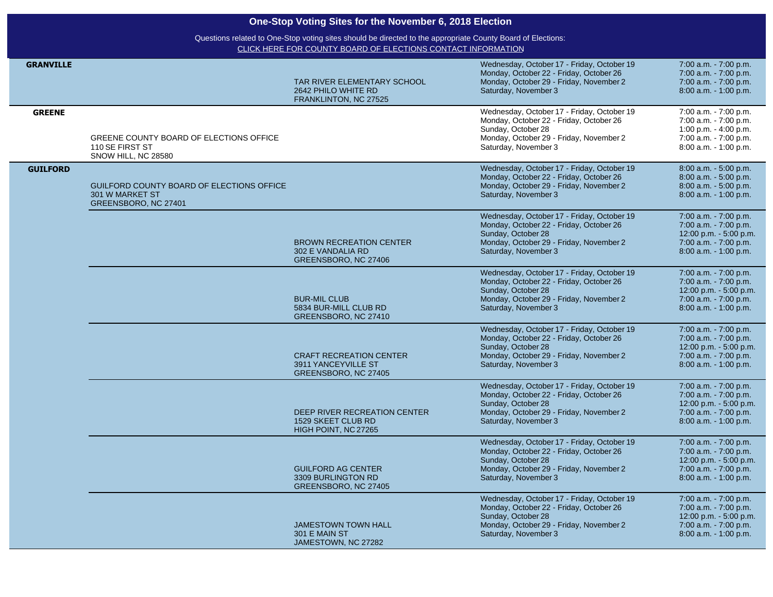| One-Stop Voting Sites for the November 6, 2018 Election |                                                                                                                                                                             |                                                                               |                                                                                                                                                                                |                                                                                                                            |  |
|---------------------------------------------------------|-----------------------------------------------------------------------------------------------------------------------------------------------------------------------------|-------------------------------------------------------------------------------|--------------------------------------------------------------------------------------------------------------------------------------------------------------------------------|----------------------------------------------------------------------------------------------------------------------------|--|
|                                                         | Questions related to One-Stop voting sites should be directed to the appropriate County Board of Elections:<br>CLICK HERE FOR COUNTY BOARD OF ELECTIONS CONTACT INFORMATION |                                                                               |                                                                                                                                                                                |                                                                                                                            |  |
| <b>GRANVILLE</b>                                        |                                                                                                                                                                             | TAR RIVER ELEMENTARY SCHOOL<br>2642 PHILO WHITE RD<br>FRANKLINTON, NC 27525   | Wednesday, October 17 - Friday, October 19<br>Monday, October 22 - Friday, October 26<br>Monday, October 29 - Friday, November 2<br>Saturday, November 3                       | 7:00 a.m. - 7:00 p.m.<br>7:00 a.m. - 7:00 p.m.<br>7:00 a.m. - 7:00 p.m.<br>8:00 a.m. - 1:00 p.m.                           |  |
| <b>GREENE</b>                                           | GREENE COUNTY BOARD OF ELECTIONS OFFICE<br>110 SE FIRST ST<br>SNOW HILL, NC 28580                                                                                           |                                                                               | Wednesday, October 17 - Friday, October 19<br>Monday, October 22 - Friday, October 26<br>Sunday, October 28<br>Monday, October 29 - Friday, November 2<br>Saturday, November 3 | 7:00 a.m. - 7:00 p.m.<br>7:00 a.m. - 7:00 p.m.<br>1:00 p.m. - 4:00 p.m.<br>7:00 a.m. - 7:00 p.m.<br>8:00 a.m. - 1:00 p.m.  |  |
| <b>GUILFORD</b>                                         | GUILFORD COUNTY BOARD OF ELECTIONS OFFICE<br>301 W MARKET ST<br>GREENSBORO, NC 27401                                                                                        |                                                                               | Wednesday, October 17 - Friday, October 19<br>Monday, October 22 - Friday, October 26<br>Monday, October 29 - Friday, November 2<br>Saturday, November 3                       | 8:00 a.m. - 5:00 p.m.<br>8:00 a.m. - 5:00 p.m.<br>8:00 a.m. - 5:00 p.m.<br>8:00 a.m. - 1:00 p.m.                           |  |
|                                                         |                                                                                                                                                                             | <b>BROWN RECREATION CENTER</b><br>302 E VANDALIA RD<br>GREENSBORO, NC 27406   | Wednesday, October 17 - Friday, October 19<br>Monday, October 22 - Friday, October 26<br>Sunday, October 28<br>Monday, October 29 - Friday, November 2<br>Saturday, November 3 | 7:00 a.m. - 7:00 p.m.<br>7:00 a.m. - 7:00 p.m.<br>12:00 p.m. - 5:00 p.m.<br>7:00 a.m. - 7:00 p.m.<br>8:00 a.m. - 1:00 p.m. |  |
|                                                         |                                                                                                                                                                             | <b>BUR-MIL CLUB</b><br>5834 BUR-MILL CLUB RD<br>GREENSBORO, NC 27410          | Wednesday, October 17 - Friday, October 19<br>Monday, October 22 - Friday, October 26<br>Sunday, October 28<br>Monday, October 29 - Friday, November 2<br>Saturday, November 3 | 7:00 a.m. - 7:00 p.m.<br>7:00 a.m. - 7:00 p.m.<br>12:00 p.m. - 5:00 p.m.<br>7:00 a.m. - 7:00 p.m.<br>8:00 a.m. - 1:00 p.m. |  |
|                                                         |                                                                                                                                                                             | <b>CRAFT RECREATION CENTER</b><br>3911 YANCEYVILLE ST<br>GREENSBORO, NC 27405 | Wednesday, October 17 - Friday, October 19<br>Monday, October 22 - Friday, October 26<br>Sunday, October 28<br>Monday, October 29 - Friday, November 2<br>Saturday, November 3 | 7:00 a.m. - 7:00 p.m.<br>7:00 a.m. - 7:00 p.m.<br>12:00 p.m. - 5:00 p.m.<br>7:00 a.m. - 7:00 p.m.<br>8:00 a.m. - 1:00 p.m. |  |
|                                                         |                                                                                                                                                                             | DEEP RIVER RECREATION CENTER<br>1529 SKEET CLUB RD<br>HIGH POINT, NC 27265    | Wednesday, October 17 - Friday, October 19<br>Monday, October 22 - Friday, October 26<br>Sunday, October 28<br>Monday, October 29 - Friday, November 2<br>Saturday, November 3 | 7:00 a.m. - 7:00 p.m.<br>7:00 a.m. - 7:00 p.m.<br>12:00 p.m. - 5:00 p.m.<br>7:00 a.m. - 7:00 p.m.<br>8:00 a.m. - 1:00 p.m. |  |
|                                                         |                                                                                                                                                                             | <b>GUILFORD AG CENTER</b><br>3309 BURLINGTON RD<br>GREENSBORO, NC 27405       | Wednesday, October 17 - Friday, October 19<br>Monday, October 22 - Friday, October 26<br>Sunday, October 28<br>Monday, October 29 - Friday, November 2<br>Saturday, November 3 | 7:00 a.m. - 7:00 p.m.<br>7:00 a.m. - 7:00 p.m.<br>12:00 p.m. - 5:00 p.m.<br>7:00 a.m. - 7:00 p.m.<br>8:00 a.m. - 1:00 p.m. |  |
|                                                         |                                                                                                                                                                             | <b>JAMESTOWN TOWN HALL</b><br>301 E MAIN ST<br>JAMESTOWN, NC 27282            | Wednesday, October 17 - Friday, October 19<br>Monday, October 22 - Friday, October 26<br>Sunday, October 28<br>Monday, October 29 - Friday, November 2<br>Saturday, November 3 | 7:00 a.m. - 7:00 p.m.<br>7:00 a.m. - 7:00 p.m.<br>12:00 p.m. - 5:00 p.m.<br>7:00 a.m. - 7:00 p.m.<br>8:00 a.m. - 1:00 p.m. |  |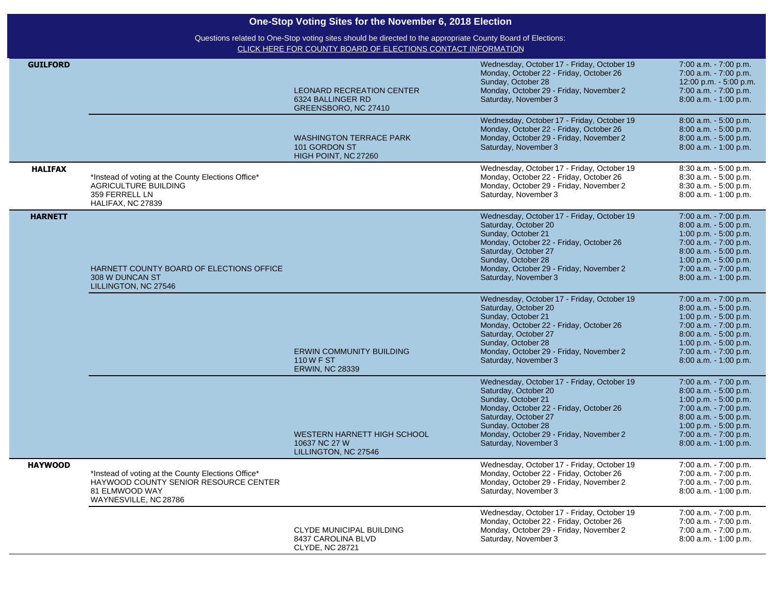### [CLICK HERE FOR COUNTY BOARD OF ELECTIONS CONTACT INFORMATION](https://vt.ncsbe.gov/BOEInfo/) Questions related to One-Stop voting sites should be directed to the appropriate County Board of Elections:

| <b>GUILFORD</b> |                                                                                                                                        | LEONARD RECREATION CENTER<br>6324 BALLINGER RD<br>GREENSBORO, NC 27410   | Wednesday, October 17 - Friday, October 19<br>Monday, October 22 - Friday, October 26<br>Sunday, October 28<br>Monday, October 29 - Friday, November 2<br>Saturday, November 3                                                                       | 7:00 a.m. - 7:00 p.m.<br>7:00 a.m. - 7:00 p.m.<br>12:00 p.m. - 5:00 p.m.<br>7:00 a.m. - 7:00 p.m.<br>8:00 a.m. - 1:00 p.m.                                                                             |
|-----------------|----------------------------------------------------------------------------------------------------------------------------------------|--------------------------------------------------------------------------|------------------------------------------------------------------------------------------------------------------------------------------------------------------------------------------------------------------------------------------------------|--------------------------------------------------------------------------------------------------------------------------------------------------------------------------------------------------------|
|                 |                                                                                                                                        | <b>WASHINGTON TERRACE PARK</b><br>101 GORDON ST<br>HIGH POINT, NC 27260  | Wednesday, October 17 - Friday, October 19<br>Monday, October 22 - Friday, October 26<br>Monday, October 29 - Friday, November 2<br>Saturday, November 3                                                                                             | 8:00 a.m. - 5:00 p.m.<br>8:00 a.m. - 5:00 p.m.<br>8:00 a.m. - 5:00 p.m.<br>8:00 a.m. - 1:00 p.m.                                                                                                       |
| <b>HALIFAX</b>  | *Instead of voting at the County Elections Office*<br><b>AGRICULTURE BUILDING</b><br>359 FERRELL LN<br>HALIFAX, NC 27839               |                                                                          | Wednesday, October 17 - Friday, October 19<br>Monday, October 22 - Friday, October 26<br>Monday, October 29 - Friday, November 2<br>Saturday, November 3                                                                                             | 8:30 a.m. - 5:00 p.m.<br>8:30 a.m. - 5:00 p.m.<br>8:30 a.m. - 5:00 p.m.<br>8:00 a.m. - 1:00 p.m.                                                                                                       |
| <b>HARNETT</b>  | HARNETT COUNTY BOARD OF ELECTIONS OFFICE<br>308 W DUNCAN ST<br>LILLINGTON, NC 27546                                                    |                                                                          | Wednesday, October 17 - Friday, October 19<br>Saturday, October 20<br>Sunday, October 21<br>Monday, October 22 - Friday, October 26<br>Saturday, October 27<br>Sunday, October 28<br>Monday, October 29 - Friday, November 2<br>Saturday, November 3 | 7:00 a.m. - 7:00 p.m.<br>8:00 a.m. - 5:00 p.m.<br>1:00 p.m. $-5:00$ p.m.<br>7:00 a.m. - 7:00 p.m.<br>8:00 a.m. - 5:00 p.m.<br>1:00 p.m. $-5:00$ p.m.<br>7:00 a.m. - 7:00 p.m.<br>8:00 a.m. - 1:00 p.m. |
|                 |                                                                                                                                        | <b>ERWIN COMMUNITY BUILDING</b><br>110 W F ST<br><b>ERWIN, NC 28339</b>  | Wednesday, October 17 - Friday, October 19<br>Saturday, October 20<br>Sunday, October 21<br>Monday, October 22 - Friday, October 26<br>Saturday, October 27<br>Sunday, October 28<br>Monday, October 29 - Friday, November 2<br>Saturday, November 3 | 7:00 a.m. - 7:00 p.m.<br>8:00 a.m. - 5:00 p.m.<br>1:00 p.m. - 5:00 p.m.<br>7:00 a.m. - 7:00 p.m.<br>8:00 a.m. - 5:00 p.m.<br>1:00 p.m. $-5:00$ p.m.<br>7:00 a.m. - 7:00 p.m.<br>8:00 a.m. - 1:00 p.m.  |
|                 |                                                                                                                                        | WESTERN HARNETT HIGH SCHOOL<br>10637 NC 27 W<br>LILLINGTON, NC 27546     | Wednesday, October 17 - Friday, October 19<br>Saturday, October 20<br>Sunday, October 21<br>Monday, October 22 - Friday, October 26<br>Saturday, October 27<br>Sunday, October 28<br>Monday, October 29 - Friday, November 2<br>Saturday, November 3 | 7:00 a.m. - 7:00 p.m.<br>8:00 a.m. - 5:00 p.m.<br>1:00 p.m. $-5:00$ p.m.<br>7:00 a.m. - 7:00 p.m.<br>8:00 a.m. - 5:00 p.m.<br>1:00 p.m. $-5:00$ p.m.<br>7:00 a.m. - 7:00 p.m.<br>8:00 a.m. - 1:00 p.m. |
| <b>HAYWOOD</b>  | *Instead of voting at the County Elections Office*<br>HAYWOOD COUNTY SENIOR RESOURCE CENTER<br>81 ELMWOOD WAY<br>WAYNESVILLE, NC 28786 |                                                                          | Wednesday, October 17 - Friday, October 19<br>Monday, October 22 - Friday, October 26<br>Monday, October 29 - Friday, November 2<br>Saturday, November 3                                                                                             | 7:00 a.m. - 7:00 p.m.<br>7:00 a.m. - 7:00 p.m.<br>7:00 a.m. - 7:00 p.m.<br>8:00 a.m. - 1:00 p.m.                                                                                                       |
|                 |                                                                                                                                        | CLYDE MUNICIPAL BUILDING<br>8437 CAROLINA BLVD<br><b>CLYDE, NC 28721</b> | Wednesday, October 17 - Friday, October 19<br>Monday, October 22 - Friday, October 26<br>Monday, October 29 - Friday, November 2<br>Saturday, November 3                                                                                             | 7:00 a.m. - 7:00 p.m.<br>7:00 a.m. - 7:00 p.m.<br>7:00 a.m. - 7:00 p.m.<br>$8:00$ a.m. $-1:00$ p.m.                                                                                                    |

 $\sim$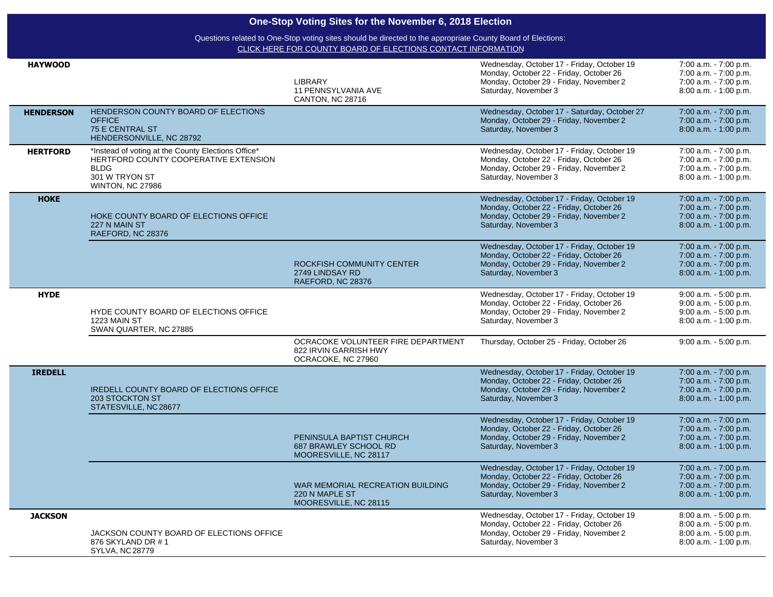| One-Stop Voting Sites for the November 6, 2018 Election |                                                                                                                                                         |                                                                                   |                                                                                                                                                          |                                                                                                  |  |
|---------------------------------------------------------|---------------------------------------------------------------------------------------------------------------------------------------------------------|-----------------------------------------------------------------------------------|----------------------------------------------------------------------------------------------------------------------------------------------------------|--------------------------------------------------------------------------------------------------|--|
|                                                         | Questions related to One-Stop voting sites should be directed to the appropriate County Board of Elections:                                             |                                                                                   |                                                                                                                                                          |                                                                                                  |  |
|                                                         |                                                                                                                                                         | CLICK HERE FOR COUNTY BOARD OF ELECTIONS CONTACT INFORMATION                      |                                                                                                                                                          |                                                                                                  |  |
| <b>HAYWOOD</b>                                          |                                                                                                                                                         | <b>LIBRARY</b><br>11 PENNSYLVANIA AVE<br><b>CANTON, NC 28716</b>                  | Wednesday, October 17 - Friday, October 19<br>Monday, October 22 - Friday, October 26<br>Monday, October 29 - Friday, November 2<br>Saturday, November 3 | 7:00 a.m. - 7:00 p.m.<br>7:00 a.m. - 7:00 p.m.<br>7:00 a.m. - 7:00 p.m.<br>8:00 a.m. - 1:00 p.m. |  |
| <b>HENDERSON</b>                                        | HENDERSON COUNTY BOARD OF ELECTIONS<br><b>OFFICE</b><br>75 E CENTRAL ST<br>HENDERSONVILLE, NC 28792                                                     |                                                                                   | Wednesday, October 17 - Saturday, October 27<br>Monday, October 29 - Friday, November 2<br>Saturday, November 3                                          | 7:00 a.m. - 7:00 p.m.<br>7:00 a.m. - 7:00 p.m.<br>8:00 a.m. - 1:00 p.m.                          |  |
| <b>HERTFORD</b>                                         | *Instead of voting at the County Elections Office*<br>HERTFORD COUNTY COOPERATIVE EXTENSION<br><b>BLDG</b><br>301 W TRYON ST<br><b>WINTON, NC 27986</b> |                                                                                   | Wednesday, October 17 - Friday, October 19<br>Monday, October 22 - Friday, October 26<br>Monday, October 29 - Friday, November 2<br>Saturday, November 3 | 7:00 a.m. - 7:00 p.m.<br>7:00 a.m. - 7:00 p.m.<br>7:00 a.m. - 7:00 p.m.<br>8:00 a.m. - 1:00 p.m. |  |
| <b>HOKE</b>                                             | HOKE COUNTY BOARD OF ELECTIONS OFFICE<br>227 N MAIN ST<br>RAEFORD, NC 28376                                                                             |                                                                                   | Wednesday, October 17 - Friday, October 19<br>Monday, October 22 - Friday, October 26<br>Monday, October 29 - Friday, November 2<br>Saturday, November 3 | 7:00 a.m. - 7:00 p.m.<br>7:00 a.m. - 7:00 p.m.<br>7:00 a.m. - 7:00 p.m.<br>8:00 a.m. - 1:00 p.m. |  |
|                                                         |                                                                                                                                                         | ROCKFISH COMMUNITY CENTER<br>2749 LINDSAY RD<br>RAEFORD, NC 28376                 | Wednesday, October 17 - Friday, October 19<br>Monday, October 22 - Friday, October 26<br>Monday, October 29 - Friday, November 2<br>Saturday, November 3 | 7:00 a.m. - 7:00 p.m.<br>7:00 a.m. - 7:00 p.m.<br>7:00 a.m. - 7:00 p.m.<br>8:00 a.m. - 1:00 p.m. |  |
| <b>HYDE</b>                                             | HYDE COUNTY BOARD OF ELECTIONS OFFICE<br>1223 MAIN ST<br>SWAN QUARTER, NC 27885                                                                         |                                                                                   | Wednesday, October 17 - Friday, October 19<br>Monday, October 22 - Friday, October 26<br>Monday, October 29 - Friday, November 2<br>Saturday, November 3 | 9:00 a.m. - 5:00 p.m.<br>9:00 a.m. - 5:00 p.m.<br>9:00 a.m. - 5:00 p.m.<br>8:00 a.m. - 1:00 p.m. |  |
|                                                         |                                                                                                                                                         | OCRACOKE VOLUNTEER FIRE DEPARTMENT<br>822 IRVIN GARRISH HWY<br>OCRACOKE, NC 27960 | Thursday, October 25 - Friday, October 26                                                                                                                | 9:00 a.m. - 5:00 p.m.                                                                            |  |
| <b>IREDELL</b>                                          | <b>IREDELL COUNTY BOARD OF ELECTIONS OFFICE</b><br>203 STOCKTON ST<br>STATESVILLE, NC 28677                                                             |                                                                                   | Wednesday, October 17 - Friday, October 19<br>Monday, October 22 - Friday, October 26<br>Monday, October 29 - Friday, November 2<br>Saturday, November 3 | 7:00 a.m. - 7:00 p.m.<br>7:00 a.m. - 7:00 p.m.<br>7:00 a.m. - 7:00 p.m.<br>8:00 a.m. - 1:00 p.m. |  |
|                                                         |                                                                                                                                                         | PENINSULA BAPTIST CHURCH<br><b>687 BRAWLEY SCHOOL RD</b><br>MOORESVILLE, NC 28117 | Wednesday, October 17 - Friday, October 19<br>Monday, October 22 - Friday, October 26<br>Monday, October 29 - Friday, November 2<br>Saturday, November 3 | 7:00 a.m. - 7:00 p.m.<br>7:00 a.m. - 7:00 p.m.<br>7:00 a.m. - 7:00 p.m.<br>8:00 a.m. - 1:00 p.m. |  |
|                                                         |                                                                                                                                                         | WAR MEMORIAL RECREATION BUILDING<br>220 N MAPLE ST<br>MOORESVILLE, NC 28115       | Wednesday, October 17 - Friday, October 19<br>Monday, October 22 - Friday, October 26<br>Monday, October 29 - Friday, November 2<br>Saturday, November 3 | 7:00 a.m. - 7:00 p.m.<br>7:00 a.m. - 7:00 p.m.<br>7:00 a.m. - 7:00 p.m.<br>8:00 a.m. - 1:00 p.m. |  |
| <b>JACKSON</b>                                          | JACKSON COUNTY BOARD OF ELECTIONS OFFICE<br>876 SKYLAND DR #1<br><b>SYLVA, NC 28779</b>                                                                 |                                                                                   | Wednesday, October 17 - Friday, October 19<br>Monday, October 22 - Friday, October 26<br>Monday, October 29 - Friday, November 2<br>Saturday, November 3 | 8:00 a.m. - 5:00 p.m.<br>8:00 a.m. - 5:00 p.m.<br>8:00 a.m. - 5:00 p.m.<br>8:00 a.m. - 1:00 p.m. |  |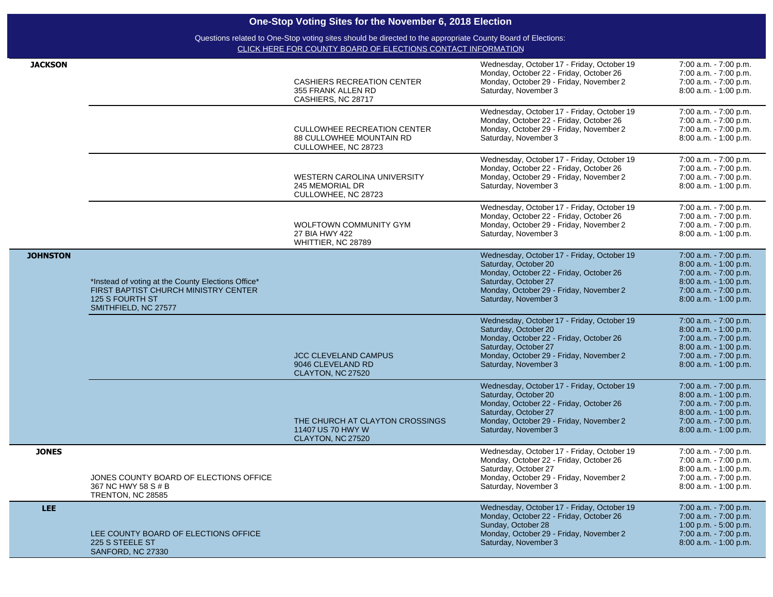| LEE.            | LEE COUNTY BOARD OF ELECTIONS OFFICE<br>225 S STEELE ST<br>SANFORD, NC 27330                                                          |                                                                                       | Wednesday, October 17 - Friday, October 19<br>Monday, October 22 - Friday, October 26<br>Sunday, October 28<br>Monday, October 29 - Friday, November 2<br>Saturday, November 3                           | 7:00 a.m. - 7:00 p.m.<br>7:00 a.m. - 7:00 p.m.<br>1:00 p.m. $-5:00$ p.m.<br>7:00 a.m. - 7:00 p.m.<br>$8:00$ a.m. $-1:00$ p.m.                      |
|-----------------|---------------------------------------------------------------------------------------------------------------------------------------|---------------------------------------------------------------------------------------|----------------------------------------------------------------------------------------------------------------------------------------------------------------------------------------------------------|----------------------------------------------------------------------------------------------------------------------------------------------------|
| <b>JONES</b>    | JONES COUNTY BOARD OF ELECTIONS OFFICE<br>367 NC HWY 58 S # B<br><b>TRENTON, NC 28585</b>                                             |                                                                                       | Wednesday, October 17 - Friday, October 19<br>Monday, October 22 - Friday, October 26<br>Saturday, October 27<br>Monday, October 29 - Friday, November 2<br>Saturday, November 3                         | 7:00 a.m. - 7:00 p.m.<br>7:00 a.m. - 7:00 p.m.<br>8:00 a.m. - 1:00 p.m.<br>7:00 a.m. - 7:00 p.m.<br>8:00 a.m. - 1:00 p.m.                          |
|                 |                                                                                                                                       | THE CHURCH AT CLAYTON CROSSINGS<br>11407 US 70 HWY W<br>CLAYTON, NC 27520             | Wednesday, October 17 - Friday, October 19<br>Saturday, October 20<br>Monday, October 22 - Friday, October 26<br>Saturday, October 27<br>Monday, October 29 - Friday, November 2<br>Saturday, November 3 | 7:00 a.m. - 7:00 p.m.<br>8:00 a.m. - 1:00 p.m.<br>7:00 a.m. - 7:00 p.m.<br>8:00 a.m. - 1:00 p.m.<br>7:00 a.m. - 7:00 p.m.<br>8:00 a.m. - 1:00 p.m. |
|                 |                                                                                                                                       | <b>JCC CLEVELAND CAMPUS</b><br>9046 CLEVELAND RD<br>CLAYTON, NC 27520                 | Wednesday, October 17 - Friday, October 19<br>Saturday, October 20<br>Monday, October 22 - Friday, October 26<br>Saturday, October 27<br>Monday, October 29 - Friday, November 2<br>Saturday, November 3 | 7:00 a.m. - 7:00 p.m.<br>8:00 a.m. - 1:00 p.m.<br>7:00 a.m. - 7:00 p.m.<br>8:00 a.m. - 1:00 p.m.<br>7:00 a.m. - 7:00 p.m.<br>8:00 a.m. - 1:00 p.m. |
| <b>JOHNSTON</b> | *Instead of voting at the County Elections Office*<br>FIRST BAPTIST CHURCH MINISTRY CENTER<br>125 S FOURTH ST<br>SMITHFIELD, NC 27577 |                                                                                       | Wednesday, October 17 - Friday, October 19<br>Saturday, October 20<br>Monday, October 22 - Friday, October 26<br>Saturday, October 27<br>Monday, October 29 - Friday, November 2<br>Saturday, November 3 | 7:00 a.m. - 7:00 p.m.<br>8:00 a.m. - 1:00 p.m.<br>7:00 a.m. - 7:00 p.m.<br>8:00 a.m. - 1:00 p.m.<br>7:00 a.m. - 7:00 p.m.<br>8:00 a.m. - 1:00 p.m. |
|                 |                                                                                                                                       | WOLFTOWN COMMUNITY GYM<br>27 BIA HWY 422<br>WHITTIER, NC 28789                        | Wednesday, October 17 - Friday, October 19<br>Monday, October 22 - Friday, October 26<br>Monday, October 29 - Friday, November 2<br>Saturday, November 3                                                 | 7:00 a.m. - 7:00 p.m.<br>7:00 a.m. - 7:00 p.m.<br>7:00 a.m. - 7:00 p.m.<br>8:00 a.m. - 1:00 p.m.                                                   |
|                 |                                                                                                                                       | WESTERN CAROLINA UNIVERSITY<br>245 MEMORIAL DR<br>CULLOWHEE, NC 28723                 | Wednesday, October 17 - Friday, October 19<br>Monday, October 22 - Friday, October 26<br>Monday, October 29 - Friday, November 2<br>Saturday, November 3                                                 | 7:00 a.m. - 7:00 p.m.<br>7:00 a.m. - 7:00 p.m.<br>7:00 a.m. - 7:00 p.m.<br>8:00 a.m. - 1:00 p.m.                                                   |
|                 |                                                                                                                                       | <b>CULLOWHEE RECREATION CENTER</b><br>88 CULLOWHEE MOUNTAIN RD<br>CULLOWHEE, NC 28723 | Wednesday, October 17 - Friday, October 19<br>Monday, October 22 - Friday, October 26<br>Monday, October 29 - Friday, November 2<br>Saturday, November 3                                                 | 7:00 a.m. - 7:00 p.m.<br>7:00 a.m. - 7:00 p.m.<br>7:00 a.m. - 7:00 p.m.<br>8:00 a.m. - 1:00 p.m.                                                   |
| <b>JACKSON</b>  |                                                                                                                                       | <b>CASHIERS RECREATION CENTER</b><br>355 FRANK ALLEN RD<br>CASHIERS, NC 28717         | Wednesday, October 17 - Friday, October 19<br>Monday, October 22 - Friday, October 26<br>Monday, October 29 - Friday, November 2<br>Saturday, November 3                                                 | 7:00 a.m. - 7:00 p.m.<br>7:00 a.m. - 7:00 p.m.<br>7:00 a.m. - 7:00 p.m.<br>$8:00$ a.m. $-1:00$ p.m.                                                |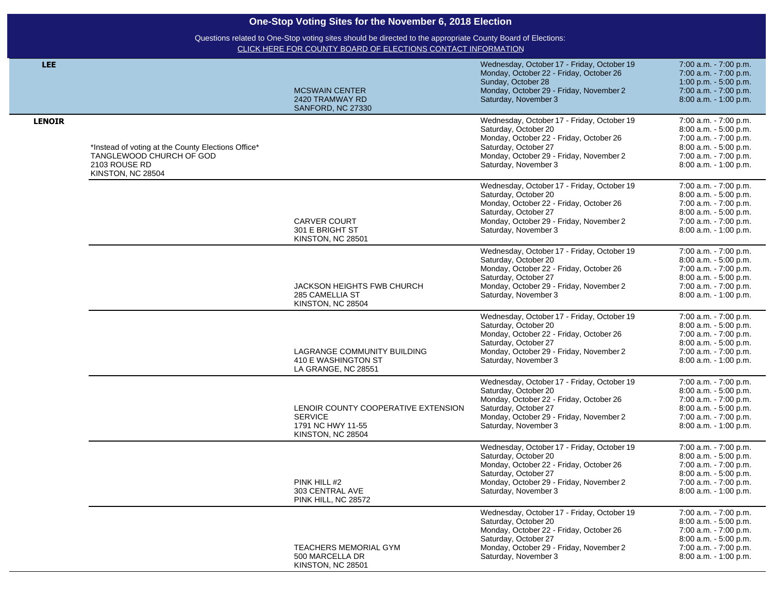| <b>LEE</b>    |                                                                                                                      |                                                                                                 | Wednesday, October 17 - Friday, October 19<br>Monday, October 22 - Friday, October 26                                                                                                                    | 7:00 a.m. - 7:00 p.m.<br>7:00 a.m. - 7:00 p.m.                                                                                                     |
|---------------|----------------------------------------------------------------------------------------------------------------------|-------------------------------------------------------------------------------------------------|----------------------------------------------------------------------------------------------------------------------------------------------------------------------------------------------------------|----------------------------------------------------------------------------------------------------------------------------------------------------|
|               |                                                                                                                      | <b>MCSWAIN CENTER</b><br>2420 TRAMWAY RD<br>SANFORD, NC 27330                                   | Sunday, October 28<br>Monday, October 29 - Friday, November 2<br>Saturday, November 3                                                                                                                    | 1:00 p.m. $-5:00$ p.m.<br>7:00 a.m. - 7:00 p.m.<br>8:00 a.m. - 1:00 p.m.                                                                           |
| <b>LENOIR</b> | *Instead of voting at the County Elections Office*<br>TANGLEWOOD CHURCH OF GOD<br>2103 ROUSE RD<br>KINSTON, NC 28504 |                                                                                                 | Wednesday, October 17 - Friday, October 19<br>Saturday, October 20<br>Monday, October 22 - Friday, October 26<br>Saturday, October 27<br>Monday, October 29 - Friday, November 2<br>Saturday, November 3 | 7:00 a.m. - 7:00 p.m.<br>8:00 a.m. - 5:00 p.m.<br>7:00 a.m. - 7:00 p.m.<br>8:00 a.m. - 5:00 p.m.<br>7:00 a.m. - 7:00 p.m.<br>8:00 a.m. - 1:00 p.m. |
|               |                                                                                                                      | <b>CARVER COURT</b><br>301 E BRIGHT ST<br>KINSTON, NC 28501                                     | Wednesday, October 17 - Friday, October 19<br>Saturday, October 20<br>Monday, October 22 - Friday, October 26<br>Saturday, October 27<br>Monday, October 29 - Friday, November 2<br>Saturday, November 3 | 7:00 a.m. - 7:00 p.m.<br>8:00 a.m. - 5:00 p.m.<br>7:00 a.m. - 7:00 p.m.<br>8:00 a.m. - 5:00 p.m.<br>7:00 a.m. - 7:00 p.m.<br>8:00 a.m. - 1:00 p.m. |
|               |                                                                                                                      | JACKSON HEIGHTS FWB CHURCH<br>285 CAMELLIA ST<br>KINSTON, NC 28504                              | Wednesday, October 17 - Friday, October 19<br>Saturday, October 20<br>Monday, October 22 - Friday, October 26<br>Saturday, October 27<br>Monday, October 29 - Friday, November 2<br>Saturday, November 3 | 7:00 a.m. - 7:00 p.m.<br>8:00 a.m. - 5:00 p.m.<br>7:00 a.m. - 7:00 p.m.<br>8:00 a.m. - 5:00 p.m.<br>7:00 a.m. - 7:00 p.m.<br>8:00 a.m. - 1:00 p.m. |
|               |                                                                                                                      | LAGRANGE COMMUNITY BUILDING<br>410 E WASHINGTON ST<br>LA GRANGE, NC 28551                       | Wednesday, October 17 - Friday, October 19<br>Saturday, October 20<br>Monday, October 22 - Friday, October 26<br>Saturday, October 27<br>Monday, October 29 - Friday, November 2<br>Saturday, November 3 | 7:00 a.m. - 7:00 p.m.<br>8:00 a.m. - 5:00 p.m.<br>7:00 a.m. - 7:00 p.m.<br>8:00 a.m. - 5:00 p.m.<br>7:00 a.m. - 7:00 p.m.<br>8:00 a.m. - 1:00 p.m. |
|               |                                                                                                                      | LENOIR COUNTY COOPERATIVE EXTENSION<br><b>SERVICE</b><br>1791 NC HWY 11-55<br>KINSTON, NC 28504 | Wednesday, October 17 - Friday, October 19<br>Saturday, October 20<br>Monday, October 22 - Friday, October 26<br>Saturday, October 27<br>Monday, October 29 - Friday, November 2<br>Saturday, November 3 | 7:00 a.m. - 7:00 p.m.<br>8:00 a.m. - 5:00 p.m.<br>7:00 a.m. - 7:00 p.m.<br>8:00 a.m. - 5:00 p.m.<br>7:00 a.m. - 7:00 p.m.<br>8:00 a.m. - 1:00 p.m. |
|               |                                                                                                                      | PINK HILL #2<br>303 CENTRAL AVE<br>PINK HILL, NC 28572                                          | Wednesday, October 17 - Friday, October 19<br>Saturday, October 20<br>Monday, October 22 - Friday, October 26<br>Saturday, October 27<br>Monday, October 29 - Friday, November 2<br>Saturday, November 3 | 7:00 a.m. - 7:00 p.m.<br>8:00 a.m. - 5:00 p.m.<br>7:00 a.m. - 7:00 p.m.<br>8:00 a.m. - 5:00 p.m.<br>7:00 a.m. - 7:00 p.m.<br>8:00 a.m. - 1:00 p.m. |
|               |                                                                                                                      | <b>TEACHERS MEMORIAL GYM</b><br>500 MARCELLA DR<br>KINSTON, NC 28501                            | Wednesday, October 17 - Friday, October 19<br>Saturday, October 20<br>Monday, October 22 - Friday, October 26<br>Saturday, October 27<br>Monday, October 29 - Friday, November 2<br>Saturday, November 3 | 7:00 a.m. - 7:00 p.m.<br>8:00 a.m. - 5:00 p.m.<br>7:00 a.m. - 7:00 p.m.<br>8:00 a.m. - 5:00 p.m.<br>7:00 a.m. - 7:00 p.m.<br>8:00 a.m. - 1:00 p.m. |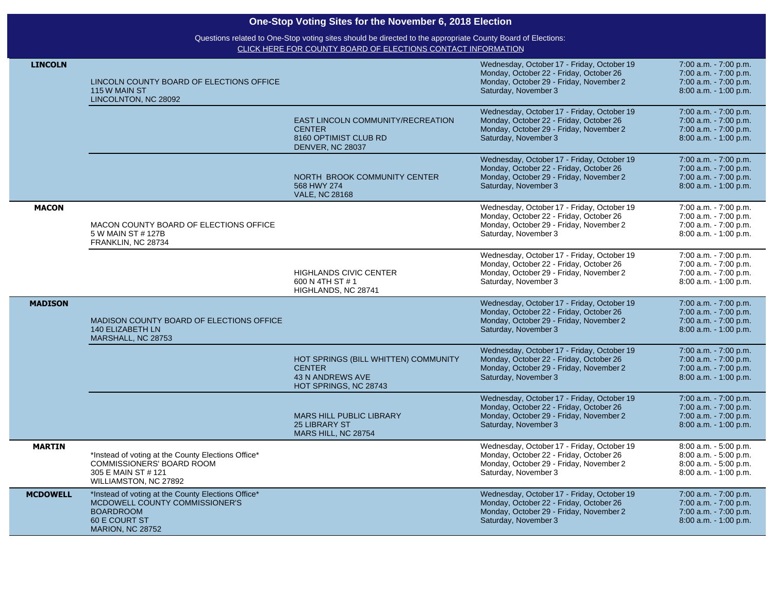| <b>LINCOLN</b>  | LINCOLN COUNTY BOARD OF ELECTIONS OFFICE<br>115 W MAIN ST<br>LINCOLNTON, NC 28092                                                                    |                                                                                                           | Wednesday, October 17 - Friday, October 19<br>Monday, October 22 - Friday, October 26<br>Monday, October 29 - Friday, November 2<br>Saturday, November 3 | 7:00 a.m. - 7:00 p.m.<br>7:00 a.m. - 7:00 p.m.<br>7:00 a.m. - 7:00 p.m.<br>8:00 a.m. - 1:00 p.m.    |
|-----------------|------------------------------------------------------------------------------------------------------------------------------------------------------|-----------------------------------------------------------------------------------------------------------|----------------------------------------------------------------------------------------------------------------------------------------------------------|-----------------------------------------------------------------------------------------------------|
|                 |                                                                                                                                                      | <b>EAST LINCOLN COMMUNITY/RECREATION</b><br><b>CENTER</b><br>8160 OPTIMIST CLUB RD<br>DENVER, NC 28037    | Wednesday, October 17 - Friday, October 19<br>Monday, October 22 - Friday, October 26<br>Monday, October 29 - Friday, November 2<br>Saturday, November 3 | 7:00 a.m. - 7:00 p.m.<br>7:00 a.m. - 7:00 p.m.<br>7:00 a.m. - 7:00 p.m.<br>8:00 a.m. - 1:00 p.m.    |
|                 |                                                                                                                                                      | NORTH BROOK COMMUNITY CENTER<br>568 HWY 274<br><b>VALE, NC 28168</b>                                      | Wednesday, October 17 - Friday, October 19<br>Monday, October 22 - Friday, October 26<br>Monday, October 29 - Friday, November 2<br>Saturday, November 3 | 7:00 a.m. - 7:00 p.m.<br>7:00 a.m. - 7:00 p.m.<br>7:00 a.m. - 7:00 p.m.<br>8:00 a.m. - 1:00 p.m.    |
| <b>MACON</b>    | MACON COUNTY BOARD OF ELECTIONS OFFICE<br>5 W MAIN ST # 127B<br>FRANKLIN, NC 28734                                                                   |                                                                                                           | Wednesday, October 17 - Friday, October 19<br>Monday, October 22 - Friday, October 26<br>Monday, October 29 - Friday, November 2<br>Saturday, November 3 | 7:00 a.m. - 7:00 p.m.<br>7:00 a.m. - 7:00 p.m.<br>7:00 a.m. - 7:00 p.m.<br>8:00 a.m. - 1:00 p.m.    |
|                 |                                                                                                                                                      | <b>HIGHLANDS CIVIC CENTER</b><br>600 N 4TH ST #1<br>HIGHLANDS, NC 28741                                   | Wednesday, October 17 - Friday, October 19<br>Monday, October 22 - Friday, October 26<br>Monday, October 29 - Friday, November 2<br>Saturday, November 3 | 7:00 a.m. - 7:00 p.m.<br>7:00 a.m. - 7:00 p.m.<br>7:00 a.m. - 7:00 p.m.<br>8:00 a.m. - 1:00 p.m.    |
| <b>MADISON</b>  | MADISON COUNTY BOARD OF ELECTIONS OFFICE<br><b>140 ELIZABETH LN</b><br>MARSHALL, NC 28753                                                            |                                                                                                           | Wednesday, October 17 - Friday, October 19<br>Monday, October 22 - Friday, October 26<br>Monday, October 29 - Friday, November 2<br>Saturday, November 3 | 7:00 a.m. - 7:00 p.m.<br>7:00 a.m. - 7:00 p.m.<br>7:00 a.m. - 7:00 p.m.<br>8:00 a.m. - 1:00 p.m.    |
|                 |                                                                                                                                                      | HOT SPRINGS (BILL WHITTEN) COMMUNITY<br><b>CENTER</b><br><b>43 N ANDREWS AVE</b><br>HOT SPRINGS, NC 28743 | Wednesday, October 17 - Friday, October 19<br>Monday, October 22 - Friday, October 26<br>Monday, October 29 - Friday, November 2<br>Saturday, November 3 | 7:00 a.m. - 7:00 p.m.<br>7:00 a.m. - 7:00 p.m.<br>7:00 a.m. - 7:00 p.m.<br>8:00 a.m. - 1:00 p.m.    |
|                 |                                                                                                                                                      | <b>MARS HILL PUBLIC LIBRARY</b><br><b>25 LIBRARY ST</b><br>MARS HILL, NC 28754                            | Wednesday, October 17 - Friday, October 19<br>Monday, October 22 - Friday, October 26<br>Monday, October 29 - Friday, November 2<br>Saturday, November 3 | 7:00 a.m. - 7:00 p.m.<br>7:00 a.m. - 7:00 p.m.<br>7:00 a.m. - 7:00 p.m.<br>8:00 a.m. - 1:00 p.m.    |
| <b>MARTIN</b>   | *Instead of voting at the County Elections Office*<br><b>COMMISSIONERS' BOARD ROOM</b><br>305 E MAIN ST # 121<br>WILLIAMSTON, NC 27892               |                                                                                                           | Wednesday, October 17 - Friday, October 19<br>Monday, October 22 - Friday, October 26<br>Monday, October 29 - Friday, November 2<br>Saturday, November 3 | 8:00 a.m. - 5:00 p.m.<br>8:00 a.m. - 5:00 p.m.<br>8:00 a.m. - 5:00 p.m.<br>8:00 a.m. - 1:00 p.m.    |
| <b>MCDOWELL</b> | *Instead of voting at the County Elections Office*<br>MCDOWELL COUNTY COMMISSIONER'S<br><b>BOARDROOM</b><br>60 E COURT ST<br><b>MARION, NC 28752</b> |                                                                                                           | Wednesday, October 17 - Friday, October 19<br>Monday, October 22 - Friday, October 26<br>Monday, October 29 - Friday, November 2<br>Saturday, November 3 | 7:00 a.m. - 7:00 p.m.<br>7:00 a.m. - 7:00 p.m.<br>7:00 a.m. - 7:00 p.m.<br>$8:00$ a.m. $-1:00$ p.m. |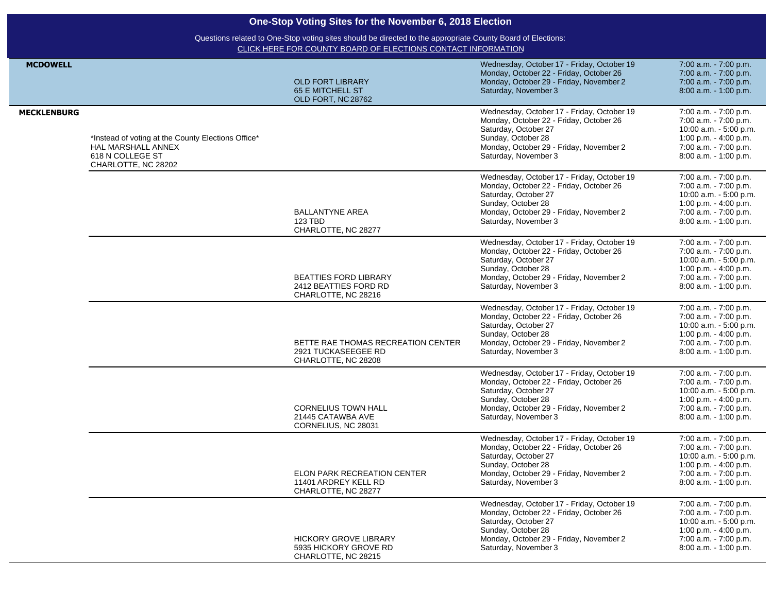|                    | One-Stop Voting Sites for the November 6, 2018 Election<br>Questions related to One-Stop voting sites should be directed to the appropriate County Board of Elections:<br>CLICK HERE FOR COUNTY BOARD OF ELECTIONS CONTACT INFORMATION |                                                                                  |                                                                                                                                                                                                        |                                                                                                                                                       |  |
|--------------------|----------------------------------------------------------------------------------------------------------------------------------------------------------------------------------------------------------------------------------------|----------------------------------------------------------------------------------|--------------------------------------------------------------------------------------------------------------------------------------------------------------------------------------------------------|-------------------------------------------------------------------------------------------------------------------------------------------------------|--|
|                    |                                                                                                                                                                                                                                        |                                                                                  |                                                                                                                                                                                                        |                                                                                                                                                       |  |
| <b>MCDOWELL</b>    |                                                                                                                                                                                                                                        | <b>OLD FORT LIBRARY</b><br><b>65 E MITCHELL ST</b><br>OLD FORT, NC 28762         | Wednesday, October 17 - Friday, October 19<br>Monday, October 22 - Friday, October 26<br>Monday, October 29 - Friday, November 2<br>Saturday, November 3                                               | 7:00 a.m. - 7:00 p.m.<br>7:00 a.m. - 7:00 p.m.<br>7:00 a.m. - 7:00 p.m.<br>8:00 a.m. - 1:00 p.m.                                                      |  |
| <b>MECKLENBURG</b> | *Instead of voting at the County Elections Office*<br>HAL MARSHALL ANNEX<br>618 N COLLEGE ST<br>CHARLOTTE, NC 28202                                                                                                                    |                                                                                  | Wednesday, October 17 - Friday, October 19<br>Monday, October 22 - Friday, October 26<br>Saturday, October 27<br>Sunday, October 28<br>Monday, October 29 - Friday, November 2<br>Saturday, November 3 | 7:00 a.m. - 7:00 p.m.<br>7:00 a.m. - 7:00 p.m.<br>10:00 a.m. - 5:00 p.m.<br>1:00 p.m. - 4:00 p.m.<br>7:00 a.m. - 7:00 p.m.<br>8:00 a.m. - 1:00 p.m.   |  |
|                    |                                                                                                                                                                                                                                        | <b>BALLANTYNE AREA</b><br>123 TBD<br>CHARLOTTE, NC 28277                         | Wednesday, October 17 - Friday, October 19<br>Monday, October 22 - Friday, October 26<br>Saturday, October 27<br>Sunday, October 28<br>Monday, October 29 - Friday, November 2<br>Saturday, November 3 | 7:00 a.m. - 7:00 p.m.<br>7:00 a.m. - 7:00 p.m.<br>10:00 a.m. - 5:00 p.m.<br>1:00 p.m. - 4:00 p.m.<br>7:00 a.m. - 7:00 p.m.<br>8:00 a.m. - 1:00 p.m.   |  |
|                    |                                                                                                                                                                                                                                        | <b>BEATTIES FORD LIBRARY</b><br>2412 BEATTIES FORD RD<br>CHARLOTTE, NC 28216     | Wednesday, October 17 - Friday, October 19<br>Monday, October 22 - Friday, October 26<br>Saturday, October 27<br>Sunday, October 28<br>Monday, October 29 - Friday, November 2<br>Saturday, November 3 | 7:00 a.m. - 7:00 p.m.<br>7:00 a.m. - 7:00 p.m.<br>10:00 a.m. - 5:00 p.m.<br>1:00 p.m. - 4:00 p.m.<br>7:00 a.m. - 7:00 p.m.<br>8:00 a.m. - 1:00 p.m.   |  |
|                    |                                                                                                                                                                                                                                        | BETTE RAE THOMAS RECREATION CENTER<br>2921 TUCKASEEGEE RD<br>CHARLOTTE, NC 28208 | Wednesday, October 17 - Friday, October 19<br>Monday, October 22 - Friday, October 26<br>Saturday, October 27<br>Sunday, October 28<br>Monday, October 29 - Friday, November 2<br>Saturday, November 3 | 7:00 a.m. - 7:00 p.m.<br>7:00 a.m. - 7:00 p.m.<br>10:00 a.m. - 5:00 p.m.<br>1:00 p.m. - 4:00 p.m.<br>7:00 a.m. - 7:00 p.m.<br>8:00 a.m. - 1:00 p.m.   |  |
|                    |                                                                                                                                                                                                                                        | <b>CORNELIUS TOWN HALL</b><br>21445 CATAWBA AVE<br>CORNELIUS, NC 28031           | Wednesday, October 17 - Friday, October 19<br>Monday, October 22 - Friday, October 26<br>Saturday, October 27<br>Sunday, October 28<br>Monday, October 29 - Friday, November 2<br>Saturday, November 3 | 7:00 a.m. - 7:00 p.m.<br>7:00 a.m. - 7:00 p.m.<br>10:00 a.m. - 5:00 p.m.<br>1:00 p.m. $-$ 4:00 p.m.<br>7:00 a.m. - 7:00 p.m.<br>8:00 a.m. - 1:00 p.m. |  |
|                    |                                                                                                                                                                                                                                        | ELON PARK RECREATION CENTER<br>11401 ARDREY KELL RD<br>CHARLOTTE, NC 28277       | Wednesday, October 17 - Friday, October 19<br>Monday, October 22 - Friday, October 26<br>Saturday, October 27<br>Sunday, October 28<br>Monday, October 29 - Friday, November 2<br>Saturday, November 3 | 7:00 a.m. - 7:00 p.m.<br>7:00 a.m. - 7:00 p.m.<br>10:00 a.m. - 5:00 p.m.<br>1:00 p.m. - 4:00 p.m.<br>7:00 a.m. - 7:00 p.m.<br>8:00 a.m. - 1:00 p.m.   |  |
|                    |                                                                                                                                                                                                                                        | <b>HICKORY GROVE LIBRARY</b><br>5935 HICKORY GROVE RD<br>CHARLOTTE, NC 28215     | Wednesday, October 17 - Friday, October 19<br>Monday, October 22 - Friday, October 26<br>Saturday, October 27<br>Sunday, October 28<br>Monday, October 29 - Friday, November 2<br>Saturday, November 3 | 7:00 a.m. - 7:00 p.m.<br>7:00 a.m. - 7:00 p.m.<br>10:00 a.m. - 5:00 p.m.<br>1:00 p.m. - 4:00 p.m.<br>7:00 a.m. - 7:00 p.m.<br>8:00 a.m. - 1:00 p.m.   |  |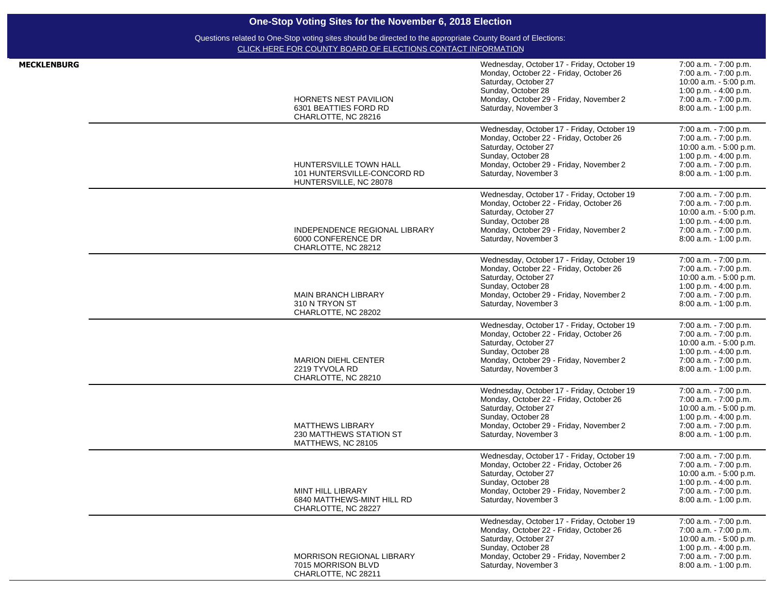| <b>MECKLENBURG</b> | HORNETS NEST PAVILION<br>6301 BEATTIES FORD RD<br>CHARLOTTE, NC 28216                  | Wednesday, October 17 - Friday, October 19<br>Monday, October 22 - Friday, October 26<br>Saturday, October 27<br>Sunday, October 28<br>Monday, October 29 - Friday, November 2<br>Saturday, November 3 | 7:00 a.m. - 7:00 p.m.<br>7:00 a.m. - 7:00 p.m.<br>10:00 a.m. - 5:00 p.m.<br>1:00 p.m. - 4:00 p.m.<br>7:00 a.m. - 7:00 p.m.<br>8:00 a.m. - 1:00 p.m.   |
|--------------------|----------------------------------------------------------------------------------------|--------------------------------------------------------------------------------------------------------------------------------------------------------------------------------------------------------|-------------------------------------------------------------------------------------------------------------------------------------------------------|
|                    | <b>HUNTERSVILLE TOWN HALL</b><br>101 HUNTERSVILLE-CONCORD RD<br>HUNTERSVILLE, NC 28078 | Wednesday, October 17 - Friday, October 19<br>Monday, October 22 - Friday, October 26<br>Saturday, October 27<br>Sunday, October 28<br>Monday, October 29 - Friday, November 2<br>Saturday, November 3 | 7:00 a.m. - 7:00 p.m.<br>7:00 a.m. - 7:00 p.m.<br>10:00 a.m. - 5:00 p.m.<br>1:00 p.m. - 4:00 p.m.<br>7:00 a.m. - 7:00 p.m.<br>8:00 a.m. - 1:00 p.m.   |
|                    | INDEPENDENCE REGIONAL LIBRARY<br>6000 CONFERENCE DR<br>CHARLOTTE, NC 28212             | Wednesday, October 17 - Friday, October 19<br>Monday, October 22 - Friday, October 26<br>Saturday, October 27<br>Sunday, October 28<br>Monday, October 29 - Friday, November 2<br>Saturday, November 3 | 7:00 a.m. - 7:00 p.m.<br>7:00 a.m. - 7:00 p.m.<br>10:00 a.m. - 5:00 p.m.<br>1:00 p.m. - 4:00 p.m.<br>7:00 a.m. - 7:00 p.m.<br>8:00 a.m. - 1:00 p.m.   |
|                    | <b>MAIN BRANCH LIBRARY</b><br>310 N TRYON ST<br>CHARLOTTE, NC 28202                    | Wednesday, October 17 - Friday, October 19<br>Monday, October 22 - Friday, October 26<br>Saturday, October 27<br>Sunday, October 28<br>Monday, October 29 - Friday, November 2<br>Saturday, November 3 | 7:00 a.m. - 7:00 p.m.<br>7:00 a.m. - 7:00 p.m.<br>10:00 a.m. - 5:00 p.m.<br>1:00 p.m. - 4:00 p.m.<br>7:00 a.m. - 7:00 p.m.<br>8:00 a.m. - 1:00 p.m.   |
|                    | <b>MARION DIEHL CENTER</b><br>2219 TYVOLA RD<br>CHARLOTTE, NC 28210                    | Wednesday, October 17 - Friday, October 19<br>Monday, October 22 - Friday, October 26<br>Saturday, October 27<br>Sunday, October 28<br>Monday, October 29 - Friday, November 2<br>Saturday, November 3 | 7:00 a.m. - 7:00 p.m.<br>7:00 a.m. - 7:00 p.m.<br>10:00 a.m. - 5:00 p.m.<br>1:00 p.m. - 4:00 p.m.<br>7:00 a.m. - 7:00 p.m.<br>8:00 a.m. - 1:00 p.m.   |
|                    | <b>MATTHEWS LIBRARY</b><br>230 MATTHEWS STATION ST<br>MATTHEWS, NC 28105               | Wednesday, October 17 - Friday, October 19<br>Monday, October 22 - Friday, October 26<br>Saturday, October 27<br>Sunday, October 28<br>Monday, October 29 - Friday, November 2<br>Saturday, November 3 | 7:00 a.m. - 7:00 p.m.<br>7:00 a.m. - 7:00 p.m.<br>10:00 a.m. - 5:00 p.m.<br>1:00 p.m. $-$ 4:00 p.m.<br>7:00 a.m. - 7:00 p.m.<br>8:00 a.m. - 1:00 p.m. |
|                    | MINT HILL LIBRARY<br>6840 MATTHEWS-MINT HILL RD<br>CHARLOTTE, NC 28227                 | Wednesday, October 17 - Friday, October 19<br>Monday, October 22 - Friday, October 26<br>Saturday, October 27<br>Sunday, October 28<br>Monday, October 29 - Friday, November 2<br>Saturday, November 3 | 7:00 a.m. - 7:00 p.m.<br>7:00 a.m. - 7:00 p.m.<br>10:00 a.m. - 5:00 p.m.<br>1:00 p.m. $-$ 4:00 p.m.<br>7:00 a.m. - 7:00 p.m.<br>8:00 a.m. - 1:00 p.m. |
|                    | <b>MORRISON REGIONAL LIBRARY</b><br>7015 MORRISON BLVD<br>CHARLOTTE, NC 28211          | Wednesday, October 17 - Friday, October 19<br>Monday, October 22 - Friday, October 26<br>Saturday, October 27<br>Sunday, October 28<br>Monday, October 29 - Friday, November 2<br>Saturday, November 3 | 7:00 a.m. - 7:00 p.m.<br>7:00 a.m. - 7:00 p.m.<br>10:00 a.m. - 5:00 p.m.<br>1:00 p.m. - 4:00 p.m.<br>7:00 a.m. - 7:00 p.m.<br>8:00 a.m. - 1:00 p.m.   |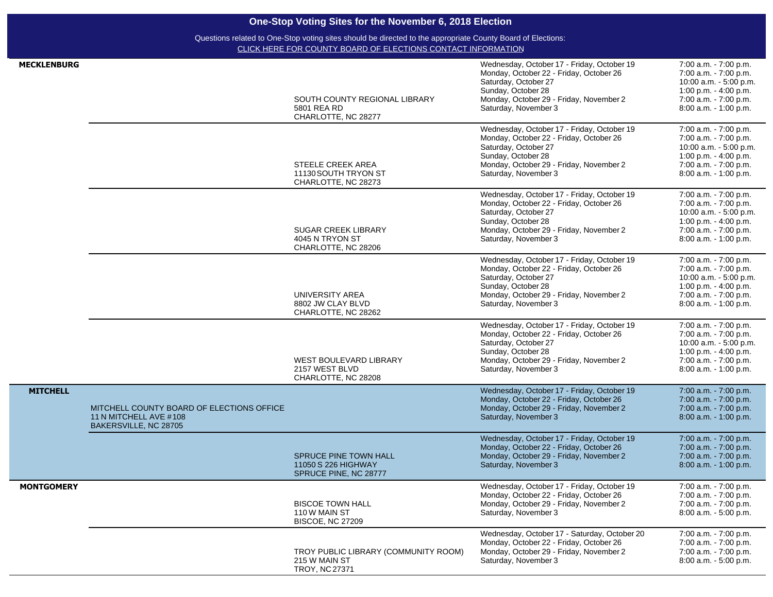| <b>MECKLENBURG</b> |                                                                                              | SOUTH COUNTY REGIONAL LIBRARY<br>5801 REA RD<br>CHARLOTTE, NC 28277          | Wednesday, October 17 - Friday, October 19<br>Monday, October 22 - Friday, October 26<br>Saturday, October 27<br>Sunday, October 28<br>Monday, October 29 - Friday, November 2<br>Saturday, November 3 | 7:00 a.m. - 7:00 p.m.<br>7:00 a.m. - 7:00 p.m.<br>10:00 a.m. - 5:00 p.m.<br>1:00 p.m. - 4:00 p.m.<br>7:00 a.m. - 7:00 p.m.<br>8:00 a.m. - 1:00 p.m.    |
|--------------------|----------------------------------------------------------------------------------------------|------------------------------------------------------------------------------|--------------------------------------------------------------------------------------------------------------------------------------------------------------------------------------------------------|--------------------------------------------------------------------------------------------------------------------------------------------------------|
|                    |                                                                                              | STEELE CREEK AREA<br>11130 SOUTH TRYON ST<br>CHARLOTTE, NC 28273             | Wednesday, October 17 - Friday, October 19<br>Monday, October 22 - Friday, October 26<br>Saturday, October 27<br>Sunday, October 28<br>Monday, October 29 - Friday, November 2<br>Saturday, November 3 | 7:00 a.m. - 7:00 p.m.<br>7:00 a.m. - 7:00 p.m.<br>10:00 a.m. - 5:00 p.m.<br>1:00 p.m. - 4:00 p.m.<br>7:00 a.m. - 7:00 p.m.<br>$8:00$ a.m. $-1:00$ p.m. |
|                    |                                                                                              | <b>SUGAR CREEK LIBRARY</b><br>4045 N TRYON ST<br>CHARLOTTE, NC 28206         | Wednesday, October 17 - Friday, October 19<br>Monday, October 22 - Friday, October 26<br>Saturday, October 27<br>Sunday, October 28<br>Monday, October 29 - Friday, November 2<br>Saturday, November 3 | 7:00 a.m. - 7:00 p.m.<br>7:00 a.m. - 7:00 p.m.<br>10:00 a.m. - 5:00 p.m.<br>1:00 p.m. - 4:00 p.m.<br>7:00 a.m. - 7:00 p.m.<br>8:00 a.m. - 1:00 p.m.    |
|                    |                                                                                              | UNIVERSITY AREA<br>8802 JW CLAY BLVD<br>CHARLOTTE, NC 28262                  | Wednesday, October 17 - Friday, October 19<br>Monday, October 22 - Friday, October 26<br>Saturday, October 27<br>Sunday, October 28<br>Monday, October 29 - Friday, November 2<br>Saturday, November 3 | 7:00 a.m. - 7:00 p.m.<br>7:00 a.m. - 7:00 p.m.<br>10:00 a.m. - 5:00 p.m.<br>1:00 p.m. - 4:00 p.m.<br>7:00 a.m. - 7:00 p.m.<br>8:00 a.m. - 1:00 p.m.    |
|                    |                                                                                              | WEST BOULEVARD LIBRARY<br>2157 WEST BLVD<br>CHARLOTTE, NC 28208              | Wednesday, October 17 - Friday, October 19<br>Monday, October 22 - Friday, October 26<br>Saturday, October 27<br>Sunday, October 28<br>Monday, October 29 - Friday, November 2<br>Saturday, November 3 | 7:00 a.m. - 7:00 p.m.<br>7:00 a.m. - 7:00 p.m.<br>10:00 a.m. - 5:00 p.m.<br>1:00 p.m. $-$ 4:00 p.m.<br>7:00 a.m. - 7:00 p.m.<br>8:00 a.m. - 1:00 p.m.  |
| <b>MITCHELL</b>    | MITCHELL COUNTY BOARD OF ELECTIONS OFFICE<br>11 N MITCHELL AVE #108<br>BAKERSVILLE, NC 28705 |                                                                              | Wednesday, October 17 - Friday, October 19<br>Monday, October 22 - Friday, October 26<br>Monday, October 29 - Friday, November 2<br>Saturday, November 3                                               | 7:00 a.m. - 7:00 p.m.<br>7:00 a.m. - 7:00 p.m.<br>7:00 a.m. - 7:00 p.m.<br>8:00 a.m. - 1:00 p.m.                                                       |
|                    |                                                                                              | <b>SPRUCE PINE TOWN HALL</b><br>11050 S 226 HIGHWAY<br>SPRUCE PINE, NC 28777 | Wednesday, October 17 - Friday, October 19<br>Monday, October 22 - Friday, October 26<br>Monday, October 29 - Friday, November 2<br>Saturday, November 3                                               | 7:00 a.m. - 7:00 p.m.<br>7:00 a.m. - 7:00 p.m.<br>7:00 a.m. - 7:00 p.m.<br>8:00 a.m. - 1:00 p.m.                                                       |
| <b>MONTGOMERY</b>  |                                                                                              | <b>BISCOE TOWN HALL</b><br>110 W MAIN ST<br><b>BISCOE, NC 27209</b>          | Wednesday, October 17 - Friday, October 19<br>Monday, October 22 - Friday, October 26<br>Monday, October 29 - Friday, November 2<br>Saturday, November 3                                               | 7:00 a.m. - 7:00 p.m.<br>7:00 a.m. - 7:00 p.m.<br>$7:00$ a.m. $-7:00$ p.m.<br>8:00 a.m. - 5:00 p.m.                                                    |
|                    |                                                                                              | TROY PUBLIC LIBRARY (COMMUNITY ROOM)<br>215 W MAIN ST<br>TROY, NC 27371      | Wednesday, October 17 - Saturday, October 20<br>Monday, October 22 - Friday, October 26<br>Monday, October 29 - Friday, November 2<br>Saturday, November 3                                             | 7:00 a.m. - 7:00 p.m.<br>7:00 a.m. - 7:00 p.m.<br>7:00 a.m. - 7:00 p.m.<br>8:00 a.m. - 5:00 p.m.                                                       |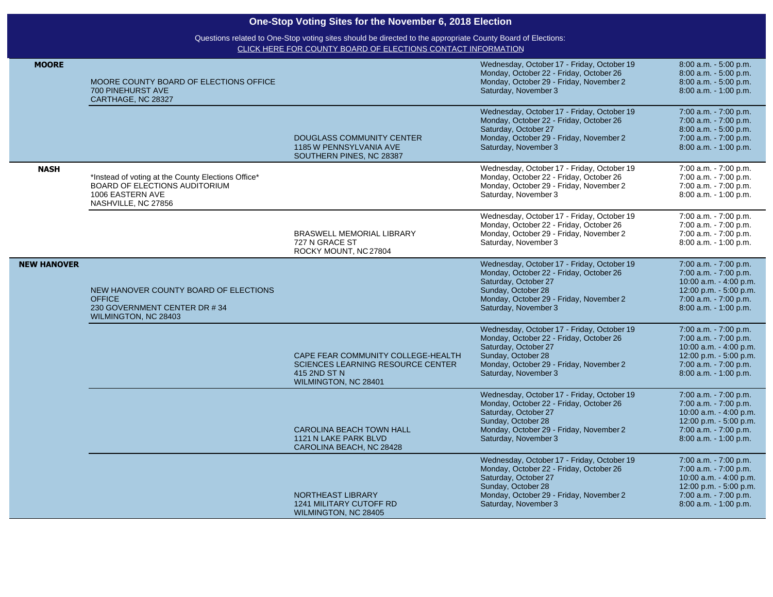| <b>MOORE</b>       | MOORE COUNTY BOARD OF ELECTIONS OFFICE<br>700 PINEHURST AVE<br>CARTHAGE, NC 28327                                              |                                                                                                                        | Wednesday, October 17 - Friday, October 19<br>Monday, October 22 - Friday, October 26<br>Monday, October 29 - Friday, November 2<br>Saturday, November 3                                               | 8:00 a.m. - 5:00 p.m.<br>8:00 a.m. - 5:00 p.m.<br>8:00 a.m. - 5:00 p.m.<br>8:00 a.m. - 1:00 p.m.                                                        |
|--------------------|--------------------------------------------------------------------------------------------------------------------------------|------------------------------------------------------------------------------------------------------------------------|--------------------------------------------------------------------------------------------------------------------------------------------------------------------------------------------------------|---------------------------------------------------------------------------------------------------------------------------------------------------------|
|                    |                                                                                                                                | <b>DOUGLASS COMMUNITY CENTER</b><br>1185 W PENNSYLVANIA AVE<br>SOUTHERN PINES, NC 28387                                | Wednesday, October 17 - Friday, October 19<br>Monday, October 22 - Friday, October 26<br>Saturday, October 27<br>Monday, October 29 - Friday, November 2<br>Saturday, November 3                       | 7:00 a.m. - 7:00 p.m.<br>7:00 a.m. - 7:00 p.m.<br>8:00 a.m. - 5:00 p.m.<br>7:00 a.m. - 7:00 p.m.<br>8:00 a.m. - 1:00 p.m.                               |
| <b>NASH</b>        | *Instead of voting at the County Elections Office*<br>BOARD OF ELECTIONS AUDITORIUM<br>1006 EASTERN AVE<br>NASHVILLE, NC 27856 |                                                                                                                        | Wednesday, October 17 - Friday, October 19<br>Monday, October 22 - Friday, October 26<br>Monday, October 29 - Friday, November 2<br>Saturday, November 3                                               | 7:00 a.m. - 7:00 p.m.<br>7:00 a.m. - 7:00 p.m.<br>7:00 a.m. - 7:00 p.m.<br>8:00 a.m. - 1:00 p.m.                                                        |
|                    |                                                                                                                                | BRASWELL MEMORIAL LIBRARY<br>727 N GRACE ST<br>ROCKY MOUNT, NC 27804                                                   | Wednesday, October 17 - Friday, October 19<br>Monday, October 22 - Friday, October 26<br>Monday, October 29 - Friday, November 2<br>Saturday, November 3                                               | 7:00 a.m. - 7:00 p.m.<br>7:00 a.m. - 7:00 p.m.<br>7:00 a.m. - 7:00 p.m.<br>8:00 a.m. - 1:00 p.m.                                                        |
| <b>NEW HANOVER</b> | NEW HANOVER COUNTY BOARD OF ELECTIONS<br><b>OFFICE</b><br>230 GOVERNMENT CENTER DR #34<br>WILMINGTON, NC 28403                 |                                                                                                                        | Wednesday, October 17 - Friday, October 19<br>Monday, October 22 - Friday, October 26<br>Saturday, October 27<br>Sunday, October 28<br>Monday, October 29 - Friday, November 2<br>Saturday, November 3 | 7:00 a.m. - 7:00 p.m.<br>7:00 a.m. - 7:00 p.m.<br>10:00 a.m. - 4:00 p.m.<br>12:00 p.m. - 5:00 p.m.<br>7:00 a.m. - 7:00 p.m.<br>$8:00$ a.m. $-1:00$ p.m. |
|                    |                                                                                                                                | CAPE FEAR COMMUNITY COLLEGE-HEALTH<br><b>SCIENCES LEARNING RESOURCE CENTER</b><br>415 2ND ST N<br>WILMINGTON, NC 28401 | Wednesday, October 17 - Friday, October 19<br>Monday, October 22 - Friday, October 26<br>Saturday, October 27<br>Sunday, October 28<br>Monday, October 29 - Friday, November 2<br>Saturday, November 3 | 7:00 a.m. - 7:00 p.m.<br>7:00 a.m. - 7:00 p.m.<br>10:00 a.m. - 4:00 p.m.<br>12:00 p.m. - 5:00 p.m.<br>7:00 a.m. - 7:00 p.m.<br>8:00 a.m. - 1:00 p.m.    |
|                    |                                                                                                                                | <b>CAROLINA BEACH TOWN HALL</b><br>1121 N LAKE PARK BLVD<br>CAROLINA BEACH, NC 28428                                   | Wednesday, October 17 - Friday, October 19<br>Monday, October 22 - Friday, October 26<br>Saturday, October 27<br>Sunday, October 28<br>Monday, October 29 - Friday, November 2<br>Saturday, November 3 | 7:00 a.m. - 7:00 p.m.<br>7:00 a.m. - 7:00 p.m.<br>10:00 a.m. - 4:00 p.m.<br>12:00 p.m. - 5:00 p.m.<br>7:00 a.m. - 7:00 p.m.<br>8:00 a.m. - 1:00 p.m.    |
|                    |                                                                                                                                | NORTHEAST LIBRARY<br><b>1241 MILITARY CUTOFF RD</b><br>WILMINGTON, NC 28405                                            | Wednesday, October 17 - Friday, October 19<br>Monday, October 22 - Friday, October 26<br>Saturday, October 27<br>Sunday, October 28<br>Monday, October 29 - Friday, November 2<br>Saturday, November 3 | 7:00 a.m. - 7:00 p.m.<br>7:00 a.m. - 7:00 p.m.<br>10:00 a.m. - 4:00 p.m.<br>12:00 p.m. - 5:00 p.m.<br>7:00 a.m. - 7:00 p.m.<br>$8:00$ a.m. $-1:00$ p.m. |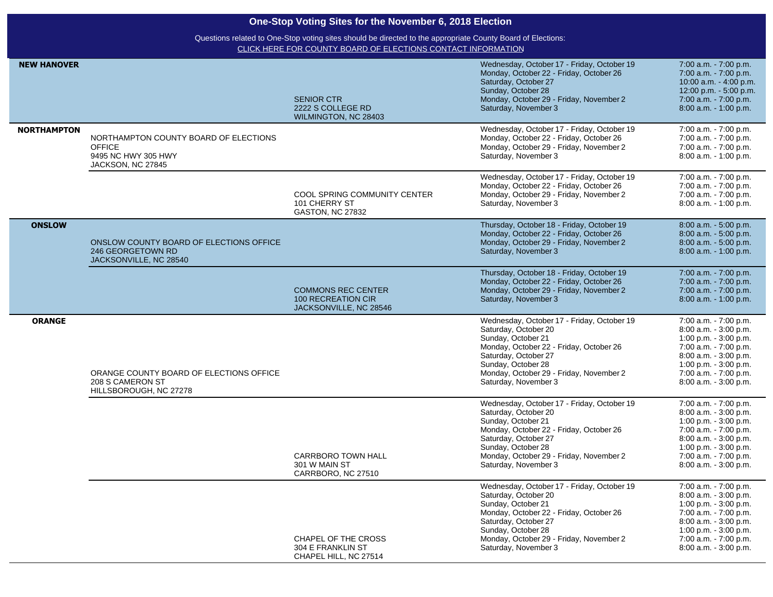| One-Stop Voting Sites for the November 6, 2018 Election |                                                                                                                                                                             |                                                                           |                                                                                                                                                                                                                                                      |                                                                                                                                                                                                       |  |
|---------------------------------------------------------|-----------------------------------------------------------------------------------------------------------------------------------------------------------------------------|---------------------------------------------------------------------------|------------------------------------------------------------------------------------------------------------------------------------------------------------------------------------------------------------------------------------------------------|-------------------------------------------------------------------------------------------------------------------------------------------------------------------------------------------------------|--|
|                                                         | Questions related to One-Stop voting sites should be directed to the appropriate County Board of Elections:<br>CLICK HERE FOR COUNTY BOARD OF ELECTIONS CONTACT INFORMATION |                                                                           |                                                                                                                                                                                                                                                      |                                                                                                                                                                                                       |  |
| <b>NEW HANOVER</b>                                      |                                                                                                                                                                             | <b>SENIOR CTR</b><br>2222 S COLLEGE RD<br>WILMINGTON, NC 28403            | Wednesday, October 17 - Friday, October 19<br>Monday, October 22 - Friday, October 26<br>Saturday, October 27<br>Sunday, October 28<br>Monday, October 29 - Friday, November 2<br>Saturday, November 3                                               | 7:00 a.m. - 7:00 p.m.<br>7:00 a.m. - 7:00 p.m.<br>10:00 a.m. - 4:00 p.m.<br>12:00 p.m. - 5:00 p.m.<br>7:00 a.m. - 7:00 p.m.<br>8:00 a.m. - 1:00 p.m.                                                  |  |
| <b>NORTHAMPTON</b>                                      | NORTHAMPTON COUNTY BOARD OF ELECTIONS<br><b>OFFICE</b><br>9495 NC HWY 305 HWY<br>JACKSON, NC 27845                                                                          |                                                                           | Wednesday, October 17 - Friday, October 19<br>Monday, October 22 - Friday, October 26<br>Monday, October 29 - Friday, November 2<br>Saturday, November 3                                                                                             | 7:00 a.m. - 7:00 p.m.<br>7:00 a.m. - 7:00 p.m.<br>7:00 a.m. - 7:00 p.m.<br>8:00 a.m. - 1:00 p.m.                                                                                                      |  |
|                                                         |                                                                                                                                                                             | COOL SPRING COMMUNITY CENTER<br>101 CHERRY ST<br><b>GASTON, NC 27832</b>  | Wednesday, October 17 - Friday, October 19<br>Monday, October 22 - Friday, October 26<br>Monday, October 29 - Friday, November 2<br>Saturday, November 3                                                                                             | 7:00 a.m. - 7:00 p.m.<br>7:00 a.m. - 7:00 p.m.<br>7:00 a.m. - 7:00 p.m.<br>8:00 a.m. - 1:00 p.m.                                                                                                      |  |
| <b>ONSLOW</b>                                           | ONSLOW COUNTY BOARD OF ELECTIONS OFFICE<br>246 GEORGETOWN RD<br>JACKSONVILLE, NC 28540                                                                                      |                                                                           | Thursday, October 18 - Friday, October 19<br>Monday, October 22 - Friday, October 26<br>Monday, October 29 - Friday, November 2<br>Saturday, November 3                                                                                              | 8:00 a.m. - 5:00 p.m.<br>8:00 a.m. - 5:00 p.m.<br>8:00 a.m. - 5:00 p.m.<br>8:00 a.m. - 1:00 p.m.                                                                                                      |  |
|                                                         |                                                                                                                                                                             | <b>COMMONS REC CENTER</b><br>100 RECREATION CIR<br>JACKSONVILLE, NC 28546 | Thursday, October 18 - Friday, October 19<br>Monday, October 22 - Friday, October 26<br>Monday, October 29 - Friday, November 2<br>Saturday, November 3                                                                                              | 7:00 a.m. - 7:00 p.m.<br>7:00 a.m. - 7:00 p.m.<br>7:00 a.m. - 7:00 p.m.<br>8:00 a.m. - 1:00 p.m.                                                                                                      |  |
| <b>ORANGE</b>                                           | ORANGE COUNTY BOARD OF ELECTIONS OFFICE<br>208 S CAMERON ST<br>HILLSBOROUGH, NC 27278                                                                                       |                                                                           | Wednesday, October 17 - Friday, October 19<br>Saturday, October 20<br>Sunday, October 21<br>Monday, October 22 - Friday, October 26<br>Saturday, October 27<br>Sunday, October 28<br>Monday, October 29 - Friday, November 2<br>Saturday, November 3 | 7:00 a.m. - 7:00 p.m.<br>8:00 a.m. - 3:00 p.m.<br>1:00 p.m. - 3:00 p.m.<br>7:00 a.m. - 7:00 p.m.<br>8:00 a.m. - 3:00 p.m.<br>1:00 p.m. - 3:00 p.m.<br>7:00 a.m. - 7:00 p.m.<br>8:00 a.m. - 3:00 p.m.  |  |
|                                                         |                                                                                                                                                                             | <b>CARRBORO TOWN HALL</b><br>301 W MAIN ST<br>CARRBORO, NC 27510          | Wednesday, October 17 - Friday, October 19<br>Saturday, October 20<br>Sunday, October 21<br>Monday, October 22 - Friday, October 26<br>Saturday, October 27<br>Sunday, October 28<br>Monday, October 29 - Friday, November 2<br>Saturday, November 3 | 7:00 a.m. - 7:00 p.m.<br>8:00 a.m. - 3:00 p.m.<br>1:00 p.m. - 3:00 p.m.<br>7:00 a.m. - 7:00 p.m.<br>8:00 a.m. - 3:00 p.m.<br>1:00 p.m. $-3:00$ p.m.<br>7:00 a.m. - 7:00 p.m.<br>8:00 a.m. - 3:00 p.m. |  |
|                                                         |                                                                                                                                                                             | CHAPEL OF THE CROSS<br>304 E FRANKLIN ST<br>CHAPEL HILL, NC 27514         | Wednesday, October 17 - Friday, October 19<br>Saturday, October 20<br>Sunday, October 21<br>Monday, October 22 - Friday, October 26<br>Saturday, October 27<br>Sunday, October 28<br>Monday, October 29 - Friday, November 2<br>Saturday, November 3 | 7:00 a.m. - 7:00 p.m.<br>8:00 a.m. - 3:00 p.m.<br>1:00 p.m. - 3:00 p.m.<br>7:00 a.m. - 7:00 p.m.<br>8:00 a.m. - 3:00 p.m.<br>1:00 p.m. - 3:00 p.m.<br>7:00 a.m. - 7:00 p.m.<br>8:00 a.m. - 3:00 p.m.  |  |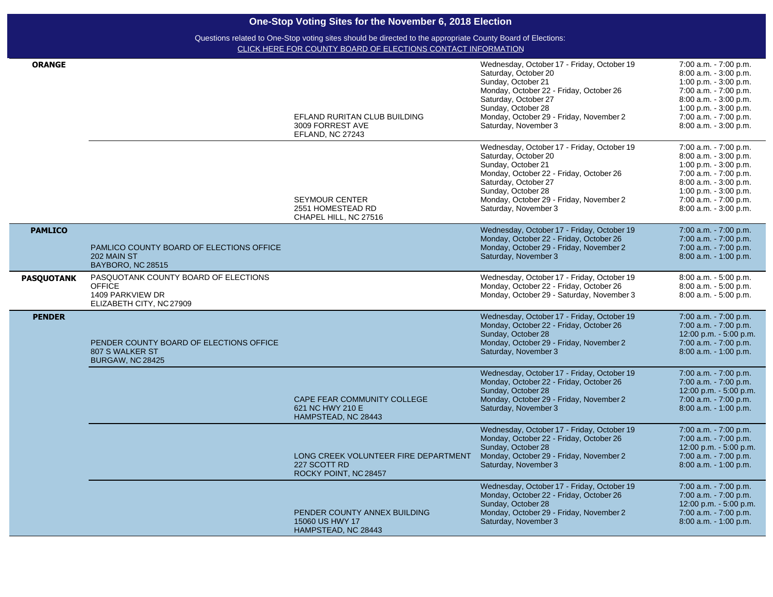| <b>ORANGE</b>     |                                                                                                       | EFLAND RURITAN CLUB BUILDING<br>3009 FORREST AVE<br>EFLAND, NC 27243          | Wednesday, October 17 - Friday, October 19<br>Saturday, October 20<br>Sunday, October 21<br>Monday, October 22 - Friday, October 26<br>Saturday, October 27<br>Sunday, October 28<br>Monday, October 29 - Friday, November 2<br>Saturday, November 3 | 7:00 a.m. - 7:00 p.m.<br>8:00 a.m. - 3:00 p.m.<br>1:00 p.m. $-3:00$ p.m.<br>7:00 a.m. - 7:00 p.m.<br>8:00 a.m. - 3:00 p.m.<br>1:00 p.m. - 3:00 p.m.<br>7:00 a.m. - 7:00 p.m.<br>8:00 a.m. - 3:00 p.m. |
|-------------------|-------------------------------------------------------------------------------------------------------|-------------------------------------------------------------------------------|------------------------------------------------------------------------------------------------------------------------------------------------------------------------------------------------------------------------------------------------------|-------------------------------------------------------------------------------------------------------------------------------------------------------------------------------------------------------|
|                   |                                                                                                       | <b>SEYMOUR CENTER</b><br>2551 HOMESTEAD RD<br>CHAPEL HILL, NC 27516           | Wednesday, October 17 - Friday, October 19<br>Saturday, October 20<br>Sunday, October 21<br>Monday, October 22 - Friday, October 26<br>Saturday, October 27<br>Sunday, October 28<br>Monday, October 29 - Friday, November 2<br>Saturday, November 3 | 7:00 a.m. - 7:00 p.m.<br>8:00 a.m. - 3:00 p.m.<br>1:00 p.m. - 3:00 p.m.<br>7:00 a.m. - 7:00 p.m.<br>8:00 a.m. - 3:00 p.m.<br>1:00 p.m. $-3:00$ p.m.<br>7:00 a.m. - 7:00 p.m.<br>8:00 a.m. - 3:00 p.m. |
| <b>PAMLICO</b>    | PAMLICO COUNTY BOARD OF ELECTIONS OFFICE<br>202 MAIN ST<br>BAYBORO, NC 28515                          |                                                                               | Wednesday, October 17 - Friday, October 19<br>Monday, October 22 - Friday, October 26<br>Monday, October 29 - Friday, November 2<br>Saturday, November 3                                                                                             | 7:00 a.m. - 7:00 p.m.<br>7:00 a.m. - 7:00 p.m.<br>7:00 a.m. - 7:00 p.m.<br>$8:00$ a.m. $-1:00$ p.m.                                                                                                   |
| <b>PASQUOTANK</b> | PASQUOTANK COUNTY BOARD OF ELECTIONS<br><b>OFFICE</b><br>1409 PARKVIEW DR<br>ELIZABETH CITY, NC 27909 |                                                                               | Wednesday, October 17 - Friday, October 19<br>Monday, October 22 - Friday, October 26<br>Monday, October 29 - Saturday, November 3                                                                                                                   | 8:00 a.m. - 5:00 p.m.<br>8:00 a.m. - 5:00 p.m.<br>8:00 a.m. - 5:00 p.m.                                                                                                                               |
| <b>PENDER</b>     | PENDER COUNTY BOARD OF ELECTIONS OFFICE<br>807 S WALKER ST<br><b>BURGAW, NC 28425</b>                 |                                                                               | Wednesday, October 17 - Friday, October 19<br>Monday, October 22 - Friday, October 26<br>Sunday, October 28<br>Monday, October 29 - Friday, November 2<br>Saturday, November 3                                                                       | 7:00 a.m. - 7:00 p.m.<br>7:00 a.m. - 7:00 p.m.<br>12:00 p.m. - 5:00 p.m.<br>7:00 a.m. - 7:00 p.m.<br>8:00 a.m. - 1:00 p.m.                                                                            |
|                   |                                                                                                       | CAPE FEAR COMMUNITY COLLEGE<br>621 NC HWY 210 E<br>HAMPSTEAD, NC 28443        | Wednesday, October 17 - Friday, October 19<br>Monday, October 22 - Friday, October 26<br>Sunday, October 28<br>Monday, October 29 - Friday, November 2<br>Saturday, November 3                                                                       | 7:00 a.m. - 7:00 p.m.<br>7:00 a.m. - 7:00 p.m.<br>12:00 p.m. - 5:00 p.m.<br>7:00 a.m. - 7:00 p.m.<br>8:00 a.m. - 1:00 p.m.                                                                            |
|                   |                                                                                                       | LONG CREEK VOLUNTEER FIRE DEPARTMENT<br>227 SCOTT RD<br>ROCKY POINT, NC 28457 | Wednesday, October 17 - Friday, October 19<br>Monday, October 22 - Friday, October 26<br>Sunday, October 28<br>Monday, October 29 - Friday, November 2<br>Saturday, November 3                                                                       | 7:00 a.m. - 7:00 p.m.<br>7:00 a.m. - 7:00 p.m.<br>12:00 p.m. - 5:00 p.m.<br>7:00 a.m. - 7:00 p.m.<br>8:00 a.m. - 1:00 p.m.                                                                            |
|                   |                                                                                                       | PENDER COUNTY ANNEX BUILDING<br>15060 US HWY 17<br>HAMPSTEAD, NC 28443        | Wednesday, October 17 - Friday, October 19<br>Monday, October 22 - Friday, October 26<br>Sunday, October 28<br>Monday, October 29 - Friday, November 2<br>Saturday, November 3                                                                       | 7:00 a.m. - 7:00 p.m.<br>7:00 a.m. - 7:00 p.m.<br>12:00 p.m. - 5:00 p.m.<br>7:00 a.m. - 7:00 p.m.<br>8:00 a.m. - 1:00 p.m.                                                                            |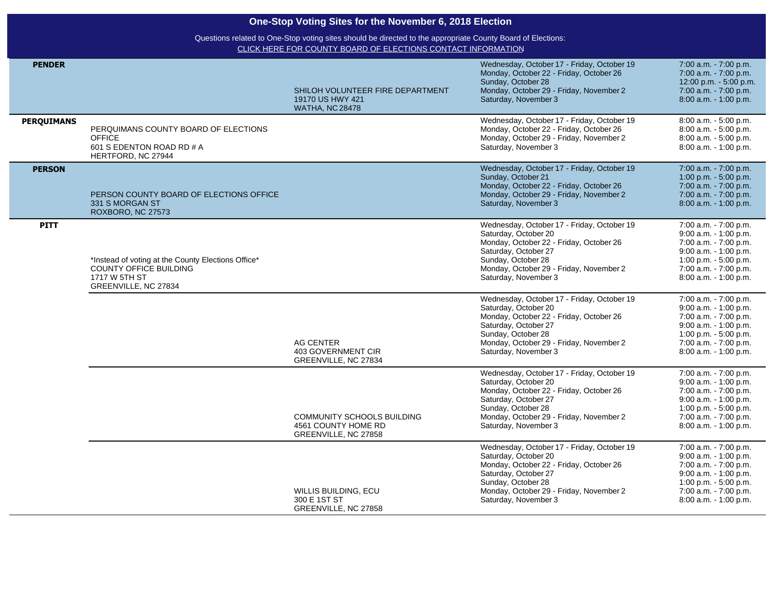| One-Stop Voting Sites for the November 6, 2018 Election |                                                                                                                       |                                                                                |                                                                                                                                                                                                                                |                                                                                                                                                                                |  |
|---------------------------------------------------------|-----------------------------------------------------------------------------------------------------------------------|--------------------------------------------------------------------------------|--------------------------------------------------------------------------------------------------------------------------------------------------------------------------------------------------------------------------------|--------------------------------------------------------------------------------------------------------------------------------------------------------------------------------|--|
|                                                         | Questions related to One-Stop voting sites should be directed to the appropriate County Board of Elections:           |                                                                                |                                                                                                                                                                                                                                |                                                                                                                                                                                |  |
|                                                         |                                                                                                                       | CLICK HERE FOR COUNTY BOARD OF ELECTIONS CONTACT INFORMATION                   |                                                                                                                                                                                                                                |                                                                                                                                                                                |  |
| <b>PENDER</b>                                           |                                                                                                                       | SHILOH VOLUNTEER FIRE DEPARTMENT<br>19170 US HWY 421<br><b>WATHA, NC 28478</b> | Wednesday, October 17 - Friday, October 19<br>Monday, October 22 - Friday, October 26<br>Sunday, October 28<br>Monday, October 29 - Friday, November 2<br>Saturday, November 3                                                 | 7:00 a.m. - 7:00 p.m.<br>7:00 a.m. - 7:00 p.m.<br>12:00 p.m. - 5:00 p.m.<br>7:00 a.m. - 7:00 p.m.<br>8:00 a.m. - 1:00 p.m.                                                     |  |
| <b>PERQUIMANS</b>                                       | PERQUIMANS COUNTY BOARD OF ELECTIONS<br><b>OFFICE</b><br>601 S EDENTON ROAD RD # A<br>HERTFORD, NC 27944              |                                                                                | Wednesday, October 17 - Friday, October 19<br>Monday, October 22 - Friday, October 26<br>Monday, October 29 - Friday, November 2<br>Saturday, November 3                                                                       | 8:00 a.m. - 5:00 p.m.<br>8:00 a.m. - 5:00 p.m.<br>8:00 a.m. - 5:00 p.m.<br>8:00 a.m. - 1:00 p.m.                                                                               |  |
| <b>PERSON</b>                                           | PERSON COUNTY BOARD OF ELECTIONS OFFICE<br>331 S MORGAN ST<br>ROXBORO, NC 27573                                       |                                                                                | Wednesday, October 17 - Friday, October 19<br>Sunday, October 21<br>Monday, October 22 - Friday, October 26<br>Monday, October 29 - Friday, November 2<br>Saturday, November 3                                                 | 7:00 a.m. - 7:00 p.m.<br>1:00 p.m. - 5:00 p.m.<br>7:00 a.m. - 7:00 p.m.<br>7:00 a.m. - 7:00 p.m.<br>8:00 a.m. - 1:00 p.m.                                                      |  |
| <b>PITT</b>                                             | *Instead of voting at the County Elections Office*<br>COUNTY OFFICE BUILDING<br>1717 W 5TH ST<br>GREENVILLE, NC 27834 |                                                                                | Wednesday, October 17 - Friday, October 19<br>Saturday, October 20<br>Monday, October 22 - Friday, October 26<br>Saturday, October 27<br>Sunday, October 28<br>Monday, October 29 - Friday, November 2<br>Saturday, November 3 | 7:00 a.m. - 7:00 p.m.<br>$9:00$ a.m. $-1:00$ p.m.<br>7:00 a.m. - 7:00 p.m.<br>9:00 a.m. - 1:00 p.m.<br>1:00 p.m. - 5:00 p.m.<br>7:00 a.m. - 7:00 p.m.<br>8:00 a.m. - 1:00 p.m. |  |
|                                                         |                                                                                                                       | <b>AG CENTER</b><br>403 GOVERNMENT CIR<br>GREENVILLE, NC 27834                 | Wednesday, October 17 - Friday, October 19<br>Saturday, October 20<br>Monday, October 22 - Friday, October 26<br>Saturday, October 27<br>Sunday, October 28<br>Monday, October 29 - Friday, November 2<br>Saturday, November 3 | 7:00 a.m. - 7:00 p.m.<br>9:00 a.m. - 1:00 p.m.<br>7:00 a.m. - 7:00 p.m.<br>9:00 a.m. - 1:00 p.m.<br>1:00 p.m. - 5:00 p.m.<br>7:00 a.m. - 7:00 p.m.<br>8:00 a.m. - 1:00 p.m.    |  |
|                                                         |                                                                                                                       | COMMUNITY SCHOOLS BUILDING<br>4561 COUNTY HOME RD<br>GREENVILLE, NC 27858      | Wednesday, October 17 - Friday, October 19<br>Saturday, October 20<br>Monday, October 22 - Friday, October 26<br>Saturday, October 27<br>Sunday, October 28<br>Monday, October 29 - Friday, November 2<br>Saturday, November 3 | 7:00 a.m. - 7:00 p.m.<br>$9:00$ a.m. $-1:00$ p.m.<br>7:00 a.m. - 7:00 p.m.<br>9:00 a.m. - 1:00 p.m.<br>1:00 p.m. - 5:00 p.m.<br>7:00 a.m. - 7:00 p.m.<br>8:00 a.m. - 1:00 p.m. |  |
|                                                         |                                                                                                                       | WILLIS BUILDING, ECU<br>300 E 1ST ST<br>GREENVILLE, NC 27858                   | Wednesday, October 17 - Friday, October 19<br>Saturday, October 20<br>Monday, October 22 - Friday, October 26<br>Saturday, October 27<br>Sunday, October 28<br>Monday, October 29 - Friday, November 2<br>Saturday, November 3 | 7:00 a.m. - 7:00 p.m.<br>$9:00$ a.m. $-1:00$ p.m.<br>7:00 a.m. - 7:00 p.m.<br>9:00 a.m. - 1:00 p.m.<br>1:00 p.m. - 5:00 p.m.<br>7:00 a.m. - 7:00 p.m.<br>8:00 a.m. - 1:00 p.m. |  |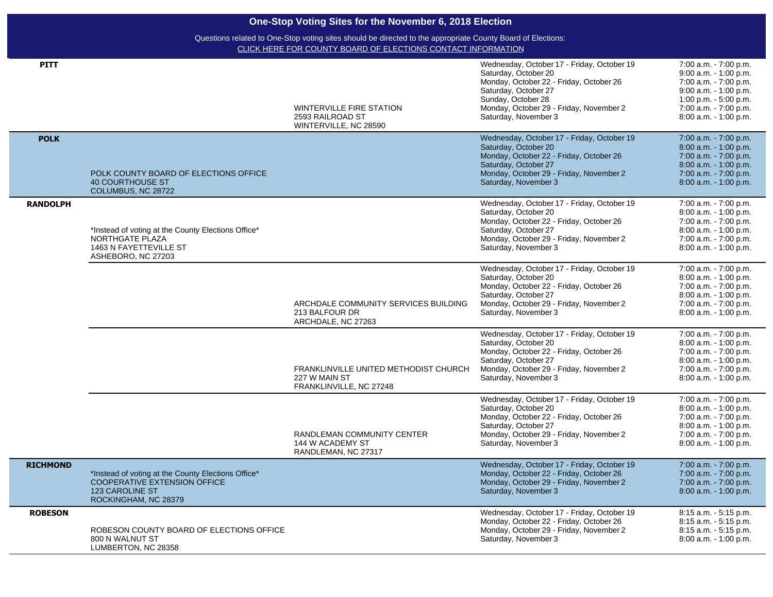| <b>PITT</b>     |                                                                                                                                      | <b>WINTERVILLE FIRE STATION</b><br>2593 RAILROAD ST<br>WINTERVILLE, NC 28590      | Wednesday, October 17 - Friday, October 19<br>Saturday, October 20<br>Monday, October 22 - Friday, October 26<br>Saturday, October 27<br>Sunday, October 28<br>Monday, October 29 - Friday, November 2<br>Saturday, November 3 | 7:00 a.m. - 7:00 p.m.<br>9:00 a.m. - 1:00 p.m.<br>7:00 a.m. - 7:00 p.m.<br>$9:00$ a.m. $-1:00$ p.m.<br>1:00 p.m. $-5:00$ p.m.<br>7:00 a.m. - 7:00 p.m.<br>8:00 a.m. - 1:00 p.m. |
|-----------------|--------------------------------------------------------------------------------------------------------------------------------------|-----------------------------------------------------------------------------------|--------------------------------------------------------------------------------------------------------------------------------------------------------------------------------------------------------------------------------|---------------------------------------------------------------------------------------------------------------------------------------------------------------------------------|
| <b>POLK</b>     | POLK COUNTY BOARD OF ELECTIONS OFFICE<br><b>40 COURTHOUSE ST</b><br>COLUMBUS, NC 28722                                               |                                                                                   | Wednesday, October 17 - Friday, October 19<br>Saturday, October 20<br>Monday, October 22 - Friday, October 26<br>Saturday, October 27<br>Monday, October 29 - Friday, November 2<br>Saturday, November 3                       | 7:00 a.m. - 7:00 p.m.<br>8:00 a.m. - 1:00 p.m.<br>7:00 a.m. - 7:00 p.m.<br>8:00 a.m. - 1:00 p.m.<br>7:00 a.m. - 7:00 p.m.<br>8:00 a.m. - 1:00 p.m.                              |
| <b>RANDOLPH</b> | *Instead of voting at the County Elections Office*<br>NORTHGATE PLAZA<br>1463 N FAYETTEVILLE ST<br>ASHEBORO, NC 27203                |                                                                                   | Wednesday, October 17 - Friday, October 19<br>Saturday, October 20<br>Monday, October 22 - Friday, October 26<br>Saturday, October 27<br>Monday, October 29 - Friday, November 2<br>Saturday, November 3                       | 7:00 a.m. - 7:00 p.m.<br>8:00 a.m. - 1:00 p.m.<br>7:00 a.m. - 7:00 p.m.<br>8:00 a.m. - 1:00 p.m.<br>7:00 a.m. - 7:00 p.m.<br>8:00 a.m. - 1:00 p.m.                              |
|                 |                                                                                                                                      | ARCHDALE COMMUNITY SERVICES BUILDING<br>213 BALFOUR DR<br>ARCHDALE, NC 27263      | Wednesday, October 17 - Friday, October 19<br>Saturday, October 20<br>Monday, October 22 - Friday, October 26<br>Saturday, October 27<br>Monday, October 29 - Friday, November 2<br>Saturday, November 3                       | 7:00 a.m. - 7:00 p.m.<br>8:00 a.m. - 1:00 p.m.<br>7:00 a.m. - 7:00 p.m.<br>8:00 a.m. - 1:00 p.m.<br>7:00 a.m. - 7:00 p.m.<br>8:00 a.m. - 1:00 p.m.                              |
|                 |                                                                                                                                      | FRANKLINVILLE UNITED METHODIST CHURCH<br>227 W MAIN ST<br>FRANKLINVILLE, NC 27248 | Wednesday, October 17 - Friday, October 19<br>Saturday, October 20<br>Monday, October 22 - Friday, October 26<br>Saturday, October 27<br>Monday, October 29 - Friday, November 2<br>Saturday, November 3                       | 7:00 a.m. - 7:00 p.m.<br>8:00 a.m. - 1:00 p.m.<br>7:00 a.m. - 7:00 p.m.<br>8:00 a.m. - 1:00 p.m.<br>7:00 a.m. - 7:00 p.m.<br>8:00 a.m. - 1:00 p.m.                              |
|                 |                                                                                                                                      | RANDLEMAN COMMUNITY CENTER<br>144 W ACADEMY ST<br>RANDLEMAN, NC 27317             | Wednesday, October 17 - Friday, October 19<br>Saturday, October 20<br>Monday, October 22 - Friday, October 26<br>Saturday, October 27<br>Monday, October 29 - Friday, November 2<br>Saturday, November 3                       | 7:00 a.m. - 7:00 p.m.<br>8:00 a.m. - 1:00 p.m.<br>7:00 a.m. - 7:00 p.m.<br>8:00 a.m. - 1:00 p.m.<br>7:00 a.m. - 7:00 p.m.<br>8:00 a.m. - 1:00 p.m.                              |
| <b>RICHMOND</b> | *Instead of voting at the County Elections Office*<br>COOPERATIVE EXTENSION OFFICE<br><b>123 CAROLINE ST</b><br>ROCKINGHAM, NC 28379 |                                                                                   | Wednesday, October 17 - Friday, October 19<br>Monday, October 22 - Friday, October 26<br>Monday, October 29 - Friday, November 2<br>Saturday, November 3                                                                       | 7:00 a.m. - 7:00 p.m.<br>7:00 a.m. - 7:00 p.m.<br>7:00 a.m. - 7:00 p.m.<br>8:00 a.m. - 1:00 p.m.                                                                                |
| <b>ROBESON</b>  | ROBESON COUNTY BOARD OF ELECTIONS OFFICE<br>800 N WALNUT ST<br>LUMBERTON, NC 28358                                                   |                                                                                   | Wednesday, October 17 - Friday, October 19<br>Monday, October 22 - Friday, October 26<br>Monday, October 29 - Friday, November 2<br>Saturday, November 3                                                                       | 8:15 a.m. - 5:15 p.m.<br>8:15 a.m. - 5:15 p.m.<br>8:15 a.m. - 5:15 p.m.<br>8:00 a.m. - 1:00 p.m.                                                                                |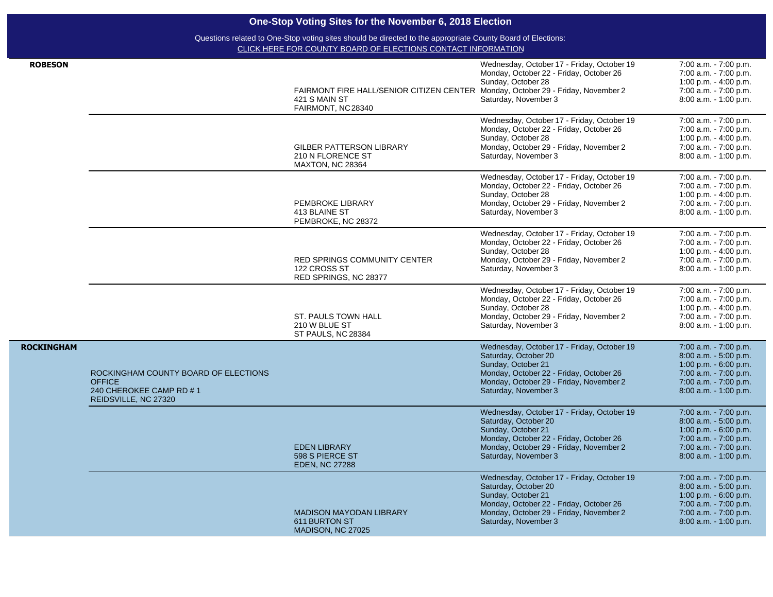|                   |                                                                                                          | One-Stop Voting Sites for the November 6, 2018 Election                                                                                                                     |                                                                                                                                                                                                        |                                                                                                                                                       |
|-------------------|----------------------------------------------------------------------------------------------------------|-----------------------------------------------------------------------------------------------------------------------------------------------------------------------------|--------------------------------------------------------------------------------------------------------------------------------------------------------------------------------------------------------|-------------------------------------------------------------------------------------------------------------------------------------------------------|
|                   |                                                                                                          | Questions related to One-Stop voting sites should be directed to the appropriate County Board of Elections:<br>CLICK HERE FOR COUNTY BOARD OF ELECTIONS CONTACT INFORMATION |                                                                                                                                                                                                        |                                                                                                                                                       |
| <b>ROBESON</b>    |                                                                                                          | FAIRMONT FIRE HALL/SENIOR CITIZEN CENTER Monday, October 29 - Friday, November 2<br>421 S MAIN ST<br>FAIRMONT, NC28340                                                      | Wednesday, October 17 - Friday, October 19<br>Monday, October 22 - Friday, October 26<br>Sunday, October 28<br>Saturday, November 3                                                                    | 7:00 a.m. - 7:00 p.m.<br>7:00 a.m. - 7:00 p.m.<br>1:00 p.m. - 4:00 p.m.<br>7:00 a.m. - 7:00 p.m.<br>8:00 a.m. - 1:00 p.m.                             |
|                   |                                                                                                          | <b>GILBER PATTERSON LIBRARY</b><br>210 N FLORENCE ST<br><b>MAXTON, NC 28364</b>                                                                                             | Wednesday, October 17 - Friday, October 19<br>Monday, October 22 - Friday, October 26<br>Sunday, October 28<br>Monday, October 29 - Friday, November 2<br>Saturday, November 3                         | 7:00 a.m. - 7:00 p.m.<br>7:00 a.m. - 7:00 p.m.<br>1:00 p.m. - 4:00 p.m.<br>7:00 a.m. - 7:00 p.m.<br>8:00 a.m. - 1:00 p.m.                             |
|                   |                                                                                                          | PEMBROKE LIBRARY<br>413 BLAINE ST<br>PEMBROKE, NC 28372                                                                                                                     | Wednesday, October 17 - Friday, October 19<br>Monday, October 22 - Friday, October 26<br>Sunday, October 28<br>Monday, October 29 - Friday, November 2<br>Saturday, November 3                         | 7:00 a.m. - 7:00 p.m.<br>7:00 a.m. - 7:00 p.m.<br>1:00 p.m. - 4:00 p.m.<br>7:00 a.m. - 7:00 p.m.<br>8:00 a.m. - 1:00 p.m.                             |
|                   |                                                                                                          | <b>RED SPRINGS COMMUNITY CENTER</b><br>122 CROSS ST<br>RED SPRINGS, NC 28377                                                                                                | Wednesday, October 17 - Friday, October 19<br>Monday, October 22 - Friday, October 26<br>Sunday, October 28<br>Monday, October 29 - Friday, November 2<br>Saturday, November 3                         | 7:00 a.m. - 7:00 p.m.<br>7:00 a.m. - 7:00 p.m.<br>1:00 p.m. - 4:00 p.m.<br>7:00 a.m. - 7:00 p.m.<br>8:00 a.m. - 1:00 p.m.                             |
|                   |                                                                                                          | ST. PAULS TOWN HALL<br>210 W BLUE ST<br>ST PAULS, NC 28384                                                                                                                  | Wednesday, October 17 - Friday, October 19<br>Monday, October 22 - Friday, October 26<br>Sunday, October 28<br>Monday, October 29 - Friday, November 2<br>Saturday, November 3                         | 7:00 a.m. - 7:00 p.m.<br>7:00 a.m. - 7:00 p.m.<br>1:00 p.m. - 4:00 p.m.<br>7:00 a.m. - 7:00 p.m.<br>8:00 a.m. - 1:00 p.m.                             |
| <b>ROCKINGHAM</b> | ROCKINGHAM COUNTY BOARD OF ELECTIONS<br><b>OFFICE</b><br>240 CHEROKEE CAMP RD #1<br>REIDSVILLE, NC 27320 |                                                                                                                                                                             | Wednesday, October 17 - Friday, October 19<br>Saturday, October 20<br>Sunday, October 21<br>Monday, October 22 - Friday, October 26<br>Monday, October 29 - Friday, November 2<br>Saturday, November 3 | 7:00 a.m. - 7:00 p.m.<br>8:00 a.m. - 5:00 p.m.<br>1:00 p.m. - 6:00 p.m.<br>7:00 a.m. - 7:00 p.m.<br>7:00 a.m. - 7:00 p.m.<br>8:00 a.m. - 1:00 p.m.    |
|                   |                                                                                                          | <b>EDEN LIBRARY</b><br>598 S PIERCE ST<br><b>EDEN, NC 27288</b>                                                                                                             | Wednesday, October 17 - Friday, October 19<br>Saturday, October 20<br>Sunday, October 21<br>Monday, October 22 - Friday, October 26<br>Monday, October 29 - Friday, November 2<br>Saturday, November 3 | 7:00 a.m. - 7:00 p.m.<br>8:00 a.m. - 5:00 p.m.<br>1:00 p.m. - 6:00 p.m.<br>7:00 a.m. - 7:00 p.m.<br>$7:00$ a.m. $-7:00$ p.m.<br>8:00 a.m. - 1:00 p.m. |
|                   |                                                                                                          | <b>MADISON MAYODAN LIBRARY</b><br>611 BURTON ST<br>MADISON, NC 27025                                                                                                        | Wednesday, October 17 - Friday, October 19<br>Saturday, October 20<br>Sunday, October 21<br>Monday, October 22 - Friday, October 26<br>Monday, October 29 - Friday, November 2<br>Saturday, November 3 | 7:00 a.m. - 7:00 p.m.<br>8:00 a.m. - 5:00 p.m.<br>1:00 p.m. $-6:00$ p.m.<br>7:00 a.m. - 7:00 p.m.<br>7:00 a.m. - 7:00 p.m.<br>8:00 a.m. - 1:00 p.m.   |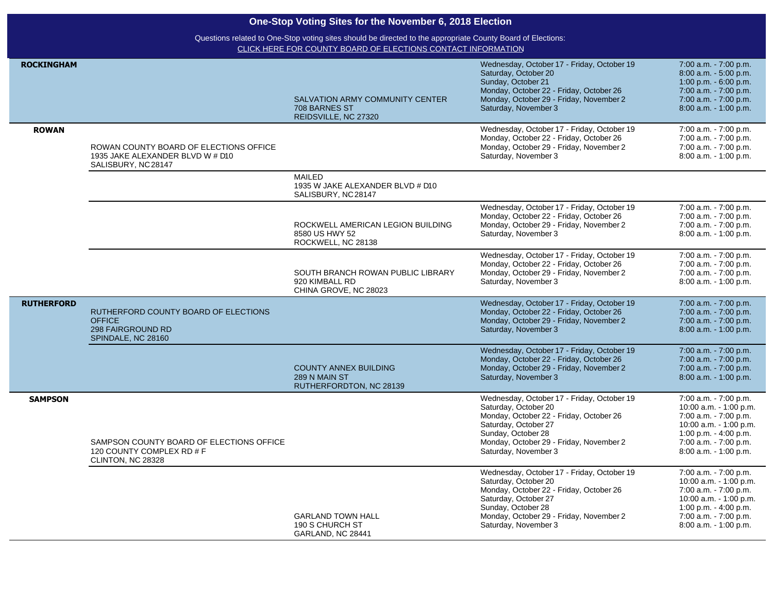|                   | One-Stop Voting Sites for the November 6, 2018 Election<br>Questions related to One-Stop voting sites should be directed to the appropriate County Board of Elections: |                                                                              |                                                                                                                                                                                                                                |                                                                                                                                                                               |  |
|-------------------|------------------------------------------------------------------------------------------------------------------------------------------------------------------------|------------------------------------------------------------------------------|--------------------------------------------------------------------------------------------------------------------------------------------------------------------------------------------------------------------------------|-------------------------------------------------------------------------------------------------------------------------------------------------------------------------------|--|
|                   |                                                                                                                                                                        |                                                                              |                                                                                                                                                                                                                                |                                                                                                                                                                               |  |
|                   |                                                                                                                                                                        | CLICK HERE FOR COUNTY BOARD OF ELECTIONS CONTACT INFORMATION                 |                                                                                                                                                                                                                                |                                                                                                                                                                               |  |
| <b>ROCKINGHAM</b> |                                                                                                                                                                        | SALVATION ARMY COMMUNITY CENTER<br>708 BARNES ST<br>REIDSVILLE, NC 27320     | Wednesday, October 17 - Friday, October 19<br>Saturday, October 20<br>Sunday, October 21<br>Monday, October 22 - Friday, October 26<br>Monday, October 29 - Friday, November 2<br>Saturday, November 3                         | 7:00 a.m. - 7:00 p.m.<br>8:00 a.m. - 5:00 p.m.<br>1:00 p.m. - 6:00 p.m.<br>7:00 a.m. - 7:00 p.m.<br>7:00 a.m. - 7:00 p.m.<br>8:00 a.m. - 1:00 p.m.                            |  |
| <b>ROWAN</b>      |                                                                                                                                                                        |                                                                              | Wednesday, October 17 - Friday, October 19                                                                                                                                                                                     | 7:00 a.m. - 7:00 p.m.                                                                                                                                                         |  |
|                   | ROWAN COUNTY BOARD OF ELECTIONS OFFICE<br>1935 JAKE ALEXANDER BLVD W # D10<br>SALISBURY, NC 28147                                                                      |                                                                              | Monday, October 22 - Friday, October 26<br>Monday, October 29 - Friday, November 2<br>Saturday, November 3                                                                                                                     | 7:00 a.m. - 7:00 p.m.<br>7:00 a.m. - 7:00 p.m.<br>8:00 a.m. - 1:00 p.m.                                                                                                       |  |
|                   |                                                                                                                                                                        | <b>MAILED</b><br>1935 W JAKE ALEXANDER BLVD # D10<br>SALISBURY, NC28147      |                                                                                                                                                                                                                                |                                                                                                                                                                               |  |
|                   |                                                                                                                                                                        | ROCKWELL AMERICAN LEGION BUILDING<br>8580 US HWY 52<br>ROCKWELL, NC 28138    | Wednesday, October 17 - Friday, October 19<br>Monday, October 22 - Friday, October 26<br>Monday, October 29 - Friday, November 2<br>Saturday, November 3                                                                       | 7:00 a.m. - 7:00 p.m.<br>7:00 a.m. - 7:00 p.m.<br>7:00 a.m. - 7:00 p.m.<br>8:00 a.m. - 1:00 p.m.                                                                              |  |
|                   |                                                                                                                                                                        | SOUTH BRANCH ROWAN PUBLIC LIBRARY<br>920 KIMBALL RD<br>CHINA GROVE, NC 28023 | Wednesday, October 17 - Friday, October 19<br>Monday, October 22 - Friday, October 26<br>Monday, October 29 - Friday, November 2<br>Saturday, November 3                                                                       | 7:00 a.m. - 7:00 p.m.<br>7:00 a.m. - 7:00 p.m.<br>7:00 a.m. - 7:00 p.m.<br>8:00 a.m. - 1:00 p.m.                                                                              |  |
| <b>RUTHERFORD</b> | RUTHERFORD COUNTY BOARD OF ELECTIONS<br><b>OFFICE</b><br>298 FAIRGROUND RD<br>SPINDALE, NC 28160                                                                       |                                                                              | Wednesday, October 17 - Friday, October 19<br>Monday, October 22 - Friday, October 26<br>Monday, October 29 - Friday, November 2<br>Saturday, November 3                                                                       | 7:00 a.m. - 7:00 p.m.<br>7:00 a.m. - 7:00 p.m.<br>7:00 a.m. - 7:00 p.m.<br>8:00 a.m. - 1:00 p.m.                                                                              |  |
|                   |                                                                                                                                                                        | <b>COUNTY ANNEX BUILDING</b><br>289 N MAIN ST<br>RUTHERFORDTON, NC 28139     | Wednesday, October 17 - Friday, October 19<br>Monday, October 22 - Friday, October 26<br>Monday, October 29 - Friday, November 2<br>Saturday, November 3                                                                       | 7:00 a.m. - 7:00 p.m.<br>7:00 a.m. - 7:00 p.m.<br>7:00 a.m. - 7:00 p.m.<br>8:00 a.m. - 1:00 p.m.                                                                              |  |
| <b>SAMPSON</b>    | SAMPSON COUNTY BOARD OF ELECTIONS OFFICE<br>120 COUNTY COMPLEX RD # F<br>CLINTON, NC 28328                                                                             |                                                                              | Wednesday, October 17 - Friday, October 19<br>Saturday, October 20<br>Monday, October 22 - Friday, October 26<br>Saturday, October 27<br>Sunday, October 28<br>Monday, October 29 - Friday, November 2<br>Saturday, November 3 | 7:00 a.m. - 7:00 p.m.<br>10:00 a.m. - 1:00 p.m.<br>7:00 a.m. - 7:00 p.m.<br>10:00 a.m. - 1:00 p.m.<br>1:00 p.m. - 4:00 p.m.<br>7:00 a.m. - 7:00 p.m.<br>8:00 a.m. - 1:00 p.m. |  |
|                   |                                                                                                                                                                        | <b>GARLAND TOWN HALL</b><br>190 S CHURCH ST<br>GARLAND, NC 28441             | Wednesday, October 17 - Friday, October 19<br>Saturday, October 20<br>Monday, October 22 - Friday, October 26<br>Saturday, October 27<br>Sunday, October 28<br>Monday, October 29 - Friday, November 2<br>Saturday, November 3 | 7:00 a.m. - 7:00 p.m.<br>10:00 a.m. - 1:00 p.m.<br>7:00 a.m. - 7:00 p.m.<br>10:00 a.m. - 1:00 p.m.<br>1:00 p.m. - 4:00 p.m.<br>7:00 a.m. - 7:00 p.m.<br>8:00 a.m. - 1:00 p.m. |  |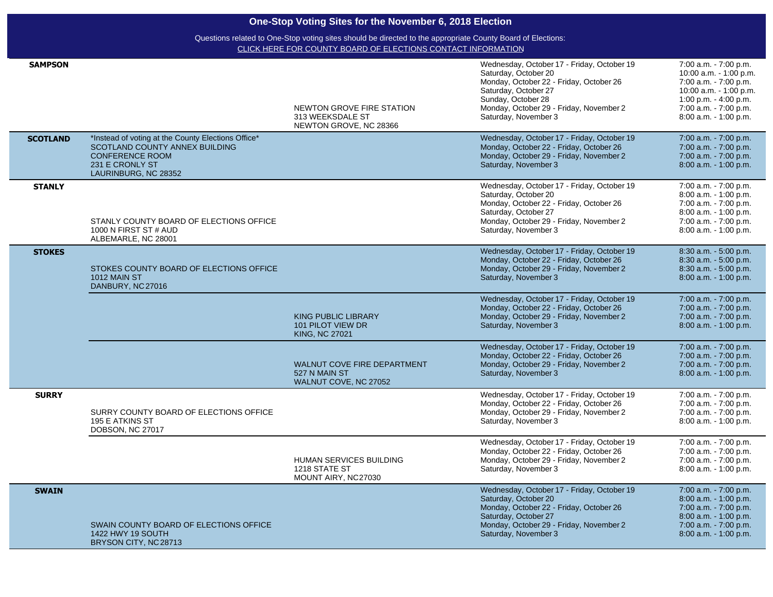|                 | One-Stop Voting Sites for the November 6, 2018 Election<br>Questions related to One-Stop voting sites should be directed to the appropriate County Board of Elections:<br>CLICK HERE FOR COUNTY BOARD OF ELECTIONS CONTACT INFORMATION |                                                                              |                                                                                                                                                                                                                                |                                                                                                                                                                               |  |  |
|-----------------|----------------------------------------------------------------------------------------------------------------------------------------------------------------------------------------------------------------------------------------|------------------------------------------------------------------------------|--------------------------------------------------------------------------------------------------------------------------------------------------------------------------------------------------------------------------------|-------------------------------------------------------------------------------------------------------------------------------------------------------------------------------|--|--|
|                 |                                                                                                                                                                                                                                        |                                                                              |                                                                                                                                                                                                                                |                                                                                                                                                                               |  |  |
| <b>SAMPSON</b>  |                                                                                                                                                                                                                                        | NEWTON GROVE FIRE STATION<br>313 WEEKSDALE ST<br>NEWTON GROVE, NC 28366      | Wednesday, October 17 - Friday, October 19<br>Saturday, October 20<br>Monday, October 22 - Friday, October 26<br>Saturday, October 27<br>Sunday, October 28<br>Monday, October 29 - Friday, November 2<br>Saturday, November 3 | 7:00 a.m. - 7:00 p.m.<br>10:00 a.m. - 1:00 p.m.<br>7:00 a.m. - 7:00 p.m.<br>10:00 a.m. - 1:00 p.m.<br>1:00 p.m. - 4:00 p.m.<br>7:00 a.m. - 7:00 p.m.<br>8:00 a.m. - 1:00 p.m. |  |  |
| <b>SCOTLAND</b> | *Instead of voting at the County Elections Office*<br>SCOTLAND COUNTY ANNEX BUILDING<br><b>CONFERENCE ROOM</b><br>231 E CRONLY ST<br>LAURINBURG, NC 28352                                                                              |                                                                              | Wednesday, October 17 - Friday, October 19<br>Monday, October 22 - Friday, October 26<br>Monday, October 29 - Friday, November 2<br>Saturday, November 3                                                                       | 7:00 a.m. - 7:00 p.m.<br>7:00 a.m. - 7:00 p.m.<br>7:00 a.m. - 7:00 p.m.<br>8:00 a.m. - 1:00 p.m.                                                                              |  |  |
| <b>STANLY</b>   | STANLY COUNTY BOARD OF ELECTIONS OFFICE<br>1000 N FIRST ST # AUD<br>ALBEMARLE, NC 28001                                                                                                                                                |                                                                              | Wednesday, October 17 - Friday, October 19<br>Saturday, October 20<br>Monday, October 22 - Friday, October 26<br>Saturday, October 27<br>Monday, October 29 - Friday, November 2<br>Saturday, November 3                       | 7:00 a.m. - 7:00 p.m.<br>8:00 a.m. - 1:00 p.m.<br>7:00 a.m. - 7:00 p.m.<br>8:00 a.m. - 1:00 p.m.<br>7:00 a.m. - 7:00 p.m.<br>8:00 a.m. - 1:00 p.m.                            |  |  |
| <b>STOKES</b>   | STOKES COUNTY BOARD OF ELECTIONS OFFICE<br>1012 MAIN ST<br>DANBURY, NC 27016                                                                                                                                                           |                                                                              | Wednesday, October 17 - Friday, October 19<br>Monday, October 22 - Friday, October 26<br>Monday, October 29 - Friday, November 2<br>Saturday, November 3                                                                       | 8:30 a.m. - 5:00 p.m.<br>8:30 a.m. - 5:00 p.m.<br>8:30 a.m. - 5:00 p.m.<br>8:00 a.m. - 1:00 p.m.                                                                              |  |  |
|                 |                                                                                                                                                                                                                                        | <b>KING PUBLIC LIBRARY</b><br>101 PILOT VIEW DR<br><b>KING, NC 27021</b>     | Wednesday, October 17 - Friday, October 19<br>Monday, October 22 - Friday, October 26<br>Monday, October 29 - Friday, November 2<br>Saturday, November 3                                                                       | 7:00 a.m. - 7:00 p.m.<br>7:00 a.m. - 7:00 p.m.<br>7:00 a.m. - 7:00 p.m.<br>8:00 a.m. - 1:00 p.m.                                                                              |  |  |
|                 |                                                                                                                                                                                                                                        | <b>WALNUT COVE FIRE DEPARTMENT</b><br>527 N MAIN ST<br>WALNUT COVE, NC 27052 | Wednesday, October 17 - Friday, October 19<br>Monday, October 22 - Friday, October 26<br>Monday, October 29 - Friday, November 2<br>Saturday, November 3                                                                       | 7:00 a.m. - 7:00 p.m.<br>7:00 a.m. - 7:00 p.m.<br>7:00 a.m. - 7:00 p.m.<br>8:00 a.m. - 1:00 p.m.                                                                              |  |  |
| <b>SURRY</b>    | SURRY COUNTY BOARD OF ELECTIONS OFFICE<br>195 E ATKINS ST<br>DOBSON, NC 27017                                                                                                                                                          |                                                                              | Wednesday, October 17 - Friday, October 19<br>Monday, October 22 - Friday, October 26<br>Monday, October 29 - Friday, November 2<br>Saturday, November 3                                                                       | 7:00 a.m. - 7:00 p.m.<br>7:00 a.m. - 7:00 p.m.<br>7:00 a.m. - 7:00 p.m.<br>8:00 a.m. - 1:00 p.m.                                                                              |  |  |
|                 |                                                                                                                                                                                                                                        | HUMAN SERVICES BUILDING<br>1218 STATE ST<br>MOUNT AIRY, NC27030              | Wednesday, October 17 - Friday, October 19<br>Monday, October 22 - Friday, October 26<br>Monday, October 29 - Friday, November 2<br>Saturday, November 3                                                                       | 7:00 a.m. - 7:00 p.m.<br>7:00 a.m. - 7:00 p.m.<br>7:00 a.m. - 7:00 p.m.<br>8:00 a.m. - 1:00 p.m.                                                                              |  |  |
| <b>SWAIN</b>    | SWAIN COUNTY BOARD OF ELECTIONS OFFICE<br>1422 HWY 19 SOUTH<br>BRYSON CITY, NC 28713                                                                                                                                                   |                                                                              | Wednesday, October 17 - Friday, October 19<br>Saturday, October 20<br>Monday, October 22 - Friday, October 26<br>Saturday, October 27<br>Monday, October 29 - Friday, November 2<br>Saturday, November 3                       | 7:00 a.m. - 7:00 p.m.<br>8:00 a.m. - 1:00 p.m.<br>7:00 a.m. - 7:00 p.m.<br>8:00 a.m. - 1:00 p.m.<br>7:00 a.m. - 7:00 p.m.<br>8:00 a.m. - 1:00 p.m.                            |  |  |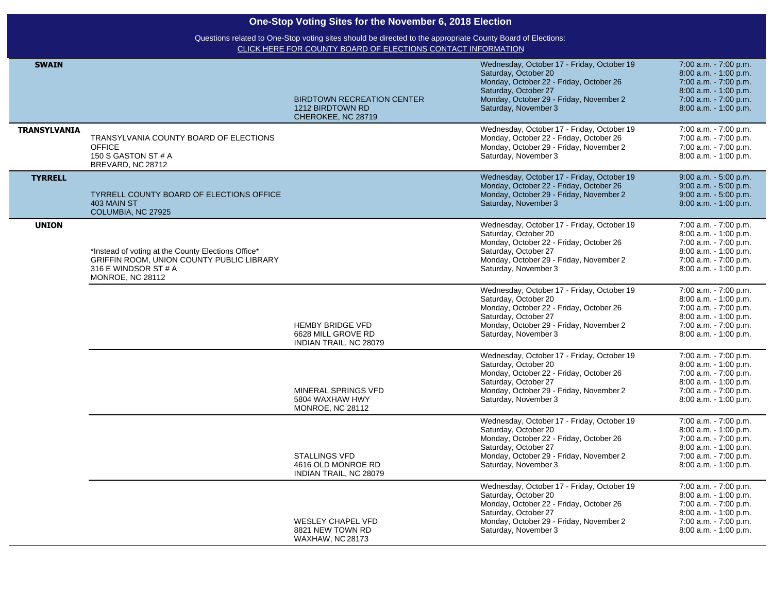| One-Stop Voting Sites for the November 6, 2018 Election |                                                                                                                                             |                                                                             |                                                                                                                                                                                                          |                                                                                                                                                       |  |  |
|---------------------------------------------------------|---------------------------------------------------------------------------------------------------------------------------------------------|-----------------------------------------------------------------------------|----------------------------------------------------------------------------------------------------------------------------------------------------------------------------------------------------------|-------------------------------------------------------------------------------------------------------------------------------------------------------|--|--|
|                                                         | Questions related to One-Stop voting sites should be directed to the appropriate County Board of Elections:                                 |                                                                             |                                                                                                                                                                                                          |                                                                                                                                                       |  |  |
|                                                         |                                                                                                                                             | CLICK HERE FOR COUNTY BOARD OF ELECTIONS CONTACT INFORMATION                |                                                                                                                                                                                                          |                                                                                                                                                       |  |  |
| <b>SWAIN</b>                                            |                                                                                                                                             | <b>BIRDTOWN RECREATION CENTER</b><br>1212 BIRDTOWN RD<br>CHEROKEE, NC 28719 | Wednesday, October 17 - Friday, October 19<br>Saturday, October 20<br>Monday, October 22 - Friday, October 26<br>Saturday, October 27<br>Monday, October 29 - Friday, November 2<br>Saturday, November 3 | 7:00 a.m. - 7:00 p.m.<br>8:00 a.m. - 1:00 p.m.<br>7:00 a.m. - 7:00 p.m.<br>8:00 a.m. - 1:00 p.m.<br>7:00 a.m. - 7:00 p.m.<br>8:00 a.m. - 1:00 p.m.    |  |  |
| <b>TRANSYLVANIA</b>                                     |                                                                                                                                             |                                                                             | Wednesday, October 17 - Friday, October 19                                                                                                                                                               | 7:00 a.m. - 7:00 p.m.                                                                                                                                 |  |  |
|                                                         | TRANSYLVANIA COUNTY BOARD OF ELECTIONS<br><b>OFFICE</b><br>150 S GASTON ST # A<br>BREVARD, NC 28712                                         |                                                                             | Monday, October 22 - Friday, October 26<br>Monday, October 29 - Friday, November 2<br>Saturday, November 3                                                                                               | 7:00 a.m. - 7:00 p.m.<br>7:00 a.m. - 7:00 p.m.<br>8:00 a.m. - 1:00 p.m.                                                                               |  |  |
| <b>TYRRELL</b>                                          | TYRRELL COUNTY BOARD OF ELECTIONS OFFICE<br>403 MAIN ST<br>COLUMBIA, NC 27925                                                               |                                                                             | Wednesday, October 17 - Friday, October 19<br>Monday, October 22 - Friday, October 26<br>Monday, October 29 - Friday, November 2<br>Saturday, November 3                                                 | 9:00 a.m. - 5:00 p.m.<br>9:00 a.m. - 5:00 p.m.<br>$9:00$ a.m. $-5:00$ p.m.<br>8:00 a.m. - 1:00 p.m.                                                   |  |  |
| <b>UNION</b>                                            | *Instead of voting at the County Elections Office*<br>GRIFFIN ROOM, UNION COUNTY PUBLIC LIBRARY<br>316 E WINDSOR ST # A<br>MONROE, NC 28112 |                                                                             | Wednesday, October 17 - Friday, October 19<br>Saturday, October 20<br>Monday, October 22 - Friday, October 26<br>Saturday, October 27<br>Monday, October 29 - Friday, November 2<br>Saturday, November 3 | 7:00 a.m. - 7:00 p.m.<br>8:00 a.m. - 1:00 p.m.<br>7:00 a.m. - 7:00 p.m.<br>8:00 a.m. - 1:00 p.m.<br>7:00 a.m. - 7:00 p.m.<br>8:00 a.m. - 1:00 p.m.    |  |  |
|                                                         |                                                                                                                                             | <b>HEMBY BRIDGE VFD</b><br>6628 MILL GROVE RD<br>INDIAN TRAIL, NC 28079     | Wednesday, October 17 - Friday, October 19<br>Saturday, October 20<br>Monday, October 22 - Friday, October 26<br>Saturday, October 27<br>Monday, October 29 - Friday, November 2<br>Saturday, November 3 | 7:00 a.m. - 7:00 p.m.<br>8:00 a.m. - 1:00 p.m.<br>7:00 a.m. - 7:00 p.m.<br>8:00 a.m. - 1:00 p.m.<br>7:00 a.m. - 7:00 p.m.<br>8:00 a.m. - 1:00 p.m.    |  |  |
|                                                         |                                                                                                                                             | MINERAL SPRINGS VFD<br>5804 WAXHAW HWY<br>MONROE, NC 28112                  | Wednesday, October 17 - Friday, October 19<br>Saturday, October 20<br>Monday, October 22 - Friday, October 26<br>Saturday, October 27<br>Monday, October 29 - Friday, November 2<br>Saturday, November 3 | 7:00 a.m. - 7:00 p.m.<br>8:00 a.m. - 1:00 p.m.<br>7:00 a.m. - 7:00 p.m.<br>8:00 a.m. - 1:00 p.m.<br>7:00 a.m. - 7:00 p.m.<br>8:00 a.m. - 1:00 p.m.    |  |  |
|                                                         |                                                                                                                                             | STALLINGS VFD<br>4616 OLD MONROE RD<br>INDIAN TRAIL, NC 28079               | Wednesday, October 17 - Friday, October 19<br>Saturday, October 20<br>Monday, October 22 - Friday, October 26<br>Saturday, October 27<br>Monday, October 29 - Friday, November 2<br>Saturday, November 3 | 7:00 a.m. - 7:00 p.m.<br>8:00 a.m. - 1:00 p.m.<br>7:00 a.m. - 7:00 p.m.<br>$8:00$ a.m. $-1:00$ p.m.<br>7:00 a.m. - 7:00 p.m.<br>8:00 a.m. - 1:00 p.m. |  |  |
|                                                         |                                                                                                                                             | <b>WESLEY CHAPEL VFD</b><br>8821 NEW TOWN RD<br><b>WAXHAW, NC 28173</b>     | Wednesday, October 17 - Friday, October 19<br>Saturday, October 20<br>Monday, October 22 - Friday, October 26<br>Saturday, October 27<br>Monday, October 29 - Friday, November 2<br>Saturday, November 3 | 7:00 a.m. - 7:00 p.m.<br>8:00 a.m. - 1:00 p.m.<br>7:00 a.m. - 7:00 p.m.<br>8:00 a.m. - 1:00 p.m.<br>7:00 a.m. - 7:00 p.m.<br>8:00 a.m. - 1:00 p.m.    |  |  |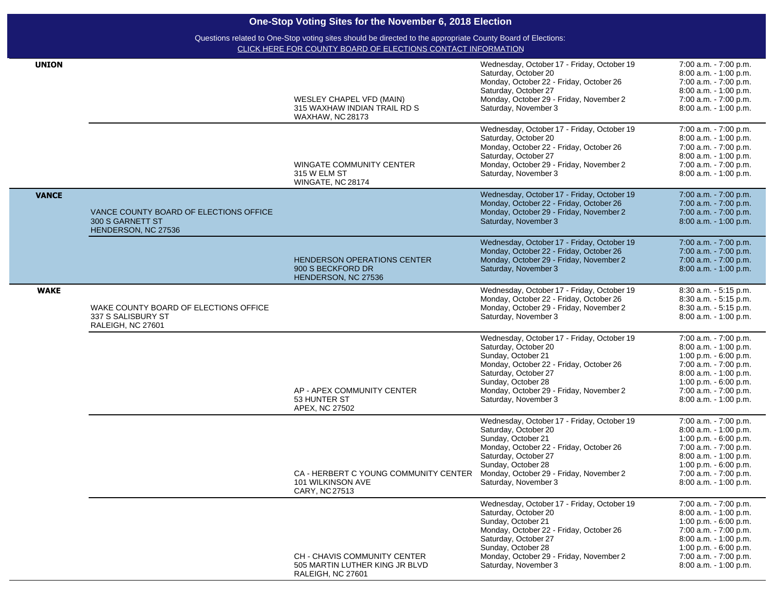| <b>UNION</b> |                                                                                   | <b>WESLEY CHAPEL VFD (MAIN)</b><br>315 WAXHAW INDIAN TRAIL RD S<br><b>WAXHAW, NC 28173</b> | Wednesday, October 17 - Friday, October 19<br>Saturday, October 20<br>Monday, October 22 - Friday, October 26<br>Saturday, October 27<br>Monday, October 29 - Friday, November 2<br>Saturday, November 3<br>Wednesday, October 17 - Friday, October 19 | 7:00 a.m. - 7:00 p.m.<br>8:00 a.m. - 1:00 p.m.<br>7:00 a.m. - 7:00 p.m.<br>8:00 a.m. - 1:00 p.m.<br>7:00 a.m. - 7:00 p.m.<br>8:00 a.m. - 1:00 p.m.<br>7:00 a.m. - 7:00 p.m.                           |
|--------------|-----------------------------------------------------------------------------------|--------------------------------------------------------------------------------------------|--------------------------------------------------------------------------------------------------------------------------------------------------------------------------------------------------------------------------------------------------------|-------------------------------------------------------------------------------------------------------------------------------------------------------------------------------------------------------|
|              |                                                                                   | WINGATE COMMUNITY CENTER<br>315 W ELM ST<br>WINGATE, NC 28174                              | Saturday, October 20<br>Monday, October 22 - Friday, October 26<br>Saturday, October 27<br>Monday, October 29 - Friday, November 2<br>Saturday, November 3                                                                                             | 8:00 a.m. - 1:00 p.m.<br>7:00 a.m. - 7:00 p.m.<br>8:00 a.m. - 1:00 p.m.<br>7:00 a.m. - 7:00 p.m.<br>8:00 a.m. - 1:00 p.m.                                                                             |
| <b>VANCE</b> | VANCE COUNTY BOARD OF ELECTIONS OFFICE<br>300 S GARNETT ST<br>HENDERSON, NC 27536 |                                                                                            | Wednesday, October 17 - Friday, October 19<br>Monday, October 22 - Friday, October 26<br>Monday, October 29 - Friday, November 2<br>Saturday, November 3                                                                                               | 7:00 a.m. - 7:00 p.m.<br>7:00 a.m. - 7:00 p.m.<br>7:00 a.m. - 7:00 p.m.<br>8:00 a.m. - 1:00 p.m.                                                                                                      |
|              |                                                                                   | <b>HENDERSON OPERATIONS CENTER</b><br>900 S BECKFORD DR<br>HENDERSON, NC 27536             | Wednesday, October 17 - Friday, October 19<br>Monday, October 22 - Friday, October 26<br>Monday, October 29 - Friday, November 2<br>Saturday, November 3                                                                                               | 7:00 a.m. - 7:00 p.m.<br>7:00 a.m. - 7:00 p.m.<br>7:00 a.m. - 7:00 p.m.<br>8:00 a.m. - 1:00 p.m.                                                                                                      |
| <b>WAKE</b>  | WAKE COUNTY BOARD OF ELECTIONS OFFICE<br>337 S SALISBURY ST<br>RALEIGH, NC 27601  |                                                                                            | Wednesday, October 17 - Friday, October 19<br>Monday, October 22 - Friday, October 26<br>Monday, October 29 - Friday, November 2<br>Saturday, November 3                                                                                               | 8:30 a.m. - 5:15 p.m.<br>8:30 a.m. - 5:15 p.m.<br>8:30 a.m. - 5:15 p.m.<br>8:00 a.m. - 1:00 p.m.                                                                                                      |
|              |                                                                                   | AP - APEX COMMUNITY CENTER<br>53 HUNTER ST<br>APEX, NC 27502                               | Wednesday, October 17 - Friday, October 19<br>Saturday, October 20<br>Sunday, October 21<br>Monday, October 22 - Friday, October 26<br>Saturday, October 27<br>Sunday, October 28<br>Monday, October 29 - Friday, November 2<br>Saturday, November 3   | 7:00 a.m. - 7:00 p.m.<br>8:00 a.m. - 1:00 p.m.<br>1:00 p.m. - 6:00 p.m.<br>7:00 a.m. - 7:00 p.m.<br>8:00 a.m. - 1:00 p.m.<br>1:00 p.m. - 6:00 p.m.<br>7:00 a.m. - 7:00 p.m.<br>8:00 a.m. - 1:00 p.m.  |
|              |                                                                                   | CA - HERBERT C YOUNG COMMUNITY CENTER<br>101 WILKINSON AVE<br>CARY, NC27513                | Wednesday, October 17 - Friday, October 19<br>Saturday, October 20<br>Sunday, October 21<br>Monday, October 22 - Friday, October 26<br>Saturday, October 27<br>Sunday, October 28<br>Monday, October 29 - Friday, November 2<br>Saturday, November 3   | 7:00 a.m. - 7:00 p.m.<br>8:00 a.m. - 1:00 p.m.<br>1:00 p.m. - 6:00 p.m.<br>7:00 a.m. - 7:00 p.m.<br>8:00 a.m. - 1:00 p.m.<br>1:00 p.m. - 6:00 p.m.<br>7:00 a.m. - 7:00 p.m.<br>8:00 a.m. - 1:00 p.m.  |
|              |                                                                                   | <b>CH - CHAVIS COMMUNITY CENTER</b><br>505 MARTIN LUTHER KING JR BLVD<br>RALEIGH, NC 27601 | Wednesday, October 17 - Friday, October 19<br>Saturday, October 20<br>Sunday, October 21<br>Monday, October 22 - Friday, October 26<br>Saturday, October 27<br>Sunday, October 28<br>Monday, October 29 - Friday, November 2<br>Saturday, November 3   | 7:00 a.m. - 7:00 p.m.<br>8:00 a.m. - 1:00 p.m.<br>1:00 p.m. $-6:00$ p.m.<br>7:00 a.m. - 7:00 p.m.<br>8:00 a.m. - 1:00 p.m.<br>1:00 p.m. - 6:00 p.m.<br>7:00 a.m. - 7:00 p.m.<br>8:00 a.m. - 1:00 p.m. |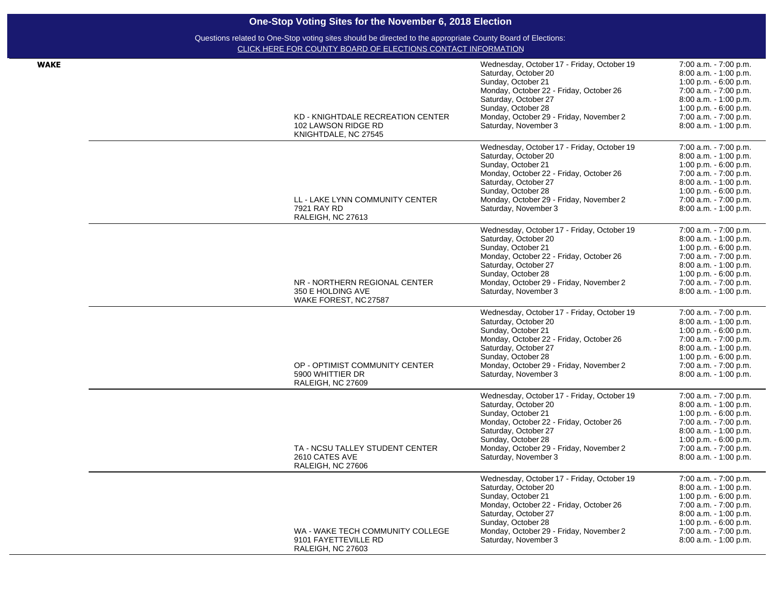| <b>WAKE</b> |                                            | Wednesday, October 17 - Friday, October 19 | 7:00 a.m. - 7:00 p.m.  |
|-------------|--------------------------------------------|--------------------------------------------|------------------------|
|             |                                            | Saturday, October 20                       | 8:00 a.m. - 1:00 p.m.  |
|             |                                            | Sunday, October 21                         | 1:00 p.m. $-6:00$ p.m. |
|             |                                            | Monday, October 22 - Friday, October 26    | 7:00 a.m. - 7:00 p.m.  |
|             |                                            | Saturday, October 27                       | 8:00 a.m. - 1:00 p.m.  |
|             |                                            | Sunday, October 28                         | 1:00 p.m. $-6:00$ p.m. |
|             | KD - KNIGHTDALE RECREATION CENTER          | Monday, October 29 - Friday, November 2    | 7:00 a.m. - 7:00 p.m.  |
|             | 102 LAWSON RIDGE RD                        | Saturday, November 3                       | 8:00 a.m. - 1:00 p.m.  |
|             | KNIGHTDALE, NC 27545                       |                                            |                        |
|             |                                            | Wednesday, October 17 - Friday, October 19 | 7:00 a.m. - 7:00 p.m.  |
|             |                                            | Saturday, October 20                       | 8:00 a.m. - 1:00 p.m.  |
|             |                                            | Sunday, October 21                         | 1:00 p.m. $-6:00$ p.m. |
|             |                                            | Monday, October 22 - Friday, October 26    | 7:00 a.m. - 7:00 p.m.  |
|             |                                            | Saturday, October 27                       | 8:00 a.m. - 1:00 p.m.  |
|             |                                            | Sunday, October 28                         | 1:00 p.m. - 6:00 p.m.  |
|             | LL - LAKE LYNN COMMUNITY CENTER            | Monday, October 29 - Friday, November 2    | 7:00 a.m. - 7:00 p.m.  |
|             | 7921 RAY RD<br>RALEIGH, NC 27613           | Saturday, November 3                       | 8:00 a.m. - 1:00 p.m.  |
|             |                                            | Wednesday, October 17 - Friday, October 19 | 7:00 a.m. - 7:00 p.m.  |
|             |                                            | Saturday, October 20                       | 8:00 a.m. - 1:00 p.m.  |
|             |                                            | Sunday, October 21                         | 1:00 p.m. - 6:00 p.m.  |
|             |                                            | Monday, October 22 - Friday, October 26    | 7:00 a.m. - 7:00 p.m.  |
|             |                                            | Saturday, October 27                       | 8:00 a.m. - 1:00 p.m.  |
|             |                                            | Sunday, October 28                         | 1:00 p.m. $-6.00$ p.m. |
|             | NR - NORTHERN REGIONAL CENTER              | Monday, October 29 - Friday, November 2    | 7:00 a.m. - 7:00 p.m.  |
|             |                                            |                                            |                        |
|             | 350 E HOLDING AVE<br>WAKE FOREST, NC 27587 | Saturday, November 3                       | 8:00 a.m. - 1:00 p.m.  |
|             |                                            | Wednesday, October 17 - Friday, October 19 | 7:00 a.m. - 7:00 p.m.  |
|             |                                            | Saturday, October 20                       | 8:00 a.m. - 1:00 p.m.  |
|             |                                            | Sunday, October 21                         | 1:00 p.m. - 6:00 p.m.  |
|             |                                            | Monday, October 22 - Friday, October 26    | 7:00 a.m. - 7:00 p.m.  |
|             |                                            | Saturday, October 27                       | 8:00 a.m. - 1:00 p.m.  |
|             |                                            | Sunday, October 28                         | 1:00 p.m. - 6:00 p.m.  |
|             | OP - OPTIMIST COMMUNITY CENTER             | Monday, October 29 - Friday, November 2    | 7:00 a.m. - 7:00 p.m.  |
|             | 5900 WHITTIER DR                           | Saturday, November 3                       | 8:00 a.m. - 1:00 p.m.  |
|             | RALEIGH, NC 27609                          | Wednesday, October 17 - Friday, October 19 | 7:00 a.m. - 7:00 p.m.  |
|             |                                            | Saturday, October 20                       | 8:00 a.m. - 1:00 p.m.  |
|             |                                            | Sunday, October 21                         | 1:00 p.m. - 6:00 p.m.  |
|             |                                            |                                            |                        |
|             |                                            | Monday, October 22 - Friday, October 26    | 7:00 a.m. - 7:00 p.m.  |
|             |                                            | Saturday, October 27                       | 8:00 a.m. - 1:00 p.m.  |
|             |                                            | Sunday, October 28                         | 1:00 p.m. $-6.00$ p.m. |
|             | TA - NCSU TALLEY STUDENT CENTER            | Monday, October 29 - Friday, November 2    | 7:00 a.m. - 7:00 p.m.  |
|             | 2610 CATES AVE<br>RALEIGH, NC 27606        | Saturday, November 3                       | 8:00 a.m. - 1:00 p.m.  |
|             |                                            | Wednesday, October 17 - Friday, October 19 | 7:00 a.m. - 7:00 p.m.  |
|             |                                            | Saturday, October 20                       | 8:00 a.m. - 1:00 p.m.  |
|             |                                            | Sunday, October 21                         | 1:00 p.m. - 6:00 p.m.  |
|             |                                            | Monday, October 22 - Friday, October 26    | 7:00 a.m. - 7:00 p.m.  |
|             |                                            | Saturday, October 27                       | 8:00 a.m. - 1:00 p.m.  |
|             |                                            | Sunday, October 28                         | 1:00 p.m. $-6.00$ p.m. |
|             | WA - WAKE TECH COMMUNITY COLLEGE           | Monday, October 29 - Friday, November 2    | 7:00 a.m. - 7:00 p.m.  |
|             | 9101 FAYETTEVILLE RD                       | Saturday, November 3                       | 8:00 a.m. - 1:00 p.m.  |
|             | RALEIGH, NC 27603                          |                                            |                        |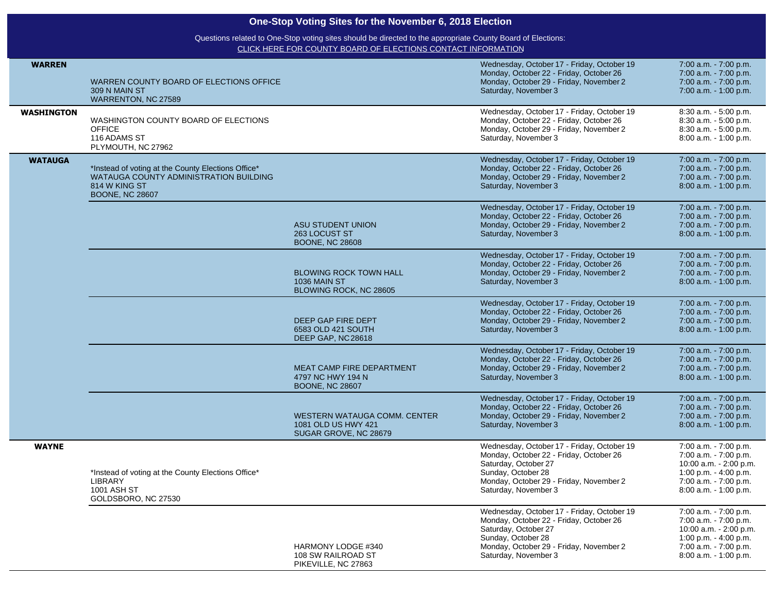|                   | One-Stop Voting Sites for the November 6, 2018 Election                                                                                 |                                                                                                                                                                             |                                                                                                                                                                                                        |                                                                                                                                                       |
|-------------------|-----------------------------------------------------------------------------------------------------------------------------------------|-----------------------------------------------------------------------------------------------------------------------------------------------------------------------------|--------------------------------------------------------------------------------------------------------------------------------------------------------------------------------------------------------|-------------------------------------------------------------------------------------------------------------------------------------------------------|
|                   |                                                                                                                                         | Questions related to One-Stop voting sites should be directed to the appropriate County Board of Elections:<br>CLICK HERE FOR COUNTY BOARD OF ELECTIONS CONTACT INFORMATION |                                                                                                                                                                                                        |                                                                                                                                                       |
| <b>WARREN</b>     | WARREN COUNTY BOARD OF ELECTIONS OFFICE<br>309 N MAIN ST<br>WARRENTON, NC 27589                                                         |                                                                                                                                                                             | Wednesday, October 17 - Friday, October 19<br>Monday, October 22 - Friday, October 26<br>Monday, October 29 - Friday, November 2<br>Saturday, November 3                                               | 7:00 a.m. - 7:00 p.m.<br>7:00 a.m. - 7:00 p.m.<br>7:00 a.m. - 7:00 p.m.<br>7:00 a.m. - 1:00 p.m.                                                      |
| <b>WASHINGTON</b> | WASHINGTON COUNTY BOARD OF ELECTIONS<br><b>OFFICE</b><br>116 ADAMS ST<br>PLYMOUTH, NC 27962                                             |                                                                                                                                                                             | Wednesday, October 17 - Friday, October 19<br>Monday, October 22 - Friday, October 26<br>Monday, October 29 - Friday, November 2<br>Saturday, November 3                                               | 8:30 a.m. - 5:00 p.m.<br>8:30 a.m. - 5:00 p.m.<br>8:30 a.m. - 5:00 p.m.<br>8:00 a.m. - 1:00 p.m.                                                      |
| <b>WATAUGA</b>    | *Instead of voting at the County Elections Office*<br>WATAUGA COUNTY ADMINISTRATION BUILDING<br>814 W KING ST<br><b>BOONE, NC 28607</b> |                                                                                                                                                                             | Wednesday, October 17 - Friday, October 19<br>Monday, October 22 - Friday, October 26<br>Monday, October 29 - Friday, November 2<br>Saturday, November 3                                               | 7:00 a.m. - 7:00 p.m.<br>7:00 a.m. - 7:00 p.m.<br>7:00 a.m. - 7:00 p.m.<br>8:00 a.m. - 1:00 p.m.                                                      |
|                   |                                                                                                                                         | ASU STUDENT UNION<br>263 LOCUST ST<br><b>BOONE, NC 28608</b>                                                                                                                | Wednesday, October 17 - Friday, October 19<br>Monday, October 22 - Friday, October 26<br>Monday, October 29 - Friday, November 2<br>Saturday, November 3                                               | 7:00 a.m. - 7:00 p.m.<br>7:00 a.m. - 7:00 p.m.<br>7:00 a.m. - 7:00 p.m.<br>8:00 a.m. - 1:00 p.m.                                                      |
|                   |                                                                                                                                         | <b>BLOWING ROCK TOWN HALL</b><br><b>1036 MAIN ST</b><br>BLOWING ROCK, NC 28605                                                                                              | Wednesday, October 17 - Friday, October 19<br>Monday, October 22 - Friday, October 26<br>Monday, October 29 - Friday, November 2<br>Saturday, November 3                                               | 7:00 a.m. - 7:00 p.m.<br>7:00 a.m. - 7:00 p.m.<br>7:00 a.m. - 7:00 p.m.<br>8:00 a.m. - 1:00 p.m.                                                      |
|                   |                                                                                                                                         | DEEP GAP FIRE DEPT<br>6583 OLD 421 SOUTH<br>DEEP GAP, NC 28618                                                                                                              | Wednesday, October 17 - Friday, October 19<br>Monday, October 22 - Friday, October 26<br>Monday, October 29 - Friday, November 2<br>Saturday, November 3                                               | 7:00 a.m. - 7:00 p.m.<br>7:00 a.m. - 7:00 p.m.<br>7:00 a.m. - 7:00 p.m.<br>8:00 a.m. - 1:00 p.m.                                                      |
|                   |                                                                                                                                         | MEAT CAMP FIRE DEPARTMENT<br>4797 NC HWY 194 N<br><b>BOONE, NC 28607</b>                                                                                                    | Wednesday, October 17 - Friday, October 19<br>Monday, October 22 - Friday, October 26<br>Monday, October 29 - Friday, November 2<br>Saturday, November 3                                               | 7:00 a.m. - 7:00 p.m.<br>7:00 a.m. - 7:00 p.m.<br>7:00 a.m. - 7:00 p.m.<br>8:00 a.m. - 1:00 p.m.                                                      |
|                   |                                                                                                                                         | WESTERN WATAUGA COMM. CENTER<br>1081 OLD US HWY 421<br>SUGAR GROVE, NC 28679                                                                                                | Wednesday, October 17 - Friday, October 19<br>Monday, October 22 - Friday, October 26<br>Monday, October 29 - Friday, November 2<br>Saturday, November 3                                               | 7:00 a.m. - 7:00 p.m.<br>7:00 a.m. - 7:00 p.m.<br>7:00 a.m. - 7:00 p.m.<br>8:00 a.m. - 1:00 p.m.                                                      |
| <b>WAYNE</b>      | *Instead of voting at the County Elections Office*<br>LIBRARY<br>1001 ASH ST<br>GOLDSBORO, NC 27530                                     |                                                                                                                                                                             | Wednesday, October 17 - Friday, October 19<br>Monday, October 22 - Friday, October 26<br>Saturday, October 27<br>Sunday, October 28<br>Monday, October 29 - Friday, November 2<br>Saturday, November 3 | 7:00 a.m. - 7:00 p.m.<br>7:00 a.m. - 7:00 p.m.<br>10:00 a.m. - 2:00 p.m.<br>1:00 p.m. $-$ 4:00 p.m.<br>7:00 a.m. - 7:00 p.m.<br>8:00 a.m. - 1:00 p.m. |
|                   |                                                                                                                                         | <b>HARMONY LODGE #340</b><br>108 SW RAILROAD ST<br>PIKEVILLE, NC 27863                                                                                                      | Wednesday, October 17 - Friday, October 19<br>Monday, October 22 - Friday, October 26<br>Saturday, October 27<br>Sunday, October 28<br>Monday, October 29 - Friday, November 2<br>Saturday, November 3 | 7:00 a.m. - 7:00 p.m.<br>7:00 a.m. - 7:00 p.m.<br>10:00 a.m. - 2:00 p.m.<br>1:00 p.m. $-$ 4:00 p.m.<br>7:00 a.m. - 7:00 p.m.<br>8:00 a.m. - 1:00 p.m. |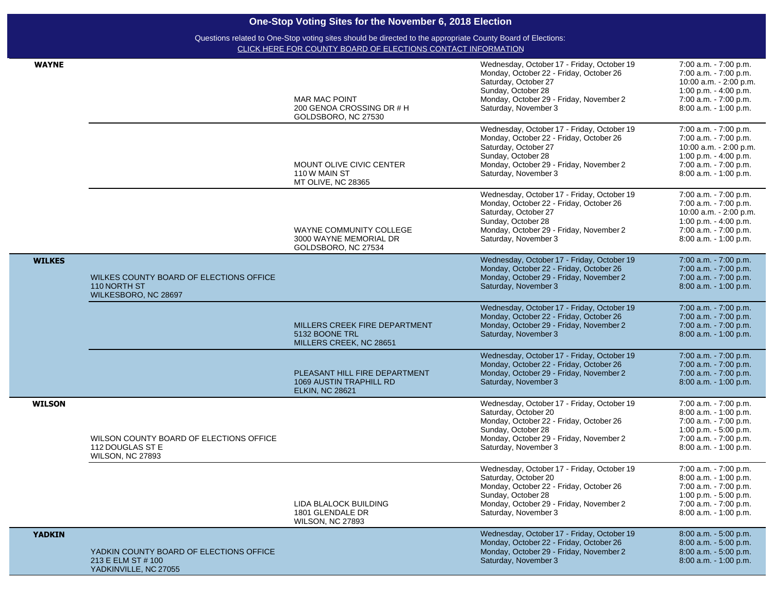| <b>WAYNE</b>  |                                                                                        | <b>MAR MAC POINT</b><br>200 GENOA CROSSING DR # H<br>GOLDSBORO, NC 27530           | Wednesday, October 17 - Friday, October 19<br>Monday, October 22 - Friday, October 26<br>Saturday, October 27<br>Sunday, October 28<br>Monday, October 29 - Friday, November 2<br>Saturday, November 3<br>Wednesday, October 17 - Friday, October 19 | 7:00 a.m. - 7:00 p.m.<br>7:00 a.m. - 7:00 p.m.<br>10:00 a.m. - 2:00 p.m.<br>1:00 p.m. $-$ 4:00 p.m.<br>7:00 a.m. - 7:00 p.m.<br>8:00 a.m. - 1:00 p.m.<br>7:00 a.m. - 7:00 p.m. |
|---------------|----------------------------------------------------------------------------------------|------------------------------------------------------------------------------------|------------------------------------------------------------------------------------------------------------------------------------------------------------------------------------------------------------------------------------------------------|--------------------------------------------------------------------------------------------------------------------------------------------------------------------------------|
|               |                                                                                        | MOUNT OLIVE CIVIC CENTER<br>110 W MAIN ST<br>MT OLIVE, NC 28365                    | Monday, October 22 - Friday, October 26<br>Saturday, October 27<br>Sunday, October 28<br>Monday, October 29 - Friday, November 2<br>Saturday, November 3                                                                                             | 7:00 a.m. - 7:00 p.m.<br>10:00 a.m. - 2:00 p.m.<br>1:00 p.m. - 4:00 p.m.<br>7:00 a.m. - 7:00 p.m.<br>8:00 a.m. - 1:00 p.m.                                                     |
|               |                                                                                        | WAYNE COMMUNITY COLLEGE<br>3000 WAYNE MEMORIAL DR<br>GOLDSBORO, NC 27534           | Wednesday, October 17 - Friday, October 19<br>Monday, October 22 - Friday, October 26<br>Saturday, October 27<br>Sunday, October 28<br>Monday, October 29 - Friday, November 2<br>Saturday, November 3                                               | 7:00 a.m. - 7:00 p.m.<br>7:00 a.m. - 7:00 p.m.<br>10:00 a.m. - 2:00 p.m.<br>1:00 p.m. - 4:00 p.m.<br>7:00 a.m. - 7:00 p.m.<br>8:00 a.m. - 1:00 p.m.                            |
| <b>WILKES</b> | WILKES COUNTY BOARD OF ELECTIONS OFFICE<br>110 NORTH ST<br>WILKESBORO, NC 28697        |                                                                                    | Wednesday, October 17 - Friday, October 19<br>Monday, October 22 - Friday, October 26<br>Monday, October 29 - Friday, November 2<br>Saturday, November 3                                                                                             | 7:00 a.m. - 7:00 p.m.<br>7:00 a.m. - 7:00 p.m.<br>7:00 a.m. - 7:00 p.m.<br>8:00 a.m. - 1:00 p.m.                                                                               |
|               |                                                                                        | MILLERS CREEK FIRE DEPARTMENT<br>5132 BOONE TRL<br>MILLERS CREEK, NC 28651         | Wednesday, October 17 - Friday, October 19<br>Monday, October 22 - Friday, October 26<br>Monday, October 29 - Friday, November 2<br>Saturday, November 3                                                                                             | 7:00 a.m. - 7:00 p.m.<br>7:00 a.m. - 7:00 p.m.<br>7:00 a.m. - 7:00 p.m.<br>8:00 a.m. - 1:00 p.m.                                                                               |
|               |                                                                                        | PLEASANT HILL FIRE DEPARTMENT<br>1069 AUSTIN TRAPHILL RD<br><b>ELKIN, NC 28621</b> | Wednesday, October 17 - Friday, October 19<br>Monday, October 22 - Friday, October 26<br>Monday, October 29 - Friday, November 2<br>Saturday, November 3                                                                                             | 7:00 a.m. - 7:00 p.m.<br>7:00 a.m. - 7:00 p.m.<br>7:00 a.m. - 7:00 p.m.<br>8:00 a.m. - 1:00 p.m.                                                                               |
| <b>WILSON</b> | WILSON COUNTY BOARD OF ELECTIONS OFFICE<br>112 DOUGLAS ST E<br>WILSON, NC 27893        |                                                                                    | Wednesday, October 17 - Friday, October 19<br>Saturday, October 20<br>Monday, October 22 - Friday, October 26<br>Sunday, October 28<br>Monday, October 29 - Friday, November 2<br>Saturday, November 3                                               | 7:00 a.m. - 7:00 p.m.<br>8:00 a.m. - 1:00 p.m.<br>7:00 a.m. - 7:00 p.m.<br>1:00 p.m. - 5:00 p.m.<br>7:00 a.m. - 7:00 p.m.<br>8:00 a.m. - 1:00 p.m.                             |
|               |                                                                                        | LIDA BLALOCK BUILDING<br>1801 GLENDALE DR<br>WILSON, NC 27893                      | Wednesday, October 17 - Friday, October 19<br>Saturday, October 20<br>Monday, October 22 - Friday, October 26<br>Sunday, October 28<br>Monday, October 29 - Friday, November 2<br>Saturday, November 3                                               | 7:00 a.m. - 7:00 p.m.<br>8:00 a.m. - 1:00 p.m.<br>7:00 a.m. - 7:00 p.m.<br>$1:00$ p.m. $-5:00$ p.m.<br>7:00 a.m. - 7:00 p.m.<br>8:00 a.m. - 1:00 p.m.                          |
| <b>YADKIN</b> | YADKIN COUNTY BOARD OF ELECTIONS OFFICE<br>213 E ELM ST # 100<br>YADKINVILLE, NC 27055 |                                                                                    | Wednesday, October 17 - Friday, October 19<br>Monday, October 22 - Friday, October 26<br>Monday, October 29 - Friday, November 2<br>Saturday, November 3                                                                                             | 8:00 a.m. - 5:00 p.m.<br>8:00 a.m. - 5:00 p.m.<br>8:00 a.m. - 5:00 p.m.<br>8:00 a.m. - 1:00 p.m.                                                                               |